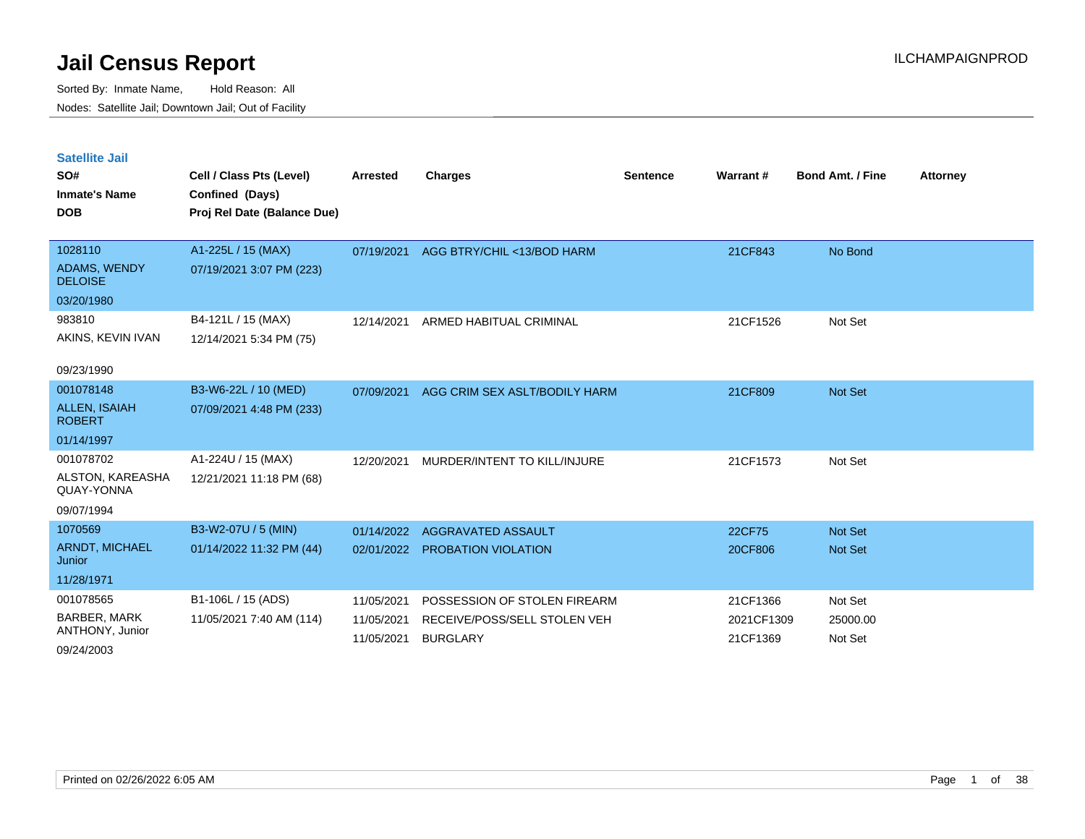| <b>Satellite Jail</b>                 |                             |                 |                               |                 |            |                         |                 |
|---------------------------------------|-----------------------------|-----------------|-------------------------------|-----------------|------------|-------------------------|-----------------|
| SO#                                   | Cell / Class Pts (Level)    | <b>Arrested</b> | <b>Charges</b>                | <b>Sentence</b> | Warrant#   | <b>Bond Amt. / Fine</b> | <b>Attorney</b> |
| <b>Inmate's Name</b>                  | Confined (Days)             |                 |                               |                 |            |                         |                 |
| <b>DOB</b>                            | Proj Rel Date (Balance Due) |                 |                               |                 |            |                         |                 |
|                                       |                             |                 |                               |                 |            |                         |                 |
| 1028110                               | A1-225L / 15 (MAX)          | 07/19/2021      | AGG BTRY/CHIL <13/BOD HARM    |                 | 21CF843    | No Bond                 |                 |
| <b>ADAMS, WENDY</b><br><b>DELOISE</b> | 07/19/2021 3:07 PM (223)    |                 |                               |                 |            |                         |                 |
| 03/20/1980                            |                             |                 |                               |                 |            |                         |                 |
| 983810                                | B4-121L / 15 (MAX)          | 12/14/2021      | ARMED HABITUAL CRIMINAL       |                 | 21CF1526   | Not Set                 |                 |
| AKINS, KEVIN IVAN                     | 12/14/2021 5:34 PM (75)     |                 |                               |                 |            |                         |                 |
|                                       |                             |                 |                               |                 |            |                         |                 |
| 09/23/1990                            |                             |                 |                               |                 |            |                         |                 |
| 001078148                             | B3-W6-22L / 10 (MED)        | 07/09/2021      | AGG CRIM SEX ASLT/BODILY HARM |                 | 21CF809    | <b>Not Set</b>          |                 |
| <b>ALLEN, ISAIAH</b><br><b>ROBERT</b> | 07/09/2021 4:48 PM (233)    |                 |                               |                 |            |                         |                 |
| 01/14/1997                            |                             |                 |                               |                 |            |                         |                 |
| 001078702                             | A1-224U / 15 (MAX)          | 12/20/2021      | MURDER/INTENT TO KILL/INJURE  |                 | 21CF1573   | Not Set                 |                 |
| ALSTON, KAREASHA<br>QUAY-YONNA        | 12/21/2021 11:18 PM (68)    |                 |                               |                 |            |                         |                 |
| 09/07/1994                            |                             |                 |                               |                 |            |                         |                 |
| 1070569                               | B3-W2-07U / 5 (MIN)         | 01/14/2022      | AGGRAVATED ASSAULT            |                 | 22CF75     | Not Set                 |                 |
| ARNDT, MICHAEL<br>Junior              | 01/14/2022 11:32 PM (44)    | 02/01/2022      | <b>PROBATION VIOLATION</b>    |                 | 20CF806    | Not Set                 |                 |
| 11/28/1971                            |                             |                 |                               |                 |            |                         |                 |
| 001078565                             | B1-106L / 15 (ADS)          | 11/05/2021      | POSSESSION OF STOLEN FIREARM  |                 | 21CF1366   | Not Set                 |                 |
| <b>BARBER, MARK</b>                   | 11/05/2021 7:40 AM (114)    | 11/05/2021      | RECEIVE/POSS/SELL STOLEN VEH  |                 | 2021CF1309 | 25000.00                |                 |
| ANTHONY, Junior                       |                             | 11/05/2021      | <b>BURGLARY</b>               |                 | 21CF1369   | Not Set                 |                 |
| 09/24/2003                            |                             |                 |                               |                 |            |                         |                 |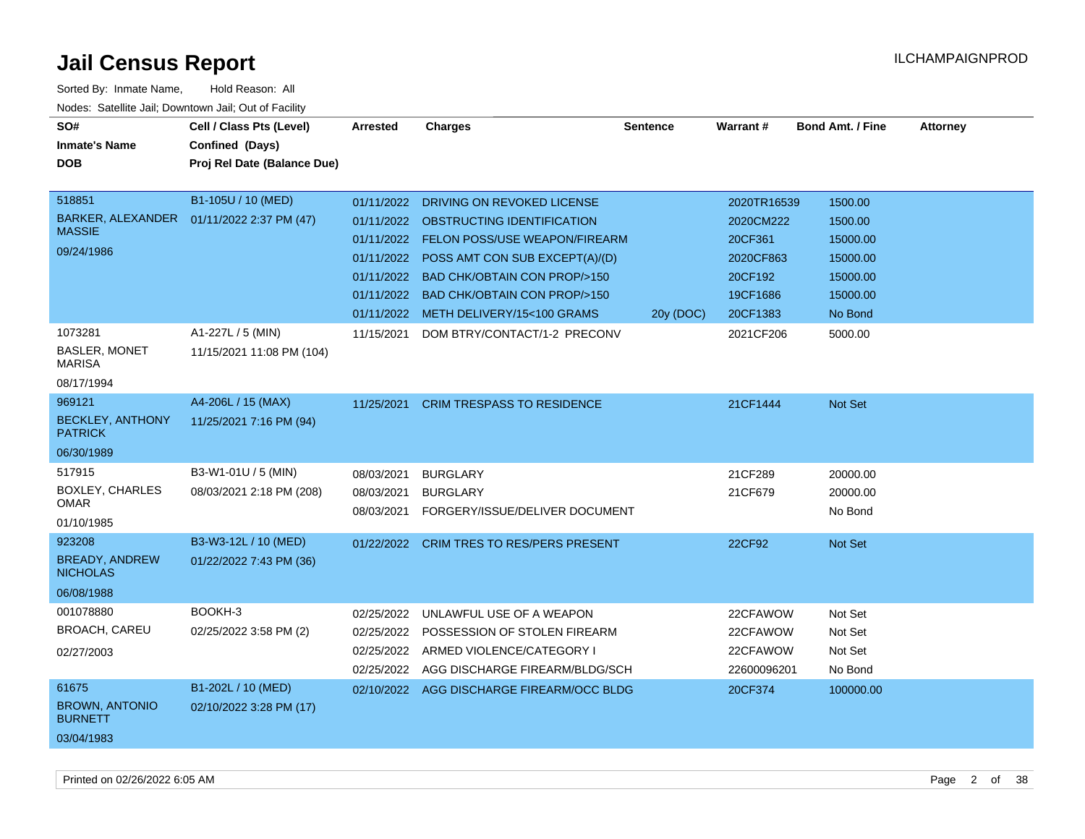| SO#<br><b>Inmate's Name</b><br><b>DOB</b><br>518851<br><b>BARKER, ALEXANDER</b><br><b>MASSIE</b> | Cell / Class Pts (Level)<br>Confined (Days)<br>Proj Rel Date (Balance Due)<br>B1-105U / 10 (MED)<br>01/11/2022 2:37 PM (47) | Arrested<br>01/11/2022<br>01/11/2022                 | <b>Charges</b><br>DRIVING ON REVOKED LICENSE<br>01/11/2022 OBSTRUCTING IDENTIFICATION<br><b>FELON POSS/USE WEAPON/FIREARM</b>                               | <b>Sentence</b> | <b>Warrant#</b><br>2020TR16539<br>2020CM222<br>20CF361 | <b>Bond Amt. / Fine</b><br>1500.00<br>1500.00<br>15000.00 | <b>Attorney</b> |
|--------------------------------------------------------------------------------------------------|-----------------------------------------------------------------------------------------------------------------------------|------------------------------------------------------|-------------------------------------------------------------------------------------------------------------------------------------------------------------|-----------------|--------------------------------------------------------|-----------------------------------------------------------|-----------------|
| 09/24/1986                                                                                       |                                                                                                                             | 01/11/2022<br>01/11/2022<br>01/11/2022               | POSS AMT CON SUB EXCEPT(A)/(D)<br><b>BAD CHK/OBTAIN CON PROP/&gt;150</b><br><b>BAD CHK/OBTAIN CON PROP/&gt;150</b><br>01/11/2022 METH DELIVERY/15<100 GRAMS | 20y (DOC)       | 2020CF863<br>20CF192<br>19CF1686<br>20CF1383           | 15000.00<br>15000.00<br>15000.00<br>No Bond               |                 |
| 1073281<br><b>BASLER, MONET</b><br><b>MARISA</b><br>08/17/1994                                   | A1-227L / 5 (MIN)<br>11/15/2021 11:08 PM (104)                                                                              | 11/15/2021                                           | DOM BTRY/CONTACT/1-2 PRECONV                                                                                                                                |                 | 2021CF206                                              | 5000.00                                                   |                 |
| 969121<br><b>BECKLEY, ANTHONY</b><br><b>PATRICK</b><br>06/30/1989                                | A4-206L / 15 (MAX)<br>11/25/2021 7:16 PM (94)                                                                               | 11/25/2021                                           | <b>CRIM TRESPASS TO RESIDENCE</b>                                                                                                                           |                 | 21CF1444                                               | Not Set                                                   |                 |
| 517915<br>BOXLEY, CHARLES<br><b>OMAR</b><br>01/10/1985                                           | B3-W1-01U / 5 (MIN)<br>08/03/2021 2:18 PM (208)                                                                             | 08/03/2021<br>08/03/2021<br>08/03/2021               | <b>BURGLARY</b><br><b>BURGLARY</b><br>FORGERY/ISSUE/DELIVER DOCUMENT                                                                                        |                 | 21CF289<br>21CF679                                     | 20000.00<br>20000.00<br>No Bond                           |                 |
| 923208<br><b>BREADY, ANDREW</b><br><b>NICHOLAS</b><br>06/08/1988                                 | B3-W3-12L / 10 (MED)<br>01/22/2022 7:43 PM (36)                                                                             | 01/22/2022                                           | <b>CRIM TRES TO RES/PERS PRESENT</b>                                                                                                                        |                 | 22CF92                                                 | Not Set                                                   |                 |
| 001078880<br><b>BROACH, CAREU</b><br>02/27/2003                                                  | BOOKH-3<br>02/25/2022 3:58 PM (2)                                                                                           | 02/25/2022<br>02/25/2022<br>02/25/2022<br>02/25/2022 | UNLAWFUL USE OF A WEAPON<br>POSSESSION OF STOLEN FIREARM<br>ARMED VIOLENCE/CATEGORY I<br>AGG DISCHARGE FIREARM/BLDG/SCH                                     |                 | 22CFAWOW<br>22CFAWOW<br>22CFAWOW<br>22600096201        | Not Set<br>Not Set<br>Not Set<br>No Bond                  |                 |
| 61675<br><b>BROWN, ANTONIO</b><br><b>BURNETT</b><br>03/04/1983                                   | B1-202L / 10 (MED)<br>02/10/2022 3:28 PM (17)                                                                               |                                                      | 02/10/2022 AGG DISCHARGE FIREARM/OCC BLDG                                                                                                                   |                 | 20CF374                                                | 100000.00                                                 |                 |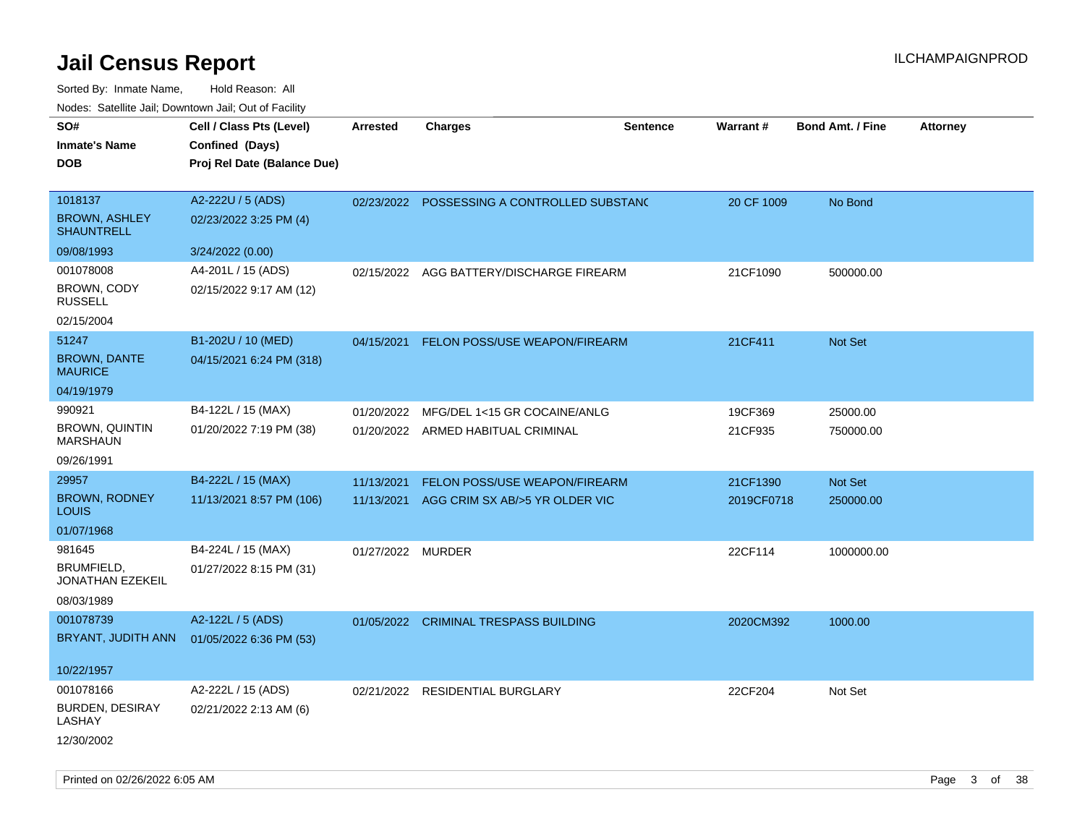Sorted By: Inmate Name, Hold Reason: All Nodes: Satellite Jail; Downtown Jail; Out of Facility

| 110a00. 0atomto 0an, Domntonn 0an, 0at 011 aoint |                             |                   |                                    |                 |            |                         |                 |
|--------------------------------------------------|-----------------------------|-------------------|------------------------------------|-----------------|------------|-------------------------|-----------------|
| SO#                                              | Cell / Class Pts (Level)    | <b>Arrested</b>   | <b>Charges</b>                     | <b>Sentence</b> | Warrant#   | <b>Bond Amt. / Fine</b> | <b>Attorney</b> |
| <b>Inmate's Name</b>                             | Confined (Days)             |                   |                                    |                 |            |                         |                 |
| <b>DOB</b>                                       | Proj Rel Date (Balance Due) |                   |                                    |                 |            |                         |                 |
| 1018137                                          | A2-222U / 5 (ADS)           | 02/23/2022        | POSSESSING A CONTROLLED SUBSTANC   |                 | 20 CF 1009 | No Bond                 |                 |
| <b>BROWN, ASHLEY</b><br><b>SHAUNTRELL</b>        | 02/23/2022 3:25 PM (4)      |                   |                                    |                 |            |                         |                 |
| 09/08/1993                                       | 3/24/2022 (0.00)            |                   |                                    |                 |            |                         |                 |
| 001078008                                        | A4-201L / 15 (ADS)          | 02/15/2022        | AGG BATTERY/DISCHARGE FIREARM      |                 | 21CF1090   | 500000.00               |                 |
| <b>BROWN, CODY</b><br><b>RUSSELL</b>             | 02/15/2022 9:17 AM (12)     |                   |                                    |                 |            |                         |                 |
| 02/15/2004                                       |                             |                   |                                    |                 |            |                         |                 |
| 51247                                            | B1-202U / 10 (MED)          | 04/15/2021        | FELON POSS/USE WEAPON/FIREARM      |                 | 21CF411    | Not Set                 |                 |
| <b>BROWN, DANTE</b><br><b>MAURICE</b>            | 04/15/2021 6:24 PM (318)    |                   |                                    |                 |            |                         |                 |
| 04/19/1979                                       |                             |                   |                                    |                 |            |                         |                 |
| 990921                                           | B4-122L / 15 (MAX)          | 01/20/2022        | MFG/DEL 1<15 GR COCAINE/ANLG       |                 | 19CF369    | 25000.00                |                 |
| <b>BROWN, QUINTIN</b><br><b>MARSHAUN</b>         | 01/20/2022 7:19 PM (38)     |                   | 01/20/2022 ARMED HABITUAL CRIMINAL |                 | 21CF935    | 750000.00               |                 |
| 09/26/1991                                       |                             |                   |                                    |                 |            |                         |                 |
| 29957                                            | B4-222L / 15 (MAX)          | 11/13/2021        | FELON POSS/USE WEAPON/FIREARM      |                 | 21CF1390   | Not Set                 |                 |
| <b>BROWN, RODNEY</b><br><b>LOUIS</b>             | 11/13/2021 8:57 PM (106)    | 11/13/2021        | AGG CRIM SX AB/>5 YR OLDER VIC     |                 | 2019CF0718 | 250000.00               |                 |
| 01/07/1968                                       |                             |                   |                                    |                 |            |                         |                 |
| 981645                                           | B4-224L / 15 (MAX)          | 01/27/2022 MURDER |                                    |                 | 22CF114    | 1000000.00              |                 |
| BRUMFIELD,<br>JONATHAN EZEKEIL                   | 01/27/2022 8:15 PM (31)     |                   |                                    |                 |            |                         |                 |
| 08/03/1989                                       |                             |                   |                                    |                 |            |                         |                 |
| 001078739                                        | A2-122L / 5 (ADS)           | 01/05/2022        | <b>CRIMINAL TRESPASS BUILDING</b>  |                 | 2020CM392  | 1000.00                 |                 |
| BRYANT, JUDITH ANN                               | 01/05/2022 6:36 PM (53)     |                   |                                    |                 |            |                         |                 |
| 10/22/1957                                       |                             |                   |                                    |                 |            |                         |                 |
| 001078166                                        | A2-222L / 15 (ADS)          |                   | 02/21/2022 RESIDENTIAL BURGLARY    |                 | 22CF204    | Not Set                 |                 |
| <b>BURDEN, DESIRAY</b><br>LASHAY                 | 02/21/2022 2:13 AM (6)      |                   |                                    |                 |            |                         |                 |
| 12/30/2002                                       |                             |                   |                                    |                 |            |                         |                 |

Printed on 02/26/2022 6:05 AM Page 3 of 38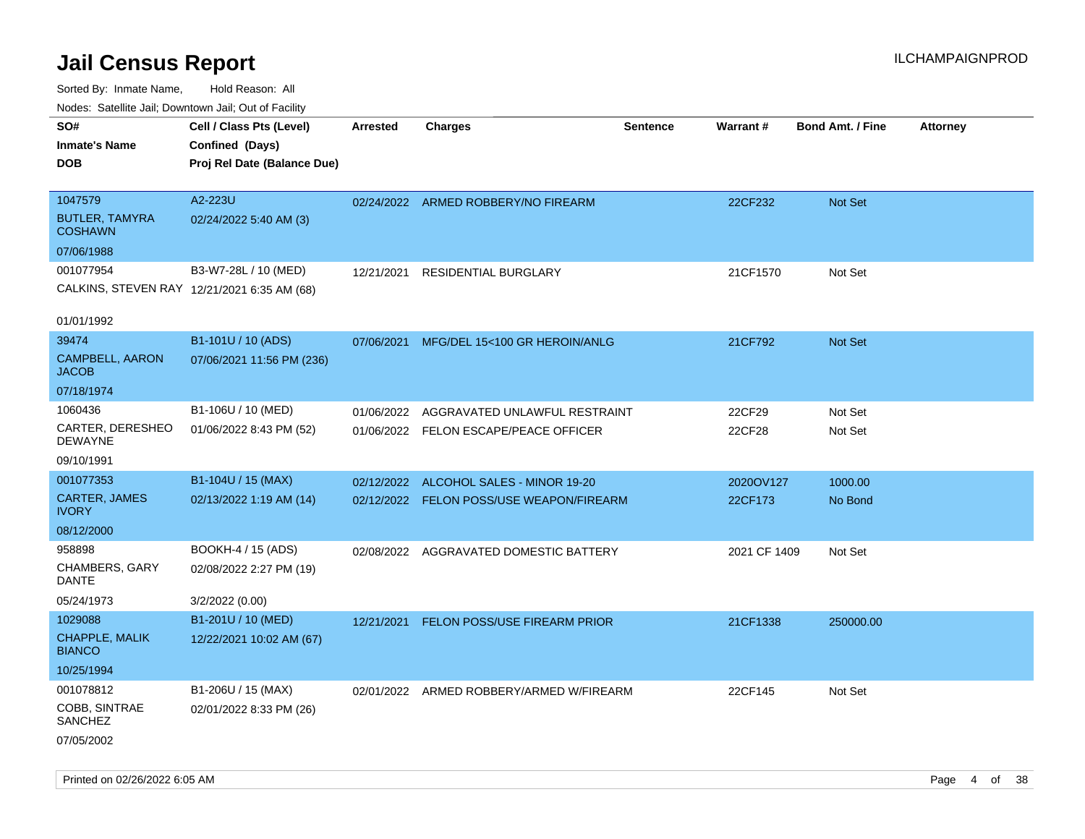| rouce. Calcinic Jan, Downtown Jan, Out or Facility |                             |                 |                                          |          |              |                         |                 |
|----------------------------------------------------|-----------------------------|-----------------|------------------------------------------|----------|--------------|-------------------------|-----------------|
| SO#                                                | Cell / Class Pts (Level)    | <b>Arrested</b> | <b>Charges</b>                           | Sentence | Warrant#     | <b>Bond Amt. / Fine</b> | <b>Attorney</b> |
| <b>Inmate's Name</b>                               | Confined (Days)             |                 |                                          |          |              |                         |                 |
| DOB                                                | Proj Rel Date (Balance Due) |                 |                                          |          |              |                         |                 |
|                                                    |                             |                 |                                          |          |              |                         |                 |
| 1047579                                            | A2-223U                     |                 | 02/24/2022 ARMED ROBBERY/NO FIREARM      |          | 22CF232      | Not Set                 |                 |
| <b>BUTLER, TAMYRA</b><br><b>COSHAWN</b>            | 02/24/2022 5:40 AM (3)      |                 |                                          |          |              |                         |                 |
| 07/06/1988                                         |                             |                 |                                          |          |              |                         |                 |
| 001077954                                          | B3-W7-28L / 10 (MED)        | 12/21/2021      | <b>RESIDENTIAL BURGLARY</b>              |          | 21CF1570     | Not Set                 |                 |
| CALKINS, STEVEN RAY 12/21/2021 6:35 AM (68)        |                             |                 |                                          |          |              |                         |                 |
|                                                    |                             |                 |                                          |          |              |                         |                 |
| 01/01/1992                                         |                             |                 |                                          |          |              |                         |                 |
| 39474                                              | B1-101U / 10 (ADS)          | 07/06/2021      | MFG/DEL 15<100 GR HEROIN/ANLG            |          | 21CF792      | Not Set                 |                 |
| CAMPBELL, AARON<br><b>JACOB</b>                    | 07/06/2021 11:56 PM (236)   |                 |                                          |          |              |                         |                 |
| 07/18/1974                                         |                             |                 |                                          |          |              |                         |                 |
| 1060436                                            | B1-106U / 10 (MED)          | 01/06/2022      | AGGRAVATED UNLAWFUL RESTRAINT            |          | 22CF29       | Not Set                 |                 |
| CARTER, DERESHEO<br>DEWAYNE                        | 01/06/2022 8:43 PM (52)     |                 | 01/06/2022 FELON ESCAPE/PEACE OFFICER    |          | 22CF28       | Not Set                 |                 |
| 09/10/1991                                         |                             |                 |                                          |          |              |                         |                 |
| 001077353                                          | B1-104U / 15 (MAX)          | 02/12/2022      | ALCOHOL SALES - MINOR 19-20              |          | 2020OV127    | 1000.00                 |                 |
| CARTER, JAMES<br><b>IVORY</b>                      | 02/13/2022 1:19 AM (14)     |                 | 02/12/2022 FELON POSS/USE WEAPON/FIREARM |          | 22CF173      | No Bond                 |                 |
| 08/12/2000                                         |                             |                 |                                          |          |              |                         |                 |
| 958898                                             | BOOKH-4 / 15 (ADS)          |                 | 02/08/2022 AGGRAVATED DOMESTIC BATTERY   |          | 2021 CF 1409 | Not Set                 |                 |
| CHAMBERS, GARY<br>DANTE                            | 02/08/2022 2:27 PM (19)     |                 |                                          |          |              |                         |                 |
| 05/24/1973                                         | 3/2/2022 (0.00)             |                 |                                          |          |              |                         |                 |
| 1029088                                            | B1-201U / 10 (MED)          | 12/21/2021      | <b>FELON POSS/USE FIREARM PRIOR</b>      |          | 21CF1338     | 250000.00               |                 |
| <b>CHAPPLE, MALIK</b><br><b>BIANCO</b>             | 12/22/2021 10:02 AM (67)    |                 |                                          |          |              |                         |                 |
| 10/25/1994                                         |                             |                 |                                          |          |              |                         |                 |
| 001078812                                          | B1-206U / 15 (MAX)          |                 | 02/01/2022 ARMED ROBBERY/ARMED W/FIREARM |          | 22CF145      | Not Set                 |                 |
| COBB, SINTRAE<br>SANCHEZ                           | 02/01/2022 8:33 PM (26)     |                 |                                          |          |              |                         |                 |
| 07/05/2002                                         |                             |                 |                                          |          |              |                         |                 |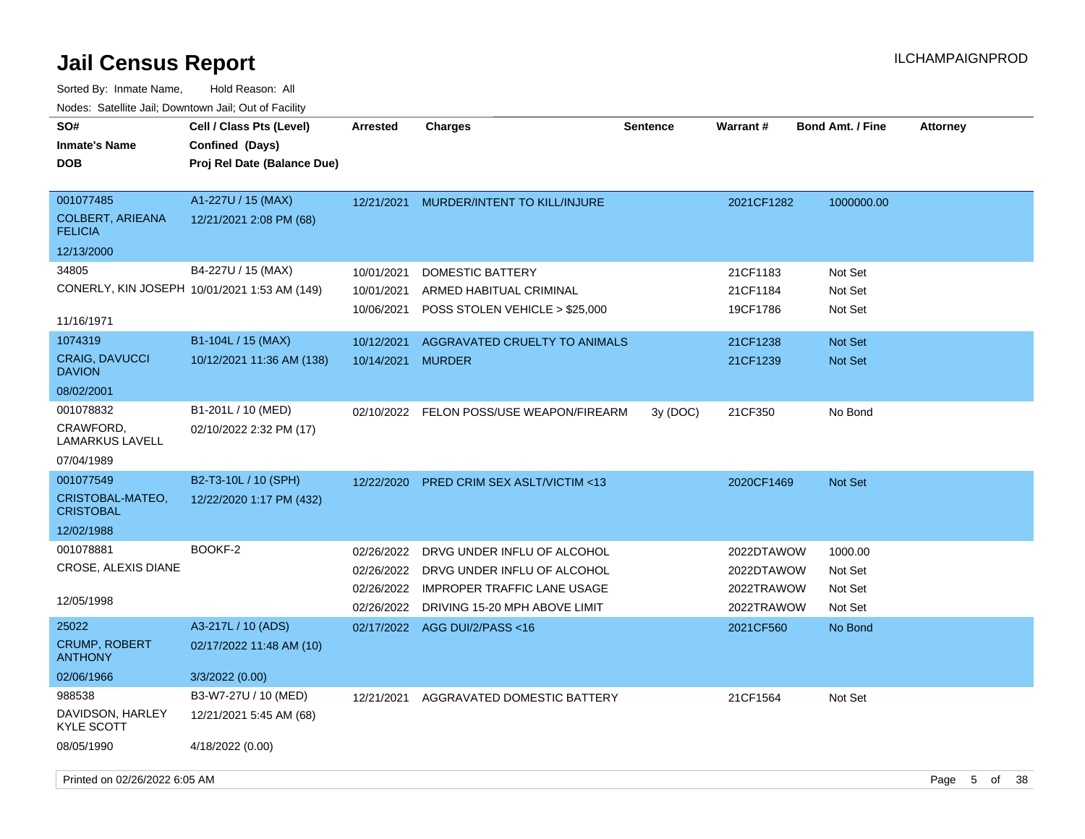| SO#<br><b>Inmate's Name</b><br><b>DOB</b>              | Cell / Class Pts (Level)<br>Confined (Days)<br>Proj Rel Date (Balance Due) | <b>Arrested</b>                                      | <b>Charges</b>                                                                                                                    | <b>Sentence</b> | <b>Warrant#</b>                                      | <b>Bond Amt. / Fine</b>                  | <b>Attorney</b> |    |     |
|--------------------------------------------------------|----------------------------------------------------------------------------|------------------------------------------------------|-----------------------------------------------------------------------------------------------------------------------------------|-----------------|------------------------------------------------------|------------------------------------------|-----------------|----|-----|
| 001077485<br><b>COLBERT, ARIEANA</b><br><b>FELICIA</b> | A1-227U / 15 (MAX)<br>12/21/2021 2:08 PM (68)                              | 12/21/2021                                           | MURDER/INTENT TO KILL/INJURE                                                                                                      |                 | 2021CF1282                                           | 1000000.00                               |                 |    |     |
| 12/13/2000                                             |                                                                            |                                                      |                                                                                                                                   |                 |                                                      |                                          |                 |    |     |
| 34805<br>11/16/1971                                    | B4-227U / 15 (MAX)<br>CONERLY, KIN JOSEPH 10/01/2021 1:53 AM (149)         | 10/01/2021<br>10/01/2021<br>10/06/2021               | DOMESTIC BATTERY<br>ARMED HABITUAL CRIMINAL<br>POSS STOLEN VEHICLE > \$25,000                                                     |                 | 21CF1183<br>21CF1184<br>19CF1786                     | Not Set<br>Not Set<br>Not Set            |                 |    |     |
| 1074319                                                | B1-104L / 15 (MAX)                                                         | 10/12/2021                                           | AGGRAVATED CRUELTY TO ANIMALS                                                                                                     |                 | 21CF1238                                             | <b>Not Set</b>                           |                 |    |     |
| <b>CRAIG, DAVUCCI</b><br><b>DAVION</b>                 | 10/12/2021 11:36 AM (138)                                                  | 10/14/2021                                           | <b>MURDER</b>                                                                                                                     |                 | 21CF1239                                             | <b>Not Set</b>                           |                 |    |     |
| 08/02/2001                                             |                                                                            |                                                      |                                                                                                                                   |                 |                                                      |                                          |                 |    |     |
| 001078832<br>CRAWFORD,<br>LAMARKUS LAVELL              | B1-201L / 10 (MED)<br>02/10/2022 2:32 PM (17)                              |                                                      | 02/10/2022 FELON POSS/USE WEAPON/FIREARM                                                                                          | 3y(DOC)         | 21CF350                                              | No Bond                                  |                 |    |     |
| 07/04/1989                                             |                                                                            |                                                      |                                                                                                                                   |                 |                                                      |                                          |                 |    |     |
| 001077549<br>CRISTOBAL-MATEO,<br><b>CRISTOBAL</b>      | B2-T3-10L / 10 (SPH)<br>12/22/2020 1:17 PM (432)                           | 12/22/2020                                           | <b>PRED CRIM SEX ASLT/VICTIM &lt;13</b>                                                                                           |                 | 2020CF1469                                           | <b>Not Set</b>                           |                 |    |     |
| 12/02/1988                                             |                                                                            |                                                      |                                                                                                                                   |                 |                                                      |                                          |                 |    |     |
| 001078881<br>CROSE, ALEXIS DIANE<br>12/05/1998         | BOOKF-2                                                                    | 02/26/2022<br>02/26/2022<br>02/26/2022<br>02/26/2022 | DRVG UNDER INFLU OF ALCOHOL<br>DRVG UNDER INFLU OF ALCOHOL<br><b>IMPROPER TRAFFIC LANE USAGE</b><br>DRIVING 15-20 MPH ABOVE LIMIT |                 | 2022DTAWOW<br>2022DTAWOW<br>2022TRAWOW<br>2022TRAWOW | 1000.00<br>Not Set<br>Not Set<br>Not Set |                 |    |     |
| 25022                                                  | A3-217L / 10 (ADS)                                                         |                                                      | 02/17/2022 AGG DUI/2/PASS<16                                                                                                      |                 | 2021CF560                                            | No Bond                                  |                 |    |     |
| <b>CRUMP, ROBERT</b><br><b>ANTHONY</b>                 | 02/17/2022 11:48 AM (10)                                                   |                                                      |                                                                                                                                   |                 |                                                      |                                          |                 |    |     |
| 02/06/1966                                             | 3/3/2022 (0.00)                                                            |                                                      |                                                                                                                                   |                 |                                                      |                                          |                 |    |     |
| 988538                                                 | B3-W7-27U / 10 (MED)                                                       | 12/21/2021                                           | AGGRAVATED DOMESTIC BATTERY                                                                                                       |                 | 21CF1564                                             | Not Set                                  |                 |    |     |
| DAVIDSON, HARLEY<br><b>KYLE SCOTT</b>                  | 12/21/2021 5:45 AM (68)                                                    |                                                      |                                                                                                                                   |                 |                                                      |                                          |                 |    |     |
| 08/05/1990                                             | 4/18/2022 (0.00)                                                           |                                                      |                                                                                                                                   |                 |                                                      |                                          |                 |    |     |
| Printed on 02/26/2022 6:05 AM                          |                                                                            |                                                      |                                                                                                                                   |                 |                                                      |                                          | Page<br>5       | of | -38 |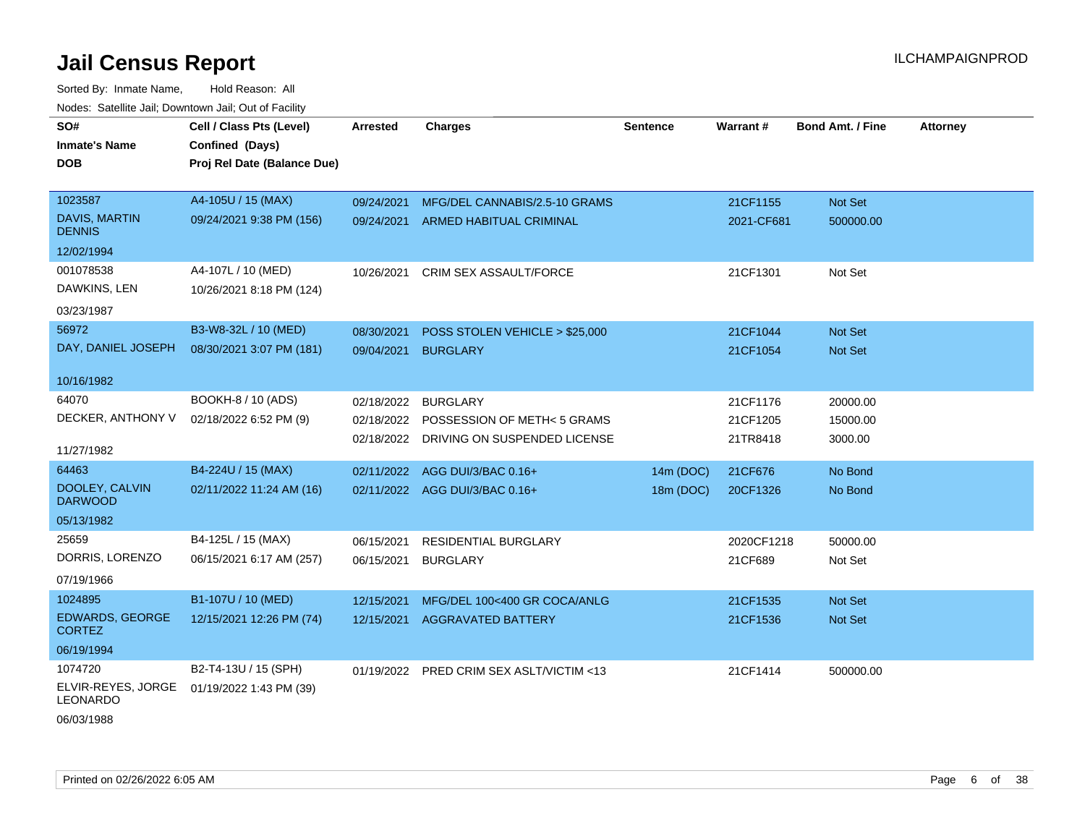Sorted By: Inmate Name, Hold Reason: All Nodes: Satellite Jail; Downtown Jail; Out of Facility

| SO#                                     | Cell / Class Pts (Level)    | <b>Arrested</b> | <b>Charges</b>                           | <b>Sentence</b> | Warrant#   | <b>Bond Amt. / Fine</b> | <b>Attorney</b> |
|-----------------------------------------|-----------------------------|-----------------|------------------------------------------|-----------------|------------|-------------------------|-----------------|
| <b>Inmate's Name</b>                    | Confined (Days)             |                 |                                          |                 |            |                         |                 |
| <b>DOB</b>                              | Proj Rel Date (Balance Due) |                 |                                          |                 |            |                         |                 |
|                                         |                             |                 |                                          |                 |            |                         |                 |
| 1023587                                 | A4-105U / 15 (MAX)          | 09/24/2021      | MFG/DEL CANNABIS/2.5-10 GRAMS            |                 | 21CF1155   | Not Set                 |                 |
| DAVIS, MARTIN<br><b>DENNIS</b>          | 09/24/2021 9:38 PM (156)    | 09/24/2021      | ARMED HABITUAL CRIMINAL                  |                 | 2021-CF681 | 500000.00               |                 |
| 12/02/1994                              |                             |                 |                                          |                 |            |                         |                 |
| 001078538                               | A4-107L / 10 (MED)          | 10/26/2021      | CRIM SEX ASSAULT/FORCE                   |                 | 21CF1301   | Not Set                 |                 |
| DAWKINS, LEN                            | 10/26/2021 8:18 PM (124)    |                 |                                          |                 |            |                         |                 |
| 03/23/1987                              |                             |                 |                                          |                 |            |                         |                 |
| 56972                                   | B3-W8-32L / 10 (MED)        | 08/30/2021      | POSS STOLEN VEHICLE > \$25,000           |                 | 21CF1044   | Not Set                 |                 |
| DAY, DANIEL JOSEPH                      | 08/30/2021 3:07 PM (181)    | 09/04/2021      | <b>BURGLARY</b>                          |                 | 21CF1054   | <b>Not Set</b>          |                 |
|                                         |                             |                 |                                          |                 |            |                         |                 |
| 10/16/1982                              |                             |                 |                                          |                 |            |                         |                 |
| 64070                                   | BOOKH-8 / 10 (ADS)          | 02/18/2022      | <b>BURGLARY</b>                          |                 | 21CF1176   | 20000.00                |                 |
| DECKER, ANTHONY V                       | 02/18/2022 6:52 PM (9)      | 02/18/2022      | POSSESSION OF METH< 5 GRAMS              |                 | 21CF1205   | 15000.00                |                 |
|                                         |                             |                 | 02/18/2022 DRIVING ON SUSPENDED LICENSE  |                 | 21TR8418   | 3000.00                 |                 |
| 11/27/1982                              |                             |                 |                                          |                 |            |                         |                 |
| 64463                                   | B4-224U / 15 (MAX)          | 02/11/2022      | AGG DUI/3/BAC 0.16+                      | 14m (DOC)       | 21CF676    | No Bond                 |                 |
| DOOLEY, CALVIN<br><b>DARWOOD</b>        | 02/11/2022 11:24 AM (16)    |                 | 02/11/2022 AGG DUI/3/BAC 0.16+           | 18m (DOC)       | 20CF1326   | No Bond                 |                 |
| 05/13/1982                              |                             |                 |                                          |                 |            |                         |                 |
| 25659                                   | B4-125L / 15 (MAX)          | 06/15/2021      | <b>RESIDENTIAL BURGLARY</b>              |                 | 2020CF1218 | 50000.00                |                 |
| DORRIS, LORENZO                         | 06/15/2021 6:17 AM (257)    | 06/15/2021      | <b>BURGLARY</b>                          |                 | 21CF689    | Not Set                 |                 |
| 07/19/1966                              |                             |                 |                                          |                 |            |                         |                 |
| 1024895                                 | B1-107U / 10 (MED)          | 12/15/2021      | MFG/DEL 100<400 GR COCA/ANLG             |                 | 21CF1535   | Not Set                 |                 |
| <b>EDWARDS, GEORGE</b><br><b>CORTEZ</b> | 12/15/2021 12:26 PM (74)    |                 | 12/15/2021 AGGRAVATED BATTERY            |                 | 21CF1536   | <b>Not Set</b>          |                 |
| 06/19/1994                              |                             |                 |                                          |                 |            |                         |                 |
| 1074720                                 | B2-T4-13U / 15 (SPH)        |                 | 01/19/2022 PRED CRIM SEX ASLT/VICTIM <13 |                 | 21CF1414   | 500000.00               |                 |
| ELVIR-REYES, JORGE<br><b>LEONARDO</b>   | 01/19/2022 1:43 PM (39)     |                 |                                          |                 |            |                         |                 |
|                                         |                             |                 |                                          |                 |            |                         |                 |

06/03/1988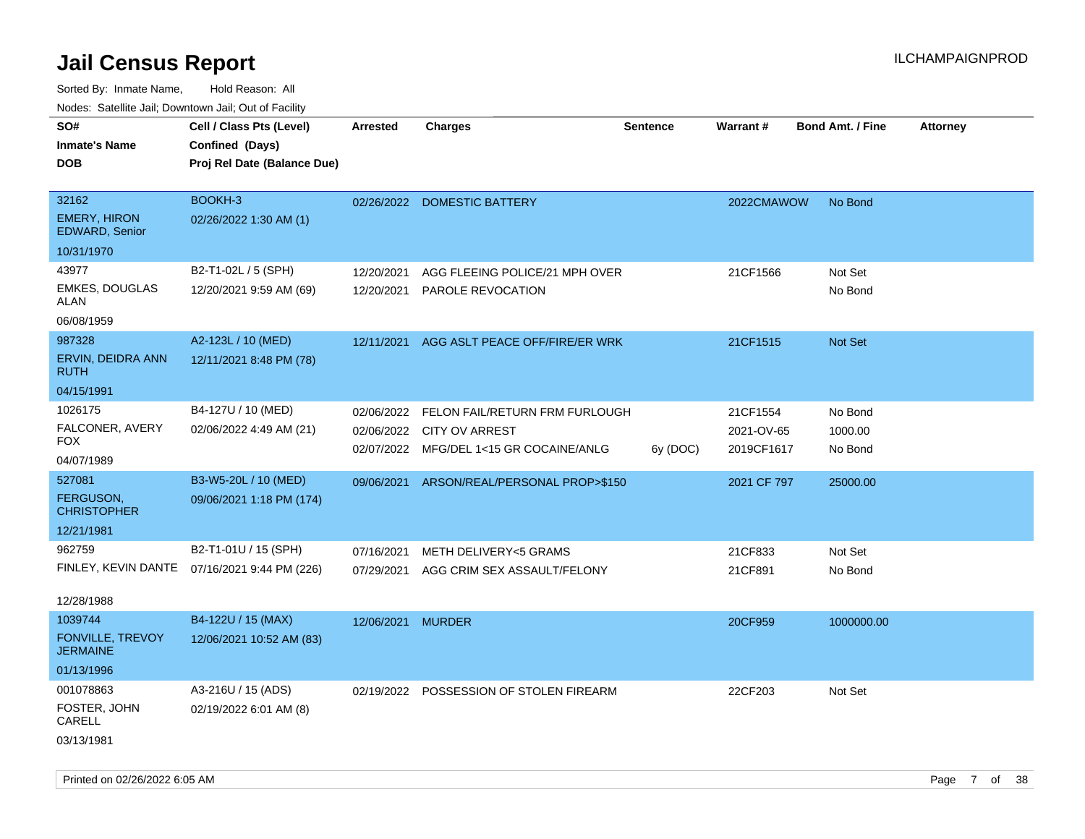| ivuutos. Saltiilit Jall, Duwilluwii Jall, Oul of Facility |                                              |            |                                |                 |             |                         |                 |
|-----------------------------------------------------------|----------------------------------------------|------------|--------------------------------|-----------------|-------------|-------------------------|-----------------|
| SO#                                                       | Cell / Class Pts (Level)                     | Arrested   | <b>Charges</b>                 | <b>Sentence</b> | Warrant#    | <b>Bond Amt. / Fine</b> | <b>Attorney</b> |
| <b>Inmate's Name</b>                                      | Confined (Days)                              |            |                                |                 |             |                         |                 |
| <b>DOB</b>                                                | Proj Rel Date (Balance Due)                  |            |                                |                 |             |                         |                 |
|                                                           |                                              |            |                                |                 |             |                         |                 |
| 32162                                                     | BOOKH-3                                      |            | 02/26/2022 DOMESTIC BATTERY    |                 | 2022CMAWOW  | No Bond                 |                 |
| <b>EMERY, HIRON</b><br>EDWARD, Senior                     | 02/26/2022 1:30 AM (1)                       |            |                                |                 |             |                         |                 |
| 10/31/1970                                                |                                              |            |                                |                 |             |                         |                 |
| 43977                                                     | B2-T1-02L / 5 (SPH)                          | 12/20/2021 | AGG FLEEING POLICE/21 MPH OVER |                 | 21CF1566    | Not Set                 |                 |
| <b>EMKES, DOUGLAS</b><br>ALAN                             | 12/20/2021 9:59 AM (69)                      | 12/20/2021 | <b>PAROLE REVOCATION</b>       |                 |             | No Bond                 |                 |
| 06/08/1959                                                |                                              |            |                                |                 |             |                         |                 |
| 987328                                                    | A2-123L / 10 (MED)                           | 12/11/2021 | AGG ASLT PEACE OFF/FIRE/ER WRK |                 | 21CF1515    | <b>Not Set</b>          |                 |
| ERVIN, DEIDRA ANN<br><b>RUTH</b>                          | 12/11/2021 8:48 PM (78)                      |            |                                |                 |             |                         |                 |
| 04/15/1991                                                |                                              |            |                                |                 |             |                         |                 |
| 1026175                                                   | B4-127U / 10 (MED)                           | 02/06/2022 | FELON FAIL/RETURN FRM FURLOUGH |                 | 21CF1554    | No Bond                 |                 |
| FALCONER, AVERY                                           | 02/06/2022 4:49 AM (21)                      | 02/06/2022 | <b>CITY OV ARREST</b>          |                 | 2021-OV-65  | 1000.00                 |                 |
| FOX.                                                      |                                              | 02/07/2022 | MFG/DEL 1<15 GR COCAINE/ANLG   | 6y (DOC)        | 2019CF1617  | No Bond                 |                 |
| 04/07/1989                                                |                                              |            |                                |                 |             |                         |                 |
| 527081                                                    | B3-W5-20L / 10 (MED)                         | 09/06/2021 | ARSON/REAL/PERSONAL PROP>\$150 |                 | 2021 CF 797 | 25000.00                |                 |
| <b>FERGUSON,</b><br><b>CHRISTOPHER</b>                    | 09/06/2021 1:18 PM (174)                     |            |                                |                 |             |                         |                 |
| 12/21/1981                                                |                                              |            |                                |                 |             |                         |                 |
| 962759                                                    | B2-T1-01U / 15 (SPH)                         | 07/16/2021 | METH DELIVERY<5 GRAMS          |                 | 21CF833     | Not Set                 |                 |
|                                                           | FINLEY, KEVIN DANTE 07/16/2021 9:44 PM (226) | 07/29/2021 | AGG CRIM SEX ASSAULT/FELONY    |                 | 21CF891     | No Bond                 |                 |
|                                                           |                                              |            |                                |                 |             |                         |                 |
| 12/28/1988                                                |                                              |            |                                |                 |             |                         |                 |
| 1039744                                                   | B4-122U / 15 (MAX)                           | 12/06/2021 | <b>MURDER</b>                  |                 | 20CF959     | 1000000.00              |                 |
| <b>FONVILLE, TREVOY</b><br><b>JERMAINE</b>                | 12/06/2021 10:52 AM (83)                     |            |                                |                 |             |                         |                 |
| 01/13/1996                                                |                                              |            |                                |                 |             |                         |                 |
| 001078863                                                 | A3-216U / 15 (ADS)                           | 02/19/2022 | POSSESSION OF STOLEN FIREARM   |                 | 22CF203     | Not Set                 |                 |
| FOSTER, JOHN<br>CARELL                                    | 02/19/2022 6:01 AM (8)                       |            |                                |                 |             |                         |                 |
| 03/13/1981                                                |                                              |            |                                |                 |             |                         |                 |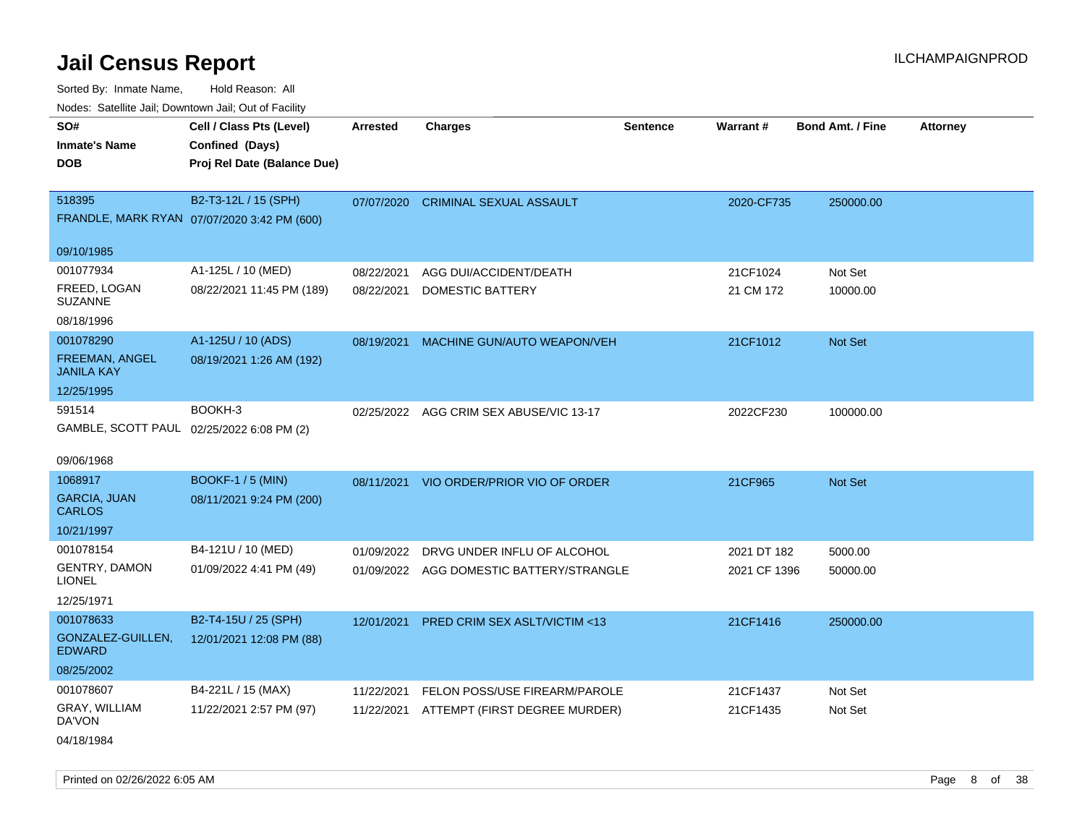Sorted By: Inmate Name, Hold Reason: All

| Nodes: Satellite Jail; Downtown Jail; Out of Facility |                                             |                 |                                          |                 |              |                  |          |
|-------------------------------------------------------|---------------------------------------------|-----------------|------------------------------------------|-----------------|--------------|------------------|----------|
| SO#                                                   | Cell / Class Pts (Level)                    | <b>Arrested</b> | <b>Charges</b>                           | <b>Sentence</b> | Warrant#     | Bond Amt. / Fine | Attorney |
| <b>Inmate's Name</b>                                  | Confined (Days)                             |                 |                                          |                 |              |                  |          |
| <b>DOB</b>                                            | Proj Rel Date (Balance Due)                 |                 |                                          |                 |              |                  |          |
|                                                       |                                             |                 |                                          |                 |              |                  |          |
| 518395                                                | B2-T3-12L / 15 (SPH)                        | 07/07/2020      | <b>CRIMINAL SEXUAL ASSAULT</b>           |                 | 2020-CF735   | 250000.00        |          |
|                                                       | FRANDLE, MARK RYAN 07/07/2020 3:42 PM (600) |                 |                                          |                 |              |                  |          |
| 09/10/1985                                            |                                             |                 |                                          |                 |              |                  |          |
| 001077934                                             | A1-125L / 10 (MED)                          | 08/22/2021      | AGG DUI/ACCIDENT/DEATH                   |                 | 21CF1024     | Not Set          |          |
| FREED, LOGAN                                          | 08/22/2021 11:45 PM (189)                   | 08/22/2021      | DOMESTIC BATTERY                         |                 | 21 CM 172    | 10000.00         |          |
| <b>SUZANNE</b>                                        |                                             |                 |                                          |                 |              |                  |          |
| 08/18/1996                                            |                                             |                 |                                          |                 |              |                  |          |
| 001078290                                             | A1-125U / 10 (ADS)                          | 08/19/2021      | MACHINE GUN/AUTO WEAPON/VEH              |                 | 21CF1012     | Not Set          |          |
| FREEMAN, ANGEL                                        | 08/19/2021 1:26 AM (192)                    |                 |                                          |                 |              |                  |          |
| <b>JANILA KAY</b>                                     |                                             |                 |                                          |                 |              |                  |          |
| 12/25/1995                                            |                                             |                 |                                          |                 |              |                  |          |
| 591514                                                | BOOKH-3                                     |                 | 02/25/2022 AGG CRIM SEX ABUSE/VIC 13-17  |                 | 2022CF230    | 100000.00        |          |
|                                                       | GAMBLE, SCOTT PAUL 02/25/2022 6:08 PM (2)   |                 |                                          |                 |              |                  |          |
| 09/06/1968                                            |                                             |                 |                                          |                 |              |                  |          |
| 1068917                                               | <b>BOOKF-1 / 5 (MIN)</b>                    |                 | 08/11/2021 VIO ORDER/PRIOR VIO OF ORDER  |                 | 21CF965      | Not Set          |          |
| <b>GARCIA, JUAN</b>                                   | 08/11/2021 9:24 PM (200)                    |                 |                                          |                 |              |                  |          |
| <b>CARLOS</b>                                         |                                             |                 |                                          |                 |              |                  |          |
| 10/21/1997                                            |                                             |                 |                                          |                 |              |                  |          |
| 001078154                                             | B4-121U / 10 (MED)                          | 01/09/2022      | DRVG UNDER INFLU OF ALCOHOL              |                 | 2021 DT 182  | 5000.00          |          |
| <b>GENTRY, DAMON</b><br><b>LIONEL</b>                 | 01/09/2022 4:41 PM (49)                     |                 | 01/09/2022 AGG DOMESTIC BATTERY/STRANGLE |                 | 2021 CF 1396 | 50000.00         |          |
| 12/25/1971                                            |                                             |                 |                                          |                 |              |                  |          |
| 001078633                                             | B2-T4-15U / 25 (SPH)                        | 12/01/2021      | <b>PRED CRIM SEX ASLT/VICTIM &lt;13</b>  |                 | 21CF1416     | 250000.00        |          |
| GONZALEZ-GUILLEN,<br><b>EDWARD</b>                    | 12/01/2021 12:08 PM (88)                    |                 |                                          |                 |              |                  |          |
| 08/25/2002                                            |                                             |                 |                                          |                 |              |                  |          |
| 001078607                                             | B4-221L / 15 (MAX)                          | 11/22/2021      | FELON POSS/USE FIREARM/PAROLE            |                 | 21CF1437     | Not Set          |          |
| GRAY, WILLIAM                                         | 11/22/2021 2:57 PM (97)                     | 11/22/2021      | ATTEMPT (FIRST DEGREE MURDER)            |                 | 21CF1435     | Not Set          |          |
| DA'VON                                                |                                             |                 |                                          |                 |              |                  |          |
| 04/18/1984                                            |                                             |                 |                                          |                 |              |                  |          |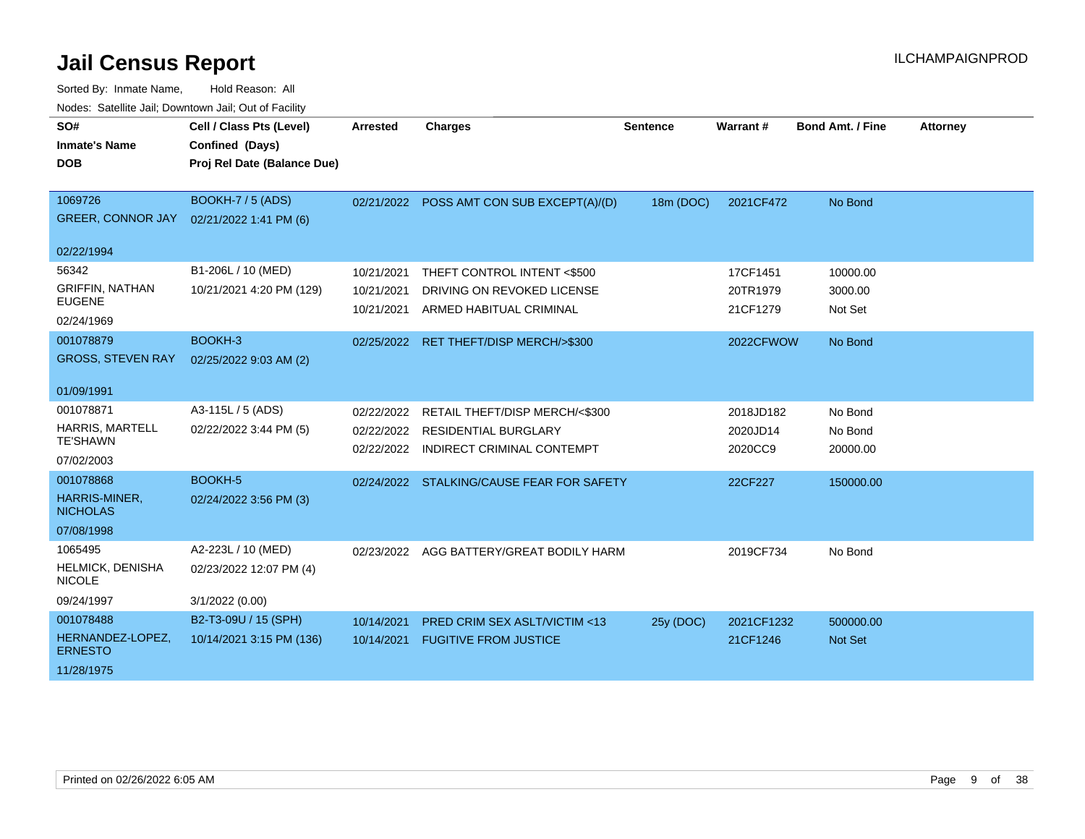| SO#<br><b>Inmate's Name</b><br><b>DOB</b> | Cell / Class Pts (Level)<br>Confined (Days)<br>Proj Rel Date (Balance Due) | <b>Arrested</b>          | <b>Charges</b>                                            | <b>Sentence</b> | Warrant#            | <b>Bond Amt. / Fine</b> | <b>Attorney</b> |
|-------------------------------------------|----------------------------------------------------------------------------|--------------------------|-----------------------------------------------------------|-----------------|---------------------|-------------------------|-----------------|
|                                           |                                                                            |                          |                                                           |                 |                     |                         |                 |
| 1069726                                   | <b>BOOKH-7 / 5 (ADS)</b>                                                   |                          | 02/21/2022 POSS AMT CON SUB EXCEPT(A)/(D)                 | 18m (DOC)       | 2021CF472           | No Bond                 |                 |
| <b>GREER, CONNOR JAY</b>                  | 02/21/2022 1:41 PM (6)                                                     |                          |                                                           |                 |                     |                         |                 |
| 02/22/1994                                |                                                                            |                          |                                                           |                 |                     |                         |                 |
| 56342                                     | B1-206L / 10 (MED)                                                         | 10/21/2021               | THEFT CONTROL INTENT <\$500                               |                 | 17CF1451            | 10000.00                |                 |
| <b>GRIFFIN, NATHAN</b>                    | 10/21/2021 4:20 PM (129)                                                   | 10/21/2021               | DRIVING ON REVOKED LICENSE                                |                 | 20TR1979            | 3000.00                 |                 |
| <b>EUGENE</b>                             |                                                                            | 10/21/2021               | ARMED HABITUAL CRIMINAL                                   |                 | 21CF1279            | Not Set                 |                 |
| 02/24/1969                                |                                                                            |                          |                                                           |                 |                     |                         |                 |
| 001078879                                 | BOOKH-3                                                                    | 02/25/2022               | RET THEFT/DISP MERCH/>\$300                               |                 | 2022CFWOW           | No Bond                 |                 |
| <b>GROSS, STEVEN RAY</b>                  | 02/25/2022 9:03 AM (2)                                                     |                          |                                                           |                 |                     |                         |                 |
| 01/09/1991                                |                                                                            |                          |                                                           |                 |                     |                         |                 |
| 001078871                                 | A3-115L / 5 (ADS)                                                          | 02/22/2022               | RETAIL THEFT/DISP MERCH/<\$300                            |                 | 2018JD182           | No Bond                 |                 |
| <b>HARRIS, MARTELL</b><br><b>TE'SHAWN</b> | 02/22/2022 3:44 PM (5)                                                     | 02/22/2022<br>02/22/2022 | <b>RESIDENTIAL BURGLARY</b><br>INDIRECT CRIMINAL CONTEMPT |                 | 2020JD14<br>2020CC9 | No Bond<br>20000.00     |                 |
| 07/02/2003                                |                                                                            |                          |                                                           |                 |                     |                         |                 |
| 001078868                                 | BOOKH-5                                                                    |                          | 02/24/2022 STALKING/CAUSE FEAR FOR SAFETY                 |                 | 22CF227             | 150000.00               |                 |
| HARRIS-MINER,<br><b>NICHOLAS</b>          | 02/24/2022 3:56 PM (3)                                                     |                          |                                                           |                 |                     |                         |                 |
| 07/08/1998                                |                                                                            |                          |                                                           |                 |                     |                         |                 |
| 1065495                                   | A2-223L / 10 (MED)                                                         |                          | 02/23/2022 AGG BATTERY/GREAT BODILY HARM                  |                 | 2019CF734           | No Bond                 |                 |
| HELMICK, DENISHA<br><b>NICOLE</b>         | 02/23/2022 12:07 PM (4)                                                    |                          |                                                           |                 |                     |                         |                 |
| 09/24/1997                                | 3/1/2022 (0.00)                                                            |                          |                                                           |                 |                     |                         |                 |
| 001078488                                 | B2-T3-09U / 15 (SPH)                                                       | 10/14/2021               | PRED CRIM SEX ASLT/VICTIM <13                             | 25y (DOC)       | 2021CF1232          | 500000.00               |                 |
| HERNANDEZ-LOPEZ.<br><b>ERNESTO</b>        | 10/14/2021 3:15 PM (136)                                                   | 10/14/2021               | <b>FUGITIVE FROM JUSTICE</b>                              |                 | 21CF1246            | <b>Not Set</b>          |                 |
| 11/28/1975                                |                                                                            |                          |                                                           |                 |                     |                         |                 |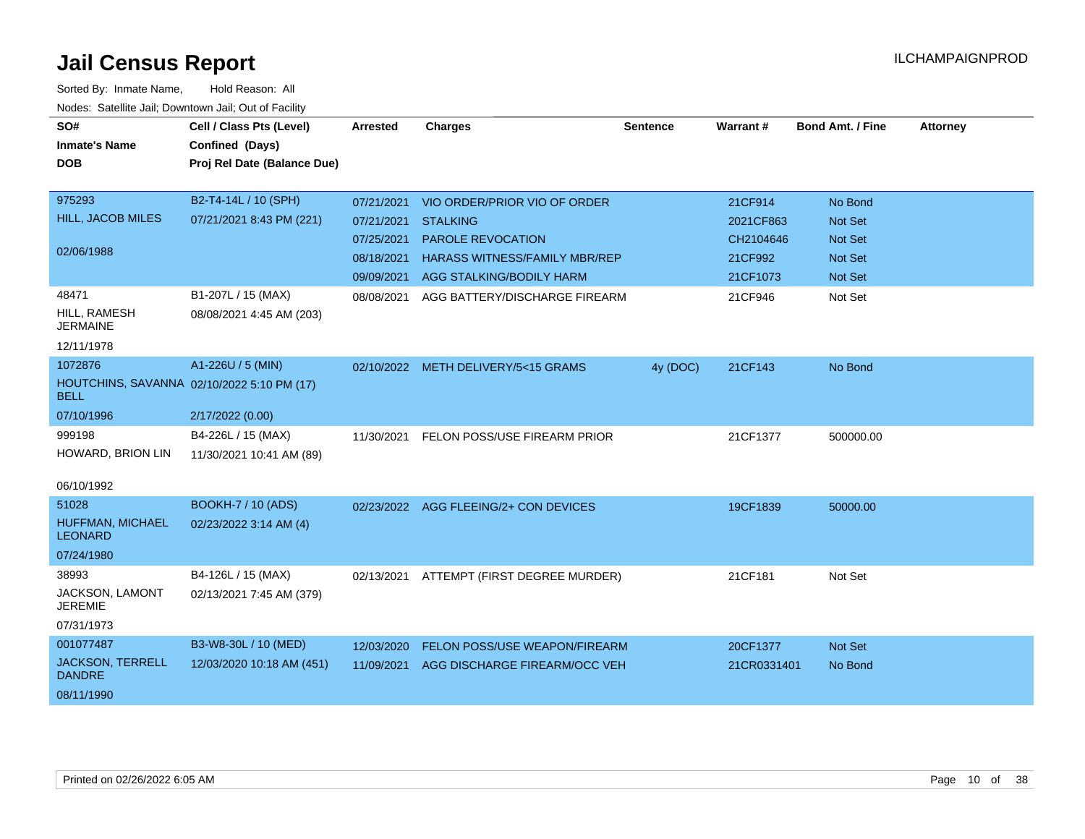| SO#<br><b>Inmate's Name</b><br><b>DOB</b>                              | Cell / Class Pts (Level)<br>Confined (Days)<br>Proj Rel Date (Balance Due) | <b>Arrested</b>                                      | <b>Charges</b>                                                                                                  | <b>Sentence</b> | Warrant#                                      | <b>Bond Amt. / Fine</b>                                | <b>Attorney</b> |
|------------------------------------------------------------------------|----------------------------------------------------------------------------|------------------------------------------------------|-----------------------------------------------------------------------------------------------------------------|-----------------|-----------------------------------------------|--------------------------------------------------------|-----------------|
| 975293                                                                 | B2-T4-14L / 10 (SPH)                                                       | 07/21/2021                                           | VIO ORDER/PRIOR VIO OF ORDER                                                                                    |                 | 21CF914                                       | No Bond                                                |                 |
| HILL, JACOB MILES<br>02/06/1988                                        | 07/21/2021 8:43 PM (221)                                                   | 07/21/2021<br>07/25/2021<br>08/18/2021<br>09/09/2021 | <b>STALKING</b><br><b>PAROLE REVOCATION</b><br><b>HARASS WITNESS/FAMILY MBR/REP</b><br>AGG STALKING/BODILY HARM |                 | 2021CF863<br>CH2104646<br>21CF992<br>21CF1073 | Not Set<br><b>Not Set</b><br>Not Set<br><b>Not Set</b> |                 |
| 48471<br>HILL, RAMESH<br><b>JERMAINE</b><br>12/11/1978                 | B1-207L / 15 (MAX)<br>08/08/2021 4:45 AM (203)                             | 08/08/2021                                           | AGG BATTERY/DISCHARGE FIREARM                                                                                   |                 | 21CF946                                       | Not Set                                                |                 |
| 1072876<br><b>BELL</b>                                                 | A1-226U / 5 (MIN)<br>HOUTCHINS, SAVANNA 02/10/2022 5:10 PM (17)            |                                                      | 02/10/2022 METH DELIVERY/5<15 GRAMS                                                                             | 4y (DOC)        | 21CF143                                       | No Bond                                                |                 |
| 07/10/1996<br>999198<br>HOWARD, BRION LIN                              | 2/17/2022 (0.00)<br>B4-226L / 15 (MAX)<br>11/30/2021 10:41 AM (89)         | 11/30/2021                                           | FELON POSS/USE FIREARM PRIOR                                                                                    |                 | 21CF1377                                      | 500000.00                                              |                 |
| 06/10/1992                                                             |                                                                            |                                                      |                                                                                                                 |                 |                                               |                                                        |                 |
| 51028<br>HUFFMAN, MICHAEL<br><b>LEONARD</b>                            | <b>BOOKH-7 / 10 (ADS)</b><br>02/23/2022 3:14 AM (4)                        |                                                      | 02/23/2022 AGG FLEEING/2+ CON DEVICES                                                                           |                 | 19CF1839                                      | 50000.00                                               |                 |
| 07/24/1980<br>38993<br>JACKSON, LAMONT<br><b>JEREMIE</b><br>07/31/1973 | B4-126L / 15 (MAX)<br>02/13/2021 7:45 AM (379)                             |                                                      | 02/13/2021 ATTEMPT (FIRST DEGREE MURDER)                                                                        |                 | 21CF181                                       | Not Set                                                |                 |
| 001077487<br><b>JACKSON, TERRELL</b><br><b>DANDRE</b><br>08/11/1990    | B3-W8-30L / 10 (MED)<br>12/03/2020 10:18 AM (451)                          | 12/03/2020<br>11/09/2021                             | FELON POSS/USE WEAPON/FIREARM<br>AGG DISCHARGE FIREARM/OCC VEH                                                  |                 | 20CF1377<br>21CR0331401                       | <b>Not Set</b><br>No Bond                              |                 |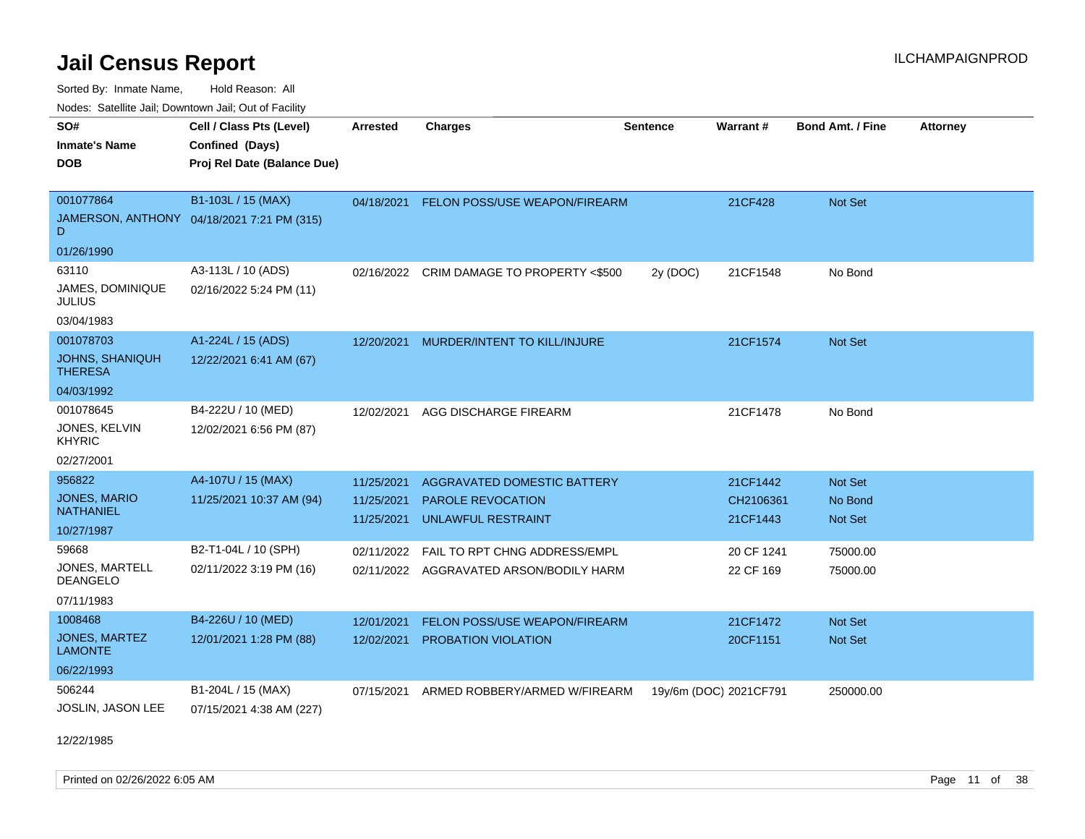Sorted By: Inmate Name, Hold Reason: All Nodes: Satellite Jail; Downtown Jail; Out of Facility

| roaco. Calcinio can, Downlown can, Out or Fability |                                            |                 |                                           |                 |                        |                         |                 |
|----------------------------------------------------|--------------------------------------------|-----------------|-------------------------------------------|-----------------|------------------------|-------------------------|-----------------|
| SO#                                                | Cell / Class Pts (Level)                   | <b>Arrested</b> | <b>Charges</b>                            | <b>Sentence</b> | Warrant#               | <b>Bond Amt. / Fine</b> | <b>Attorney</b> |
| <b>Inmate's Name</b>                               | Confined (Days)                            |                 |                                           |                 |                        |                         |                 |
| <b>DOB</b>                                         | Proj Rel Date (Balance Due)                |                 |                                           |                 |                        |                         |                 |
|                                                    |                                            |                 |                                           |                 |                        |                         |                 |
| 001077864                                          | B1-103L / 15 (MAX)                         |                 | 04/18/2021 FELON POSS/USE WEAPON/FIREARM  |                 | 21CF428                | Not Set                 |                 |
| D                                                  | JAMERSON, ANTHONY 04/18/2021 7:21 PM (315) |                 |                                           |                 |                        |                         |                 |
| 01/26/1990                                         |                                            |                 |                                           |                 |                        |                         |                 |
| 63110                                              | A3-113L / 10 (ADS)                         |                 | 02/16/2022 CRIM DAMAGE TO PROPERTY <\$500 | 2y (DOC)        | 21CF1548               | No Bond                 |                 |
| JAMES, DOMINIQUE<br>JULIUS                         | 02/16/2022 5:24 PM (11)                    |                 |                                           |                 |                        |                         |                 |
| 03/04/1983                                         |                                            |                 |                                           |                 |                        |                         |                 |
| 001078703                                          | A1-224L / 15 (ADS)                         | 12/20/2021      | MURDER/INTENT TO KILL/INJURE              |                 | 21CF1574               | Not Set                 |                 |
| JOHNS, SHANIQUH<br><b>THERESA</b>                  | 12/22/2021 6:41 AM (67)                    |                 |                                           |                 |                        |                         |                 |
| 04/03/1992                                         |                                            |                 |                                           |                 |                        |                         |                 |
| 001078645                                          | B4-222U / 10 (MED)                         | 12/02/2021      | AGG DISCHARGE FIREARM                     |                 | 21CF1478               | No Bond                 |                 |
| JONES, KELVIN<br><b>KHYRIC</b>                     | 12/02/2021 6:56 PM (87)                    |                 |                                           |                 |                        |                         |                 |
| 02/27/2001                                         |                                            |                 |                                           |                 |                        |                         |                 |
| 956822                                             | A4-107U / 15 (MAX)                         | 11/25/2021      | AGGRAVATED DOMESTIC BATTERY               |                 | 21CF1442               | Not Set                 |                 |
| <b>JONES, MARIO</b>                                | 11/25/2021 10:37 AM (94)                   | 11/25/2021      | <b>PAROLE REVOCATION</b>                  |                 | CH2106361              | No Bond                 |                 |
| <b>NATHANIEL</b>                                   |                                            | 11/25/2021      | <b>UNLAWFUL RESTRAINT</b>                 |                 | 21CF1443               | Not Set                 |                 |
| 10/27/1987                                         |                                            |                 |                                           |                 |                        |                         |                 |
| 59668                                              | B2-T1-04L / 10 (SPH)                       | 02/11/2022      | FAIL TO RPT CHNG ADDRESS/EMPL             |                 | 20 CF 1241             | 75000.00                |                 |
| <b>JONES, MARTELL</b><br><b>DEANGELO</b>           | 02/11/2022 3:19 PM (16)                    |                 | 02/11/2022 AGGRAVATED ARSON/BODILY HARM   |                 | 22 CF 169              | 75000.00                |                 |
| 07/11/1983                                         |                                            |                 |                                           |                 |                        |                         |                 |
| 1008468                                            | B4-226U / 10 (MED)                         | 12/01/2021      | FELON POSS/USE WEAPON/FIREARM             |                 | 21CF1472               | Not Set                 |                 |
| JONES, MARTEZ<br><b>LAMONTE</b>                    | 12/01/2021 1:28 PM (88)                    | 12/02/2021      | PROBATION VIOLATION                       |                 | 20CF1151               | <b>Not Set</b>          |                 |
| 06/22/1993                                         |                                            |                 |                                           |                 |                        |                         |                 |
| 506244                                             | B1-204L / 15 (MAX)                         | 07/15/2021      | ARMED ROBBERY/ARMED W/FIREARM             |                 | 19y/6m (DOC) 2021CF791 | 250000.00               |                 |
| JOSLIN, JASON LEE                                  | 07/15/2021 4:38 AM (227)                   |                 |                                           |                 |                        |                         |                 |

12/22/1985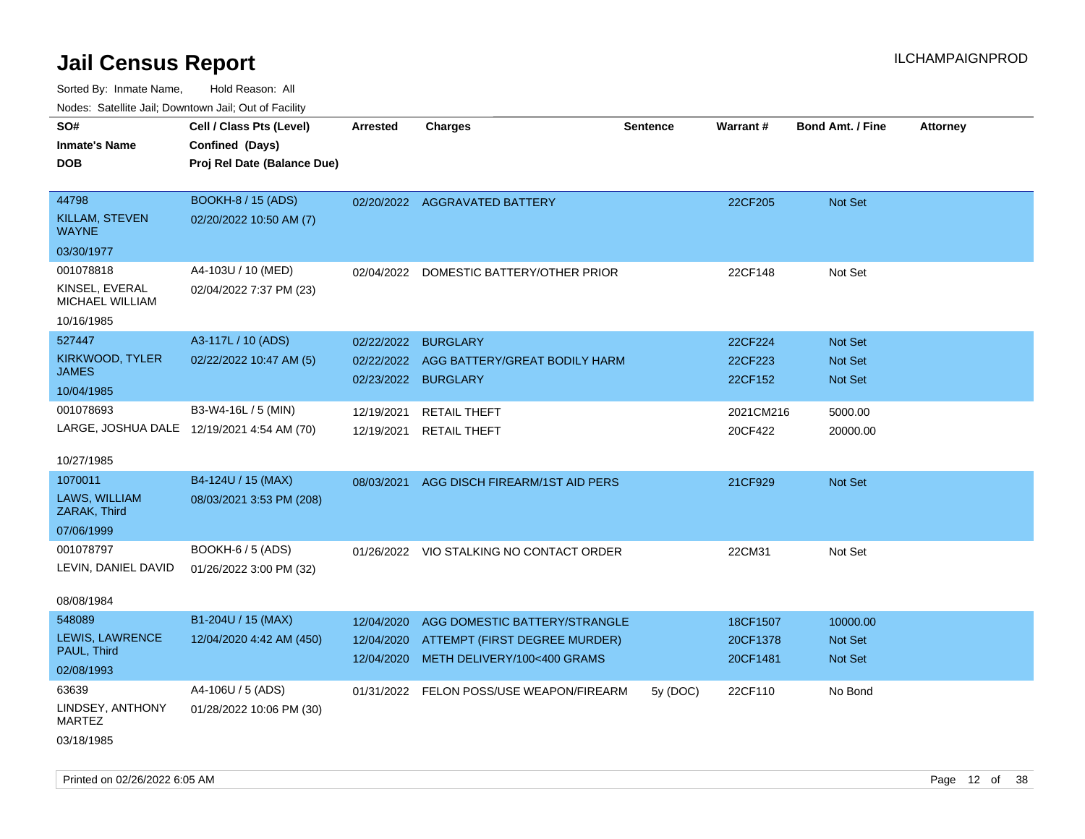| Noues. Salenne Jan, Downtown Jan, Out of Facility |                                            |            |                                          |          |           |                         |                 |
|---------------------------------------------------|--------------------------------------------|------------|------------------------------------------|----------|-----------|-------------------------|-----------------|
| SO#                                               | Cell / Class Pts (Level)                   | Arrested   | <b>Charges</b>                           | Sentence | Warrant#  | <b>Bond Amt. / Fine</b> | <b>Attorney</b> |
| <b>Inmate's Name</b>                              | Confined (Days)                            |            |                                          |          |           |                         |                 |
| <b>DOB</b>                                        | Proj Rel Date (Balance Due)                |            |                                          |          |           |                         |                 |
|                                                   |                                            |            |                                          |          |           |                         |                 |
| 44798                                             | <b>BOOKH-8 / 15 (ADS)</b>                  |            | 02/20/2022 AGGRAVATED BATTERY            |          | 22CF205   | Not Set                 |                 |
| <b>KILLAM, STEVEN</b><br><b>WAYNE</b>             | 02/20/2022 10:50 AM (7)                    |            |                                          |          |           |                         |                 |
| 03/30/1977                                        |                                            |            |                                          |          |           |                         |                 |
| 001078818                                         | A4-103U / 10 (MED)                         | 02/04/2022 | DOMESTIC BATTERY/OTHER PRIOR             |          | 22CF148   | Not Set                 |                 |
| KINSEL, EVERAL<br>MICHAEL WILLIAM                 | 02/04/2022 7:37 PM (23)                    |            |                                          |          |           |                         |                 |
| 10/16/1985                                        |                                            |            |                                          |          |           |                         |                 |
| 527447                                            | A3-117L / 10 (ADS)                         | 02/22/2022 | <b>BURGLARY</b>                          |          | 22CF224   | <b>Not Set</b>          |                 |
| KIRKWOOD, TYLER                                   | 02/22/2022 10:47 AM (5)                    | 02/22/2022 | AGG BATTERY/GREAT BODILY HARM            |          | 22CF223   | <b>Not Set</b>          |                 |
| <b>JAMES</b>                                      |                                            | 02/23/2022 | <b>BURGLARY</b>                          |          | 22CF152   | <b>Not Set</b>          |                 |
| 10/04/1985                                        |                                            |            |                                          |          |           |                         |                 |
| 001078693                                         | B3-W4-16L / 5 (MIN)                        | 12/19/2021 | <b>RETAIL THEFT</b>                      |          | 2021CM216 | 5000.00                 |                 |
|                                                   | LARGE, JOSHUA DALE 12/19/2021 4:54 AM (70) | 12/19/2021 | <b>RETAIL THEFT</b>                      |          | 20CF422   | 20000.00                |                 |
|                                                   |                                            |            |                                          |          |           |                         |                 |
| 10/27/1985                                        |                                            |            |                                          |          |           |                         |                 |
| 1070011                                           | B4-124U / 15 (MAX)                         | 08/03/2021 | AGG DISCH FIREARM/1ST AID PERS           |          | 21CF929   | <b>Not Set</b>          |                 |
| LAWS, WILLIAM<br>ZARAK, Third                     | 08/03/2021 3:53 PM (208)                   |            |                                          |          |           |                         |                 |
| 07/06/1999                                        |                                            |            |                                          |          |           |                         |                 |
| 001078797                                         | <b>BOOKH-6 / 5 (ADS)</b>                   |            | 01/26/2022 VIO STALKING NO CONTACT ORDER |          | 22CM31    | Not Set                 |                 |
| LEVIN, DANIEL DAVID                               | 01/26/2022 3:00 PM (32)                    |            |                                          |          |           |                         |                 |
|                                                   |                                            |            |                                          |          |           |                         |                 |
| 08/08/1984                                        |                                            |            |                                          |          |           |                         |                 |
| 548089                                            | B1-204U / 15 (MAX)                         | 12/04/2020 | AGG DOMESTIC BATTERY/STRANGLE            |          | 18CF1507  | 10000.00                |                 |
| LEWIS, LAWRENCE                                   | 12/04/2020 4:42 AM (450)                   | 12/04/2020 | ATTEMPT (FIRST DEGREE MURDER)            |          | 20CF1378  | Not Set                 |                 |
| PAUL, Third                                       |                                            | 12/04/2020 | METH DELIVERY/100<400 GRAMS              |          | 20CF1481  | <b>Not Set</b>          |                 |
| 02/08/1993                                        |                                            |            |                                          |          |           |                         |                 |
| 63639                                             | A4-106U / 5 (ADS)                          |            | 01/31/2022 FELON POSS/USE WEAPON/FIREARM | 5y (DOC) | 22CF110   | No Bond                 |                 |
| LINDSEY, ANTHONY<br>MARTEZ                        | 01/28/2022 10:06 PM (30)                   |            |                                          |          |           |                         |                 |
| 03/18/1985                                        |                                            |            |                                          |          |           |                         |                 |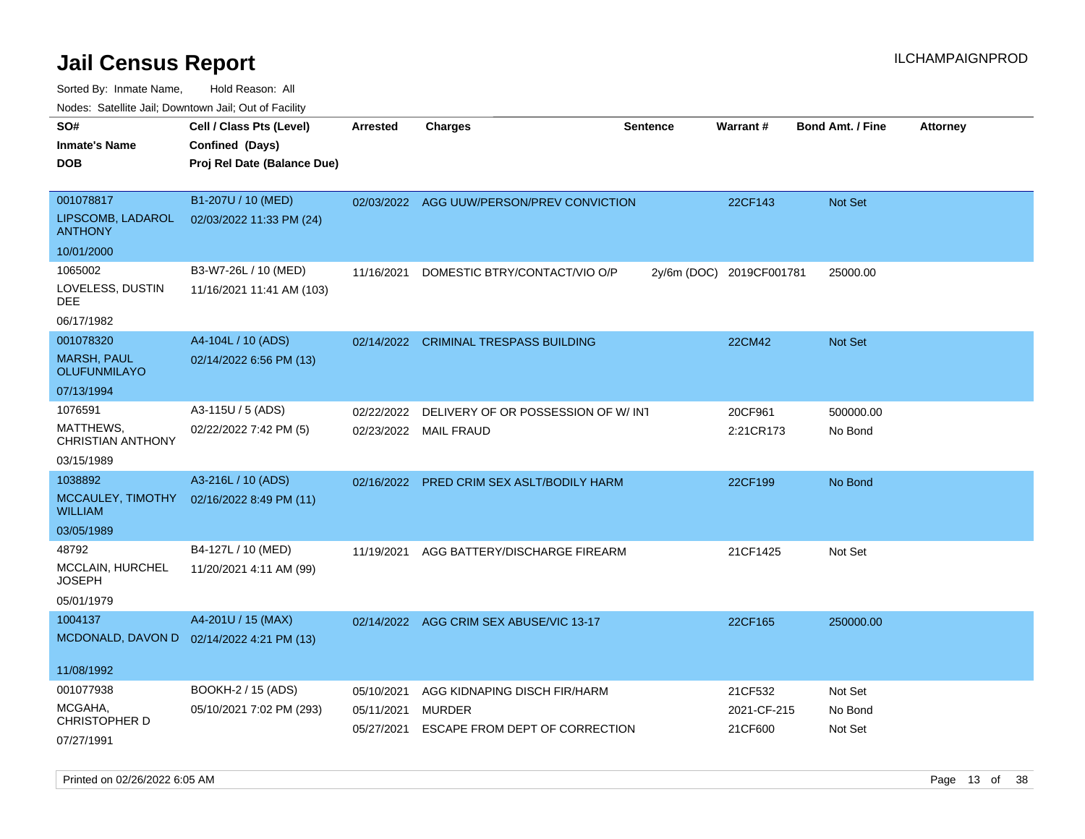| roaco. Oatomto dan, Downtown dan, Oat or Fability |                                           |                 |                                           |                 |                          |                         |                 |
|---------------------------------------------------|-------------------------------------------|-----------------|-------------------------------------------|-----------------|--------------------------|-------------------------|-----------------|
| SO#                                               | Cell / Class Pts (Level)                  | <b>Arrested</b> | <b>Charges</b>                            | <b>Sentence</b> | Warrant#                 | <b>Bond Amt. / Fine</b> | <b>Attorney</b> |
| <b>Inmate's Name</b>                              | Confined (Days)                           |                 |                                           |                 |                          |                         |                 |
| <b>DOB</b>                                        | Proj Rel Date (Balance Due)               |                 |                                           |                 |                          |                         |                 |
|                                                   |                                           |                 |                                           |                 |                          |                         |                 |
| 001078817                                         | B1-207U / 10 (MED)                        |                 | 02/03/2022 AGG UUW/PERSON/PREV CONVICTION |                 | 22CF143                  | <b>Not Set</b>          |                 |
| LIPSCOMB, LADAROL<br><b>ANTHONY</b>               | 02/03/2022 11:33 PM (24)                  |                 |                                           |                 |                          |                         |                 |
| 10/01/2000                                        |                                           |                 |                                           |                 |                          |                         |                 |
| 1065002                                           | B3-W7-26L / 10 (MED)                      | 11/16/2021      | DOMESTIC BTRY/CONTACT/VIO O/P             |                 | 2y/6m (DOC) 2019CF001781 | 25000.00                |                 |
| LOVELESS, DUSTIN<br>DEE                           | 11/16/2021 11:41 AM (103)                 |                 |                                           |                 |                          |                         |                 |
| 06/17/1982                                        |                                           |                 |                                           |                 |                          |                         |                 |
| 001078320                                         | A4-104L / 10 (ADS)                        | 02/14/2022      | <b>CRIMINAL TRESPASS BUILDING</b>         |                 | 22CM42                   | <b>Not Set</b>          |                 |
| <b>MARSH, PAUL</b><br><b>OLUFUNMILAYO</b>         | 02/14/2022 6:56 PM (13)                   |                 |                                           |                 |                          |                         |                 |
| 07/13/1994                                        |                                           |                 |                                           |                 |                          |                         |                 |
| 1076591                                           | A3-115U / 5 (ADS)                         | 02/22/2022      | DELIVERY OF OR POSSESSION OF W/INT        |                 | 20CF961                  | 500000.00               |                 |
| MATTHEWS,<br><b>CHRISTIAN ANTHONY</b>             | 02/22/2022 7:42 PM (5)                    | 02/23/2022      | <b>MAIL FRAUD</b>                         |                 | 2:21CR173                | No Bond                 |                 |
| 03/15/1989                                        |                                           |                 |                                           |                 |                          |                         |                 |
| 1038892                                           | A3-216L / 10 (ADS)                        | 02/16/2022      | PRED CRIM SEX ASLT/BODILY HARM            |                 | 22CF199                  | No Bond                 |                 |
| MCCAULEY, TIMOTHY<br><b>WILLIAM</b>               | 02/16/2022 8:49 PM (11)                   |                 |                                           |                 |                          |                         |                 |
| 03/05/1989                                        |                                           |                 |                                           |                 |                          |                         |                 |
| 48792                                             | B4-127L / 10 (MED)                        | 11/19/2021      | AGG BATTERY/DISCHARGE FIREARM             |                 | 21CF1425                 | Not Set                 |                 |
| MCCLAIN, HURCHEL<br><b>JOSEPH</b>                 | 11/20/2021 4:11 AM (99)                   |                 |                                           |                 |                          |                         |                 |
| 05/01/1979                                        |                                           |                 |                                           |                 |                          |                         |                 |
| 1004137                                           | A4-201U / 15 (MAX)                        |                 | 02/14/2022 AGG CRIM SEX ABUSE/VIC 13-17   |                 | 22CF165                  | 250000.00               |                 |
|                                                   | MCDONALD, DAVON D 02/14/2022 4:21 PM (13) |                 |                                           |                 |                          |                         |                 |
| 11/08/1992                                        |                                           |                 |                                           |                 |                          |                         |                 |
| 001077938                                         | BOOKH-2 / 15 (ADS)                        | 05/10/2021      | AGG KIDNAPING DISCH FIR/HARM              |                 | 21CF532                  | Not Set                 |                 |
| MCGAHA,                                           | 05/10/2021 7:02 PM (293)                  | 05/11/2021      | <b>MURDER</b>                             |                 | 2021-CF-215              | No Bond                 |                 |
| <b>CHRISTOPHER D</b>                              |                                           | 05/27/2021      | ESCAPE FROM DEPT OF CORRECTION            |                 | 21CF600                  | Not Set                 |                 |
| 07/27/1991                                        |                                           |                 |                                           |                 |                          |                         |                 |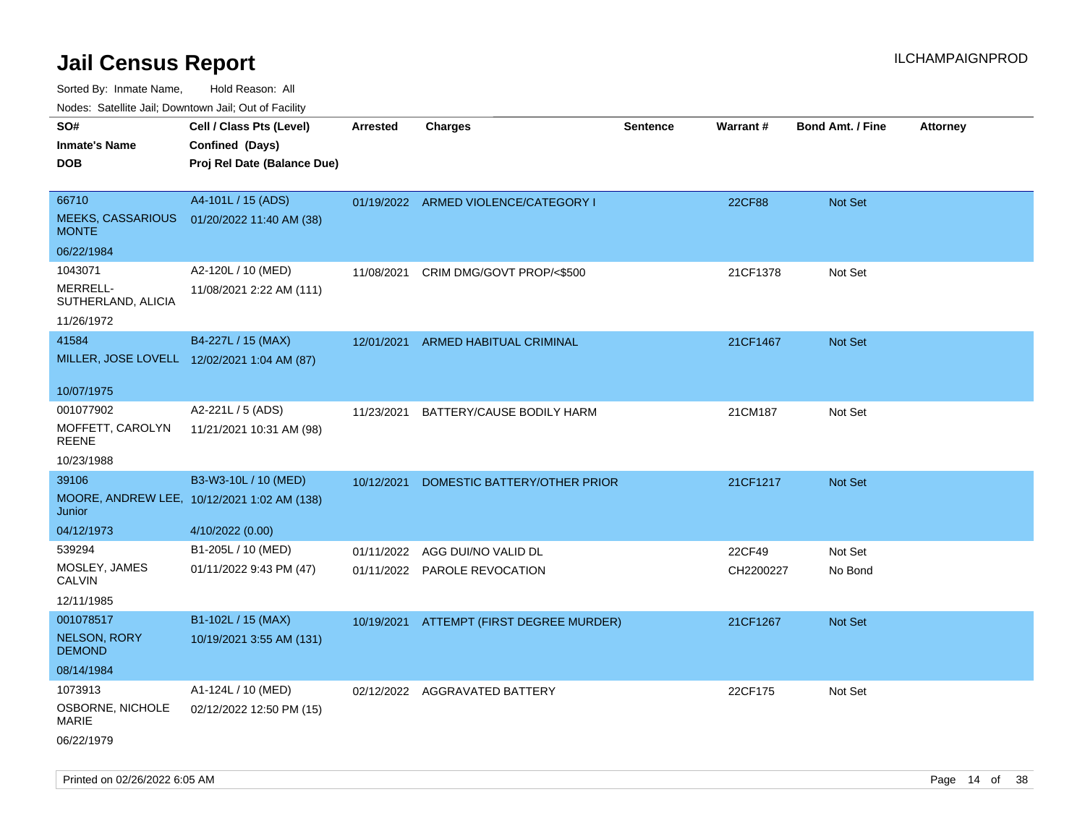Sorted By: Inmate Name, Hold Reason: All

Nodes: Satellite Jail; Downtown Jail; Out of Facility

| roaco. Catolino dall, Downtown dall, Out of Fability |                                             |                 |                                          |                 |                 |                         |                 |
|------------------------------------------------------|---------------------------------------------|-----------------|------------------------------------------|-----------------|-----------------|-------------------------|-----------------|
| SO#                                                  | Cell / Class Pts (Level)                    | <b>Arrested</b> | <b>Charges</b>                           | <b>Sentence</b> | <b>Warrant#</b> | <b>Bond Amt. / Fine</b> | <b>Attorney</b> |
| <b>Inmate's Name</b>                                 | Confined (Days)                             |                 |                                          |                 |                 |                         |                 |
| <b>DOB</b>                                           | Proj Rel Date (Balance Due)                 |                 |                                          |                 |                 |                         |                 |
|                                                      |                                             |                 |                                          |                 |                 |                         |                 |
| 66710                                                | A4-101L / 15 (ADS)                          |                 | 01/19/2022 ARMED VIOLENCE/CATEGORY I     |                 | <b>22CF88</b>   | Not Set                 |                 |
| <b>MEEKS, CASSARIOUS</b><br><b>MONTE</b>             | 01/20/2022 11:40 AM (38)                    |                 |                                          |                 |                 |                         |                 |
| 06/22/1984                                           |                                             |                 |                                          |                 |                 |                         |                 |
| 1043071                                              | A2-120L / 10 (MED)                          | 11/08/2021      | CRIM DMG/GOVT PROP/<\$500                |                 | 21CF1378        | Not Set                 |                 |
| MERRELL-<br>SUTHERLAND, ALICIA                       | 11/08/2021 2:22 AM (111)                    |                 |                                          |                 |                 |                         |                 |
| 11/26/1972                                           |                                             |                 |                                          |                 |                 |                         |                 |
| 41584                                                | B4-227L / 15 (MAX)                          | 12/01/2021      | ARMED HABITUAL CRIMINAL                  |                 | 21CF1467        | Not Set                 |                 |
| MILLER, JOSE LOVELL 12/02/2021 1:04 AM (87)          |                                             |                 |                                          |                 |                 |                         |                 |
|                                                      |                                             |                 |                                          |                 |                 |                         |                 |
| 10/07/1975                                           |                                             |                 |                                          |                 |                 |                         |                 |
| 001077902                                            | A2-221L / 5 (ADS)                           | 11/23/2021      | BATTERY/CAUSE BODILY HARM                |                 | 21CM187         | Not Set                 |                 |
| MOFFETT, CAROLYN<br><b>REENE</b>                     | 11/21/2021 10:31 AM (98)                    |                 |                                          |                 |                 |                         |                 |
| 10/23/1988                                           |                                             |                 |                                          |                 |                 |                         |                 |
| 39106                                                | B3-W3-10L / 10 (MED)                        | 10/12/2021      | DOMESTIC BATTERY/OTHER PRIOR             |                 | 21CF1217        | Not Set                 |                 |
| Junior                                               | MOORE, ANDREW LEE, 10/12/2021 1:02 AM (138) |                 |                                          |                 |                 |                         |                 |
| 04/12/1973                                           | 4/10/2022 (0.00)                            |                 |                                          |                 |                 |                         |                 |
| 539294                                               | B1-205L / 10 (MED)                          | 01/11/2022      | AGG DUI/NO VALID DL                      |                 | 22CF49          | Not Set                 |                 |
| MOSLEY, JAMES<br><b>CALVIN</b>                       | 01/11/2022 9:43 PM (47)                     |                 | 01/11/2022 PAROLE REVOCATION             |                 | CH2200227       | No Bond                 |                 |
| 12/11/1985                                           |                                             |                 |                                          |                 |                 |                         |                 |
| 001078517                                            | B1-102L / 15 (MAX)                          |                 | 10/19/2021 ATTEMPT (FIRST DEGREE MURDER) |                 | 21CF1267        | Not Set                 |                 |
| <b>NELSON, RORY</b><br><b>DEMOND</b>                 | 10/19/2021 3:55 AM (131)                    |                 |                                          |                 |                 |                         |                 |
| 08/14/1984                                           |                                             |                 |                                          |                 |                 |                         |                 |
| 1073913                                              | A1-124L / 10 (MED)                          |                 | 02/12/2022 AGGRAVATED BATTERY            |                 | 22CF175         | Not Set                 |                 |
| OSBORNE, NICHOLE<br><b>MARIE</b>                     | 02/12/2022 12:50 PM (15)                    |                 |                                          |                 |                 |                         |                 |
| 06/22/1979                                           |                                             |                 |                                          |                 |                 |                         |                 |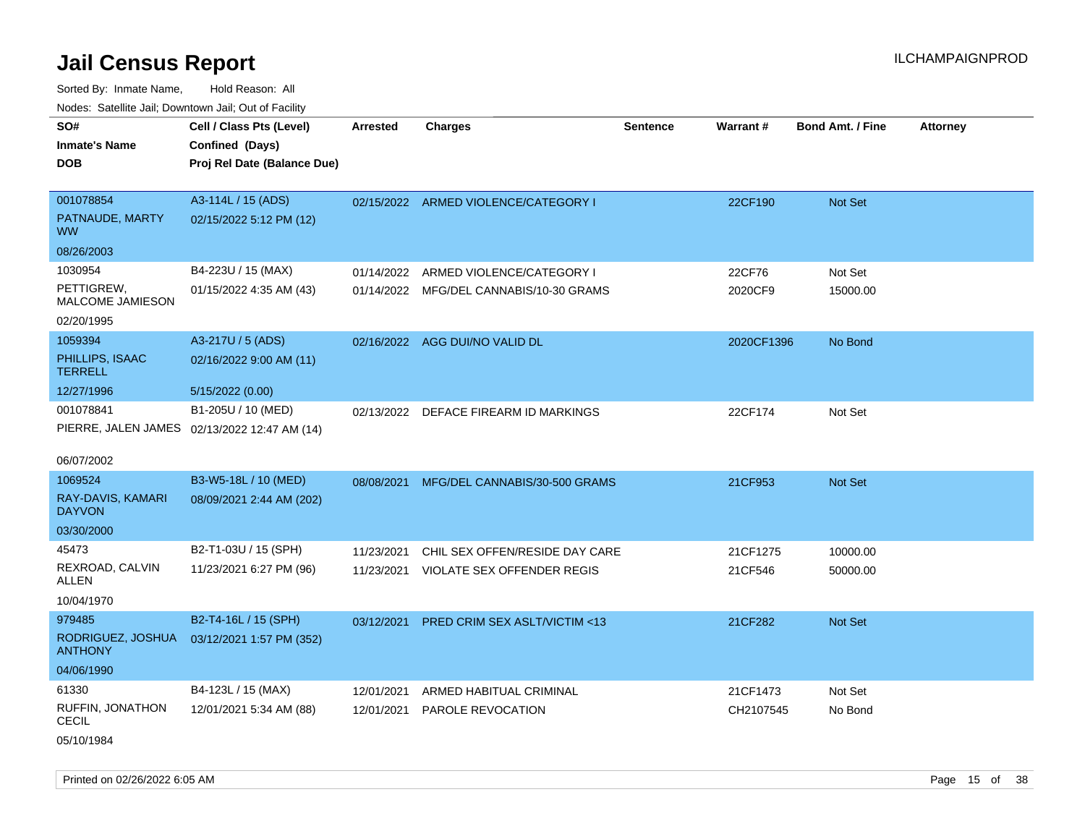Sorted By: Inmate Name, Hold Reason: All Nodes: Satellite Jail; Downtown Jail; Out of Facility

| Hodoo: Catolino Jan, Bowntown Jan, Oat of Fability |                                                                            |                 |                                         |                 |            |                         |                 |
|----------------------------------------------------|----------------------------------------------------------------------------|-----------------|-----------------------------------------|-----------------|------------|-------------------------|-----------------|
| SO#<br><b>Inmate's Name</b><br><b>DOB</b>          | Cell / Class Pts (Level)<br>Confined (Days)<br>Proj Rel Date (Balance Due) | <b>Arrested</b> | <b>Charges</b>                          | <b>Sentence</b> | Warrant#   | <b>Bond Amt. / Fine</b> | <b>Attorney</b> |
| 001078854<br>PATNAUDE, MARTY                       | A3-114L / 15 (ADS)<br>02/15/2022 5:12 PM (12)                              |                 | 02/15/2022 ARMED VIOLENCE/CATEGORY I    |                 | 22CF190    | Not Set                 |                 |
| WW.                                                |                                                                            |                 |                                         |                 |            |                         |                 |
| 08/26/2003                                         |                                                                            |                 |                                         |                 |            |                         |                 |
| 1030954                                            | B4-223U / 15 (MAX)                                                         | 01/14/2022      | ARMED VIOLENCE/CATEGORY I               |                 | 22CF76     | Not Set                 |                 |
| PETTIGREW,<br><b>MALCOME JAMIESON</b>              | 01/15/2022 4:35 AM (43)                                                    | 01/14/2022      | MFG/DEL CANNABIS/10-30 GRAMS            |                 | 2020CF9    | 15000.00                |                 |
| 02/20/1995                                         |                                                                            |                 |                                         |                 |            |                         |                 |
| 1059394                                            | A3-217U / 5 (ADS)                                                          |                 | 02/16/2022 AGG DUI/NO VALID DL          |                 | 2020CF1396 | No Bond                 |                 |
| PHILLIPS, ISAAC<br><b>TERRELL</b>                  | 02/16/2022 9:00 AM (11)                                                    |                 |                                         |                 |            |                         |                 |
| 12/27/1996                                         | 5/15/2022 (0.00)                                                           |                 |                                         |                 |            |                         |                 |
| 001078841                                          | B1-205U / 10 (MED)                                                         |                 | 02/13/2022 DEFACE FIREARM ID MARKINGS   |                 | 22CF174    | Not Set                 |                 |
|                                                    | PIERRE, JALEN JAMES 02/13/2022 12:47 AM (14)                               |                 |                                         |                 |            |                         |                 |
| 06/07/2002                                         |                                                                            |                 |                                         |                 |            |                         |                 |
| 1069524                                            | B3-W5-18L / 10 (MED)                                                       | 08/08/2021      | MFG/DEL CANNABIS/30-500 GRAMS           |                 | 21CF953    | Not Set                 |                 |
| RAY-DAVIS, KAMARI<br><b>DAYVON</b>                 | 08/09/2021 2:44 AM (202)                                                   |                 |                                         |                 |            |                         |                 |
| 03/30/2000                                         |                                                                            |                 |                                         |                 |            |                         |                 |
| 45473                                              | B2-T1-03U / 15 (SPH)                                                       | 11/23/2021      | CHIL SEX OFFEN/RESIDE DAY CARE          |                 | 21CF1275   | 10000.00                |                 |
| REXROAD, CALVIN<br>ALLEN                           | 11/23/2021 6:27 PM (96)                                                    | 11/23/2021      | <b>VIOLATE SEX OFFENDER REGIS</b>       |                 | 21CF546    | 50000.00                |                 |
| 10/04/1970                                         |                                                                            |                 |                                         |                 |            |                         |                 |
| 979485                                             | B2-T4-16L / 15 (SPH)                                                       | 03/12/2021      | <b>PRED CRIM SEX ASLT/VICTIM &lt;13</b> |                 | 21CF282    | <b>Not Set</b>          |                 |
| RODRIGUEZ, JOSHUA<br><b>ANTHONY</b>                | 03/12/2021 1:57 PM (352)                                                   |                 |                                         |                 |            |                         |                 |
| 04/06/1990                                         |                                                                            |                 |                                         |                 |            |                         |                 |
| 61330                                              | B4-123L / 15 (MAX)                                                         | 12/01/2021      | ARMED HABITUAL CRIMINAL                 |                 | 21CF1473   | Not Set                 |                 |
| RUFFIN, JONATHON<br><b>CECIL</b>                   | 12/01/2021 5:34 AM (88)                                                    | 12/01/2021      | PAROLE REVOCATION                       |                 | CH2107545  | No Bond                 |                 |

05/10/1984

Printed on 02/26/2022 6:05 AM Page 15 of 38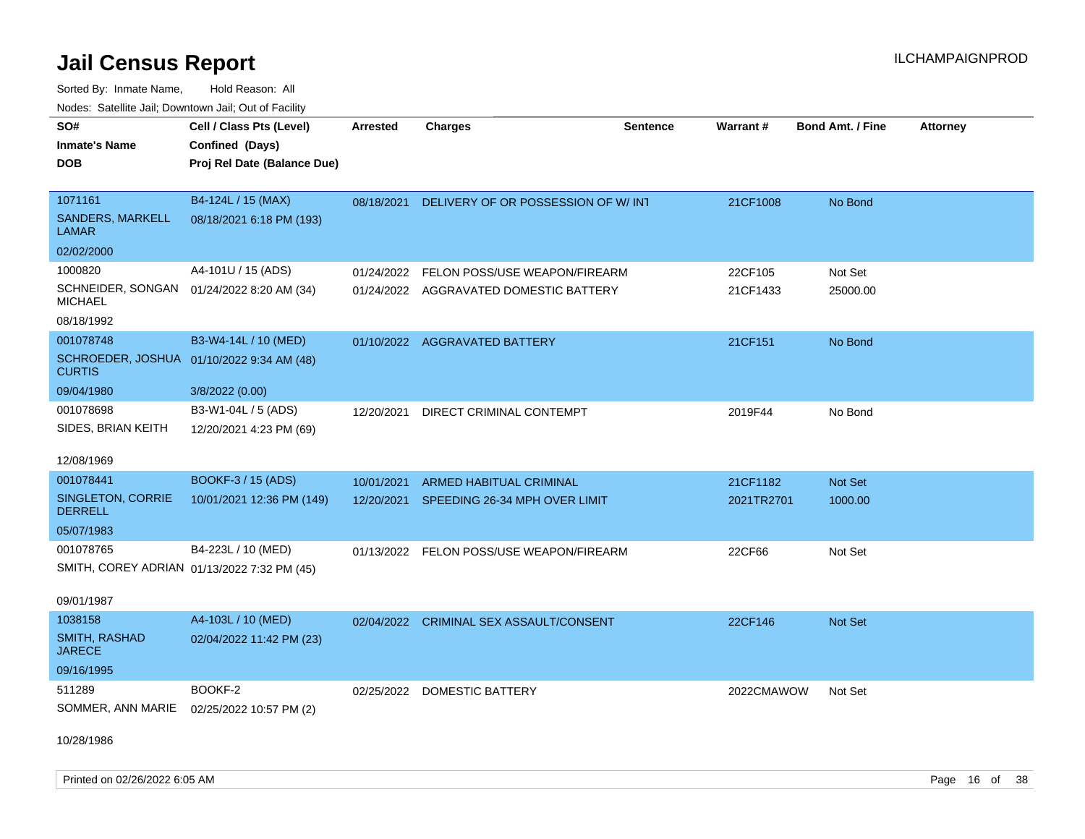Sorted By: Inmate Name, Hold Reason: All Nodes: Satellite Jail; Downtown Jail; Out of Facility

| SO#                                     | Cell / Class Pts (Level)                    | <b>Arrested</b> | <b>Charges</b>                           | <b>Sentence</b> | Warrant#   | <b>Bond Amt. / Fine</b> | <b>Attorney</b> |
|-----------------------------------------|---------------------------------------------|-----------------|------------------------------------------|-----------------|------------|-------------------------|-----------------|
|                                         |                                             |                 |                                          |                 |            |                         |                 |
| <b>Inmate's Name</b>                    | Confined (Days)                             |                 |                                          |                 |            |                         |                 |
| <b>DOB</b>                              | Proj Rel Date (Balance Due)                 |                 |                                          |                 |            |                         |                 |
|                                         |                                             |                 |                                          |                 |            |                         |                 |
| 1071161                                 | B4-124L / 15 (MAX)                          | 08/18/2021      | DELIVERY OF OR POSSESSION OF W/INT       |                 | 21CF1008   | No Bond                 |                 |
| <b>SANDERS, MARKELL</b><br><b>LAMAR</b> | 08/18/2021 6:18 PM (193)                    |                 |                                          |                 |            |                         |                 |
| 02/02/2000                              |                                             |                 |                                          |                 |            |                         |                 |
| 1000820                                 | A4-101U / 15 (ADS)                          |                 | 01/24/2022 FELON POSS/USE WEAPON/FIREARM |                 | 22CF105    | Not Set                 |                 |
| <b>MICHAEL</b>                          | SCHNEIDER, SONGAN 01/24/2022 8:20 AM (34)   |                 | 01/24/2022 AGGRAVATED DOMESTIC BATTERY   |                 | 21CF1433   | 25000.00                |                 |
| 08/18/1992                              |                                             |                 |                                          |                 |            |                         |                 |
| 001078748                               | B3-W4-14L / 10 (MED)                        |                 | 01/10/2022 AGGRAVATED BATTERY            |                 | 21CF151    | No Bond                 |                 |
| <b>CURTIS</b>                           | SCHROEDER, JOSHUA 01/10/2022 9:34 AM (48)   |                 |                                          |                 |            |                         |                 |
| 09/04/1980                              | 3/8/2022 (0.00)                             |                 |                                          |                 |            |                         |                 |
| 001078698                               | B3-W1-04L / 5 (ADS)                         | 12/20/2021      | DIRECT CRIMINAL CONTEMPT                 |                 | 2019F44    | No Bond                 |                 |
| SIDES, BRIAN KEITH                      | 12/20/2021 4:23 PM (69)                     |                 |                                          |                 |            |                         |                 |
|                                         |                                             |                 |                                          |                 |            |                         |                 |
| 12/08/1969                              |                                             |                 |                                          |                 |            |                         |                 |
| 001078441                               | BOOKF-3 / 15 (ADS)                          | 10/01/2021      | <b>ARMED HABITUAL CRIMINAL</b>           |                 | 21CF1182   | Not Set                 |                 |
| SINGLETON, CORRIE<br><b>DERRELL</b>     | 10/01/2021 12:36 PM (149)                   |                 | 12/20/2021 SPEEDING 26-34 MPH OVER LIMIT |                 | 2021TR2701 | 1000.00                 |                 |
| 05/07/1983                              |                                             |                 |                                          |                 |            |                         |                 |
| 001078765                               | B4-223L / 10 (MED)                          |                 | 01/13/2022 FELON POSS/USE WEAPON/FIREARM |                 | 22CF66     | Not Set                 |                 |
|                                         | SMITH, COREY ADRIAN 01/13/2022 7:32 PM (45) |                 |                                          |                 |            |                         |                 |
| 09/01/1987                              |                                             |                 |                                          |                 |            |                         |                 |
| 1038158                                 | A4-103L / 10 (MED)                          | 02/04/2022      | <b>CRIMINAL SEX ASSAULT/CONSENT</b>      |                 | 22CF146    | Not Set                 |                 |
| SMITH, RASHAD<br><b>JARECE</b>          | 02/04/2022 11:42 PM (23)                    |                 |                                          |                 |            |                         |                 |
| 09/16/1995                              |                                             |                 |                                          |                 |            |                         |                 |
| 511289                                  | BOOKF-2                                     |                 | 02/25/2022 DOMESTIC BATTERY              |                 | 2022CMAWOW | Not Set                 |                 |
| SOMMER, ANN MARIE                       | 02/25/2022 10:57 PM (2)                     |                 |                                          |                 |            |                         |                 |
|                                         |                                             |                 |                                          |                 |            |                         |                 |

10/28/1986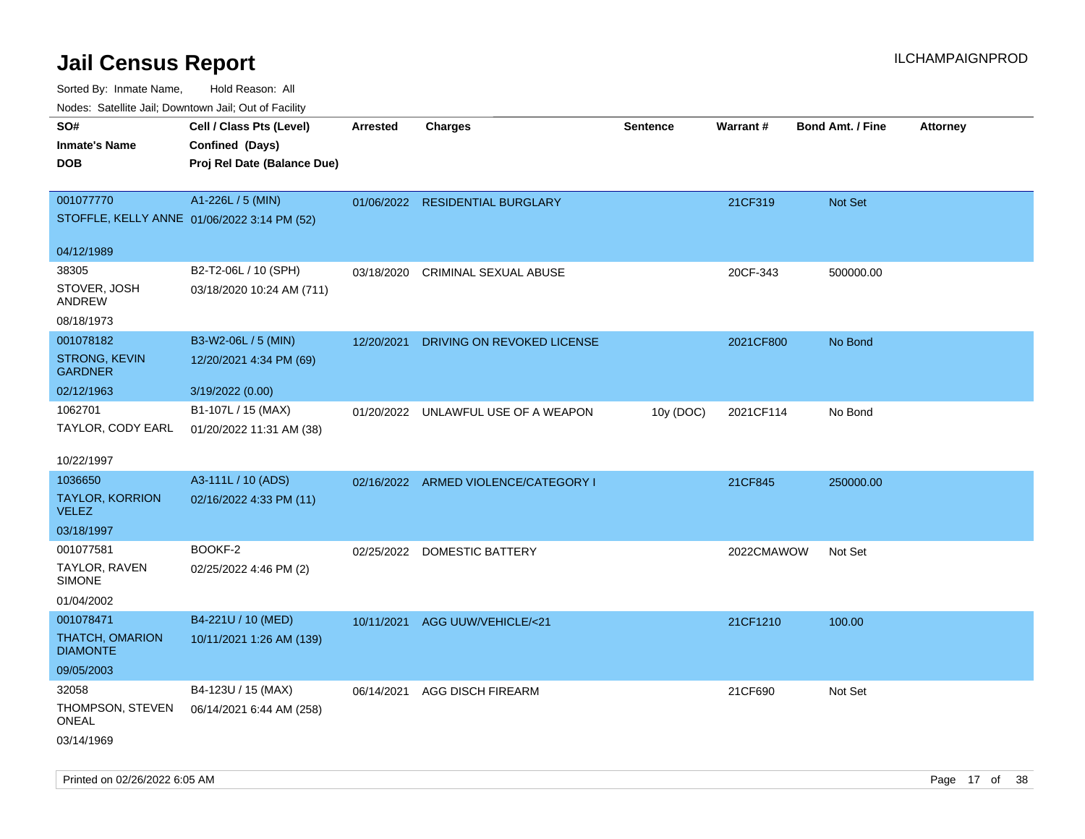| Nodes: Satellite Jali, Downtown Jali, Out of Facility |                             |                 |                                      |                 |            |                         |                 |
|-------------------------------------------------------|-----------------------------|-----------------|--------------------------------------|-----------------|------------|-------------------------|-----------------|
| SO#                                                   | Cell / Class Pts (Level)    | <b>Arrested</b> | <b>Charges</b>                       | <b>Sentence</b> | Warrant#   | <b>Bond Amt. / Fine</b> | <b>Attorney</b> |
| <b>Inmate's Name</b>                                  | Confined (Days)             |                 |                                      |                 |            |                         |                 |
| <b>DOB</b>                                            | Proj Rel Date (Balance Due) |                 |                                      |                 |            |                         |                 |
|                                                       |                             |                 |                                      |                 |            |                         |                 |
| 001077770                                             | A1-226L / 5 (MIN)           |                 | 01/06/2022 RESIDENTIAL BURGLARY      |                 | 21CF319    | Not Set                 |                 |
| STOFFLE, KELLY ANNE 01/06/2022 3:14 PM (52)           |                             |                 |                                      |                 |            |                         |                 |
| 04/12/1989                                            |                             |                 |                                      |                 |            |                         |                 |
| 38305                                                 | B2-T2-06L / 10 (SPH)        | 03/18/2020      | <b>CRIMINAL SEXUAL ABUSE</b>         |                 | 20CF-343   | 500000.00               |                 |
| STOVER, JOSH<br>ANDREW                                | 03/18/2020 10:24 AM (711)   |                 |                                      |                 |            |                         |                 |
| 08/18/1973                                            |                             |                 |                                      |                 |            |                         |                 |
| 001078182                                             | B3-W2-06L / 5 (MIN)         | 12/20/2021      | DRIVING ON REVOKED LICENSE           |                 | 2021CF800  | No Bond                 |                 |
| <b>STRONG, KEVIN</b><br><b>GARDNER</b>                | 12/20/2021 4:34 PM (69)     |                 |                                      |                 |            |                         |                 |
| 02/12/1963                                            | 3/19/2022 (0.00)            |                 |                                      |                 |            |                         |                 |
| 1062701                                               | B1-107L / 15 (MAX)          |                 | 01/20/2022 UNLAWFUL USE OF A WEAPON  | 10y (DOC)       | 2021CF114  | No Bond                 |                 |
| TAYLOR, CODY EARL                                     | 01/20/2022 11:31 AM (38)    |                 |                                      |                 |            |                         |                 |
| 10/22/1997                                            |                             |                 |                                      |                 |            |                         |                 |
| 1036650                                               | A3-111L / 10 (ADS)          |                 | 02/16/2022 ARMED VIOLENCE/CATEGORY I |                 | 21CF845    | 250000.00               |                 |
| <b>TAYLOR, KORRION</b><br><b>VELEZ</b>                | 02/16/2022 4:33 PM (11)     |                 |                                      |                 |            |                         |                 |
| 03/18/1997                                            |                             |                 |                                      |                 |            |                         |                 |
| 001077581                                             | BOOKF-2                     | 02/25/2022      | DOMESTIC BATTERY                     |                 | 2022CMAWOW | Not Set                 |                 |
| TAYLOR, RAVEN<br><b>SIMONE</b>                        | 02/25/2022 4:46 PM (2)      |                 |                                      |                 |            |                         |                 |
| 01/04/2002                                            |                             |                 |                                      |                 |            |                         |                 |
| 001078471                                             | B4-221U / 10 (MED)          | 10/11/2021      | AGG UUW/VEHICLE/<21                  |                 | 21CF1210   | 100.00                  |                 |
| <b>THATCH, OMARION</b><br><b>DIAMONTE</b>             | 10/11/2021 1:26 AM (139)    |                 |                                      |                 |            |                         |                 |
| 09/05/2003                                            |                             |                 |                                      |                 |            |                         |                 |
| 32058                                                 | B4-123U / 15 (MAX)          | 06/14/2021      | AGG DISCH FIREARM                    |                 | 21CF690    | Not Set                 |                 |
| THOMPSON, STEVEN<br>ONEAL                             | 06/14/2021 6:44 AM (258)    |                 |                                      |                 |            |                         |                 |
| 03/14/1969                                            |                             |                 |                                      |                 |            |                         |                 |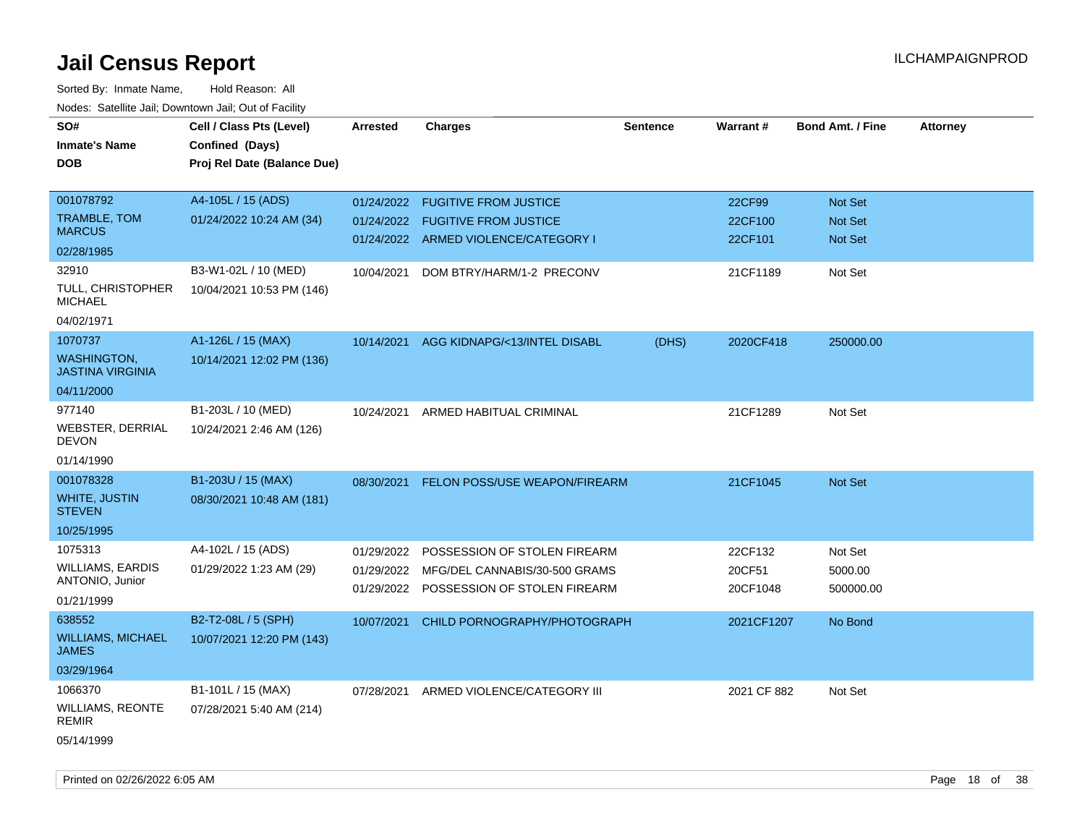| roaco. Oatomto dan, Downtown dan, Oat or Fability |                             |                 |                                         |                 |             |                         |                 |
|---------------------------------------------------|-----------------------------|-----------------|-----------------------------------------|-----------------|-------------|-------------------------|-----------------|
| SO#                                               | Cell / Class Pts (Level)    | <b>Arrested</b> | <b>Charges</b>                          | <b>Sentence</b> | Warrant#    | <b>Bond Amt. / Fine</b> | <b>Attorney</b> |
| <b>Inmate's Name</b>                              | Confined (Days)             |                 |                                         |                 |             |                         |                 |
| <b>DOB</b>                                        | Proj Rel Date (Balance Due) |                 |                                         |                 |             |                         |                 |
|                                                   |                             |                 |                                         |                 |             |                         |                 |
| 001078792                                         | A4-105L / 15 (ADS)          |                 | 01/24/2022 FUGITIVE FROM JUSTICE        |                 | 22CF99      | Not Set                 |                 |
| TRAMBLE, TOM                                      | 01/24/2022 10:24 AM (34)    |                 | 01/24/2022 FUGITIVE FROM JUSTICE        |                 | 22CF100     | <b>Not Set</b>          |                 |
| <b>MARCUS</b>                                     |                             |                 | 01/24/2022 ARMED VIOLENCE/CATEGORY I    |                 | 22CF101     | Not Set                 |                 |
| 02/28/1985                                        |                             |                 |                                         |                 |             |                         |                 |
| 32910                                             | B3-W1-02L / 10 (MED)        | 10/04/2021      | DOM BTRY/HARM/1-2 PRECONV               |                 | 21CF1189    | Not Set                 |                 |
| TULL, CHRISTOPHER<br><b>MICHAEL</b>               | 10/04/2021 10:53 PM (146)   |                 |                                         |                 |             |                         |                 |
| 04/02/1971                                        |                             |                 |                                         |                 |             |                         |                 |
| 1070737                                           | A1-126L / 15 (MAX)          |                 | 10/14/2021 AGG KIDNAPG/<13/INTEL DISABL | (DHS)           | 2020CF418   | 250000.00               |                 |
| <b>WASHINGTON,</b><br><b>JASTINA VIRGINIA</b>     | 10/14/2021 12:02 PM (136)   |                 |                                         |                 |             |                         |                 |
| 04/11/2000                                        |                             |                 |                                         |                 |             |                         |                 |
| 977140                                            | B1-203L / 10 (MED)          |                 | 10/24/2021 ARMED HABITUAL CRIMINAL      |                 | 21CF1289    | Not Set                 |                 |
| WEBSTER, DERRIAL<br><b>DEVON</b>                  | 10/24/2021 2:46 AM (126)    |                 |                                         |                 |             |                         |                 |
| 01/14/1990                                        |                             |                 |                                         |                 |             |                         |                 |
| 001078328                                         | B1-203U / 15 (MAX)          | 08/30/2021      | <b>FELON POSS/USE WEAPON/FIREARM</b>    |                 | 21CF1045    | Not Set                 |                 |
| <b>WHITE, JUSTIN</b><br><b>STEVEN</b>             | 08/30/2021 10:48 AM (181)   |                 |                                         |                 |             |                         |                 |
| 10/25/1995                                        |                             |                 |                                         |                 |             |                         |                 |
| 1075313                                           | A4-102L / 15 (ADS)          | 01/29/2022      | POSSESSION OF STOLEN FIREARM            |                 | 22CF132     | Not Set                 |                 |
| WILLIAMS, EARDIS                                  | 01/29/2022 1:23 AM (29)     | 01/29/2022      | MFG/DEL CANNABIS/30-500 GRAMS           |                 | 20CF51      | 5000.00                 |                 |
| ANTONIO, Junior                                   |                             |                 | 01/29/2022 POSSESSION OF STOLEN FIREARM |                 | 20CF1048    | 500000.00               |                 |
| 01/21/1999                                        |                             |                 |                                         |                 |             |                         |                 |
| 638552                                            | B2-T2-08L / 5 (SPH)         | 10/07/2021      | CHILD PORNOGRAPHY/PHOTOGRAPH            |                 | 2021CF1207  | No Bond                 |                 |
| <b>WILLIAMS, MICHAEL</b><br><b>JAMES</b>          | 10/07/2021 12:20 PM (143)   |                 |                                         |                 |             |                         |                 |
| 03/29/1964                                        |                             |                 |                                         |                 |             |                         |                 |
| 1066370                                           | B1-101L / 15 (MAX)          | 07/28/2021      | ARMED VIOLENCE/CATEGORY III             |                 | 2021 CF 882 | Not Set                 |                 |
| <b>WILLIAMS, REONTE</b><br><b>REMIR</b>           | 07/28/2021 5:40 AM (214)    |                 |                                         |                 |             |                         |                 |
| 05/14/1999                                        |                             |                 |                                         |                 |             |                         |                 |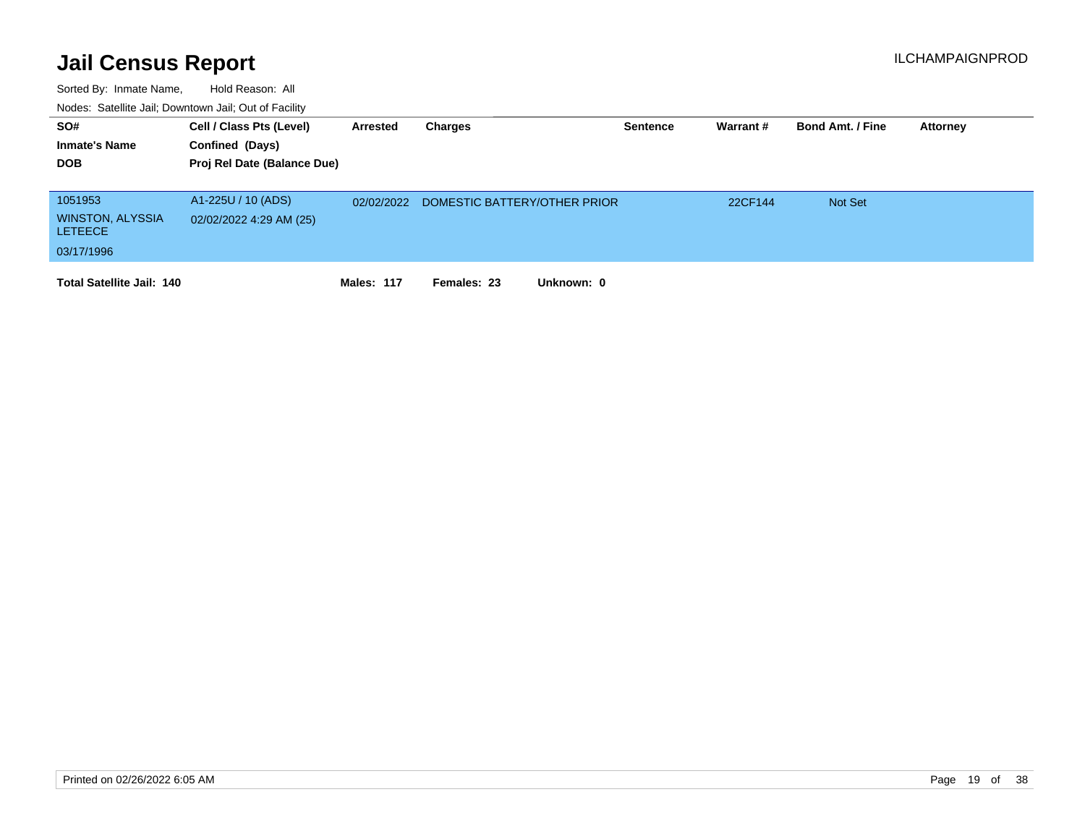| SO#<br><b>Inmate's Name</b><br><b>DOB</b>                          | Cell / Class Pts (Level)<br>Confined (Days)<br>Proj Rel Date (Balance Due) | Arrested          | Charges                      | <b>Sentence</b> | Warrant # | <b>Bond Amt. / Fine</b> | <b>Attorney</b> |
|--------------------------------------------------------------------|----------------------------------------------------------------------------|-------------------|------------------------------|-----------------|-----------|-------------------------|-----------------|
| 1051953<br><b>WINSTON, ALYSSIA</b><br><b>LETEECE</b><br>03/17/1996 | A1-225U / 10 (ADS)<br>02/02/2022 4:29 AM (25)                              | 02/02/2022        | DOMESTIC BATTERY/OTHER PRIOR |                 | 22CF144   | <b>Not Set</b>          |                 |
| <b>Total Satellite Jail: 140</b>                                   |                                                                            | <b>Males: 117</b> | Unknown: 0<br>Females: 23    |                 |           |                         |                 |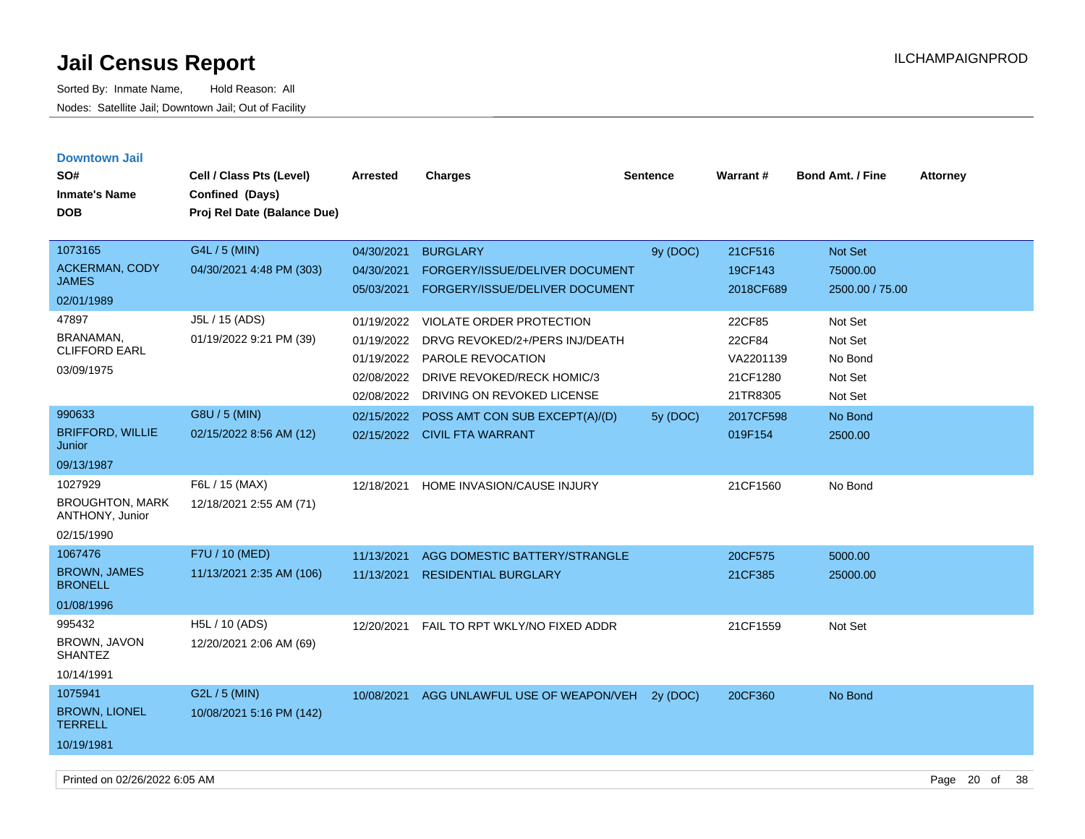| <b>Downtown Jail</b>                      |                             |            |                                           |                 |           |                         |                 |
|-------------------------------------------|-----------------------------|------------|-------------------------------------------|-----------------|-----------|-------------------------|-----------------|
| SO#                                       | Cell / Class Pts (Level)    | Arrested   | <b>Charges</b>                            | <b>Sentence</b> | Warrant#  | <b>Bond Amt. / Fine</b> | <b>Attorney</b> |
| <b>Inmate's Name</b>                      | Confined (Days)             |            |                                           |                 |           |                         |                 |
| <b>DOB</b>                                | Proj Rel Date (Balance Due) |            |                                           |                 |           |                         |                 |
|                                           |                             |            |                                           |                 |           |                         |                 |
| 1073165                                   | G4L / 5 (MIN)               | 04/30/2021 | <b>BURGLARY</b>                           | 9y (DOC)        | 21CF516   | Not Set                 |                 |
| ACKERMAN, CODY                            | 04/30/2021 4:48 PM (303)    | 04/30/2021 | FORGERY/ISSUE/DELIVER DOCUMENT            |                 | 19CF143   | 75000.00                |                 |
| <b>JAMES</b>                              |                             | 05/03/2021 | FORGERY/ISSUE/DELIVER DOCUMENT            |                 | 2018CF689 | 2500.00 / 75.00         |                 |
| 02/01/1989                                |                             |            |                                           |                 |           |                         |                 |
| 47897                                     | J5L / 15 (ADS)              | 01/19/2022 | <b>VIOLATE ORDER PROTECTION</b>           |                 | 22CF85    | Not Set                 |                 |
| BRANAMAN.<br><b>CLIFFORD EARL</b>         | 01/19/2022 9:21 PM (39)     | 01/19/2022 | DRVG REVOKED/2+/PERS INJ/DEATH            |                 | 22CF84    | Not Set                 |                 |
|                                           |                             | 01/19/2022 | PAROLE REVOCATION                         |                 | VA2201139 | No Bond                 |                 |
| 03/09/1975                                |                             | 02/08/2022 | <b>DRIVE REVOKED/RECK HOMIC/3</b>         |                 | 21CF1280  | Not Set                 |                 |
|                                           |                             | 02/08/2022 | DRIVING ON REVOKED LICENSE                |                 | 21TR8305  | Not Set                 |                 |
| 990633                                    | G8U / 5 (MIN)               | 02/15/2022 | POSS AMT CON SUB EXCEPT(A)/(D)            | 5y (DOC)        | 2017CF598 | No Bond                 |                 |
| <b>BRIFFORD, WILLIE</b><br>Junior         | 02/15/2022 8:56 AM (12)     |            | 02/15/2022 CIVIL FTA WARRANT              |                 | 019F154   | 2500.00                 |                 |
| 09/13/1987                                |                             |            |                                           |                 |           |                         |                 |
| 1027929                                   | F6L / 15 (MAX)              | 12/18/2021 | HOME INVASION/CAUSE INJURY                |                 | 21CF1560  | No Bond                 |                 |
| <b>BROUGHTON, MARK</b><br>ANTHONY, Junior | 12/18/2021 2:55 AM (71)     |            |                                           |                 |           |                         |                 |
| 02/15/1990                                |                             |            |                                           |                 |           |                         |                 |
| 1067476                                   | F7U / 10 (MED)              | 11/13/2021 | AGG DOMESTIC BATTERY/STRANGLE             |                 | 20CF575   | 5000.00                 |                 |
| <b>BROWN, JAMES</b><br><b>BRONELL</b>     | 11/13/2021 2:35 AM (106)    | 11/13/2021 | <b>RESIDENTIAL BURGLARY</b>               |                 | 21CF385   | 25000.00                |                 |
| 01/08/1996                                |                             |            |                                           |                 |           |                         |                 |
| 995432                                    | H5L / 10 (ADS)              | 12/20/2021 | FAIL TO RPT WKLY/NO FIXED ADDR            |                 | 21CF1559  | Not Set                 |                 |
| BROWN, JAVON<br><b>SHANTEZ</b>            | 12/20/2021 2:06 AM (69)     |            |                                           |                 |           |                         |                 |
| 10/14/1991                                |                             |            |                                           |                 |           |                         |                 |
| 1075941                                   | G2L / 5 (MIN)               |            | 10/08/2021 AGG UNLAWFUL USE OF WEAPON/VEH | 2v(DOC)         | 20CF360   | No Bond                 |                 |
| <b>BROWN, LIONEL</b><br><b>TERRELL</b>    | 10/08/2021 5:16 PM (142)    |            |                                           |                 |           |                         |                 |
| 10/19/1981                                |                             |            |                                           |                 |           |                         |                 |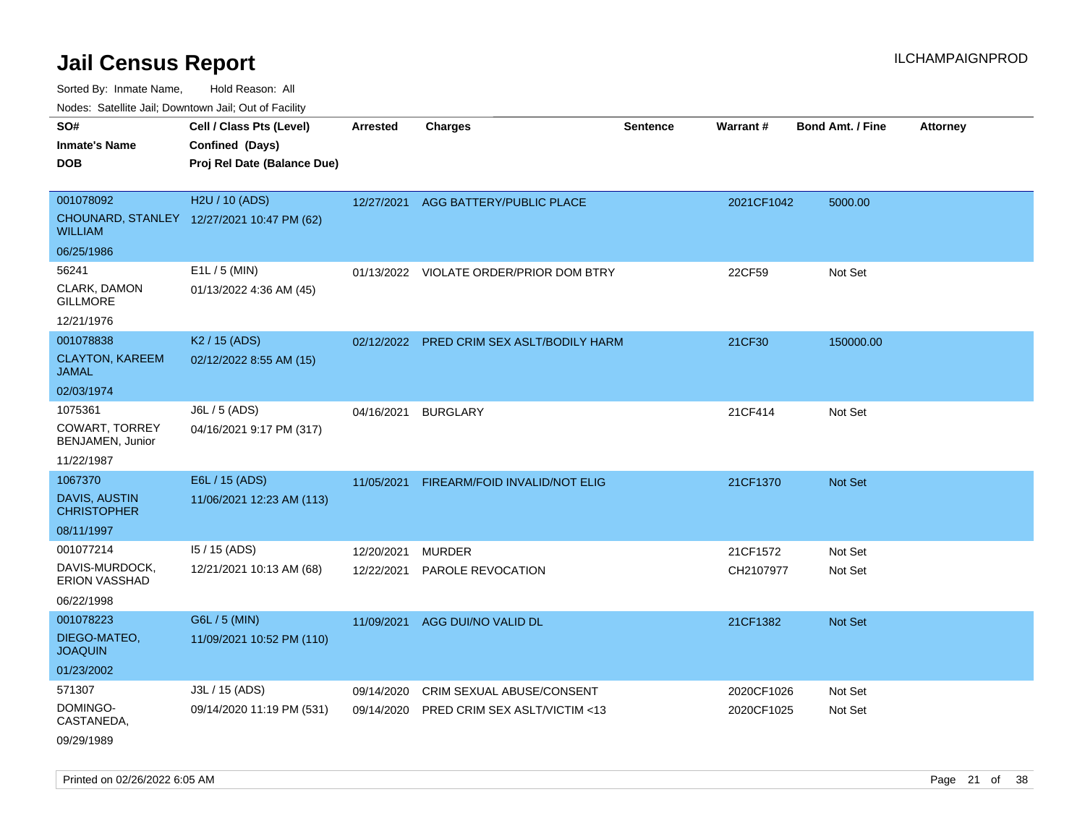Sorted By: Inmate Name, Hold Reason: All

Nodes: Satellite Jail; Downtown Jail; Out of Facility

| SO#<br><b>Inmate's Name</b><br><b>DOB</b>  | Cell / Class Pts (Level)<br>Confined (Days)<br>Proj Rel Date (Balance Due) | <b>Arrested</b> | <b>Charges</b>                            | <b>Sentence</b> | <b>Warrant#</b> | <b>Bond Amt. / Fine</b> | <b>Attorney</b> |
|--------------------------------------------|----------------------------------------------------------------------------|-----------------|-------------------------------------------|-----------------|-----------------|-------------------------|-----------------|
| 001078092                                  | H <sub>2</sub> U / 10 (ADS)                                                |                 | 12/27/2021 AGG BATTERY/PUBLIC PLACE       |                 | 2021CF1042      | 5000.00                 |                 |
| <b>WILLIAM</b>                             | CHOUNARD, STANLEY 12/27/2021 10:47 PM (62)                                 |                 |                                           |                 |                 |                         |                 |
| 06/25/1986                                 |                                                                            |                 |                                           |                 |                 |                         |                 |
| 56241                                      | $E1L / 5$ (MIN)                                                            |                 | 01/13/2022 VIOLATE ORDER/PRIOR DOM BTRY   |                 | 22CF59          | Not Set                 |                 |
| CLARK, DAMON<br><b>GILLMORE</b>            | 01/13/2022 4:36 AM (45)                                                    |                 |                                           |                 |                 |                         |                 |
| 12/21/1976                                 |                                                                            |                 |                                           |                 |                 |                         |                 |
| 001078838                                  | K <sub>2</sub> / 15 (ADS)                                                  |                 | 02/12/2022 PRED CRIM SEX ASLT/BODILY HARM |                 | 21CF30          | 150000.00               |                 |
| <b>CLAYTON, KAREEM</b><br><b>JAMAL</b>     | 02/12/2022 8:55 AM (15)                                                    |                 |                                           |                 |                 |                         |                 |
| 02/03/1974                                 |                                                                            |                 |                                           |                 |                 |                         |                 |
| 1075361                                    | J6L / 5 (ADS)                                                              | 04/16/2021      | <b>BURGLARY</b>                           |                 | 21CF414         | Not Set                 |                 |
| <b>COWART, TORREY</b><br>BENJAMEN, Junior  | 04/16/2021 9:17 PM (317)                                                   |                 |                                           |                 |                 |                         |                 |
| 11/22/1987                                 |                                                                            |                 |                                           |                 |                 |                         |                 |
| 1067370                                    | E6L / 15 (ADS)                                                             | 11/05/2021      | FIREARM/FOID INVALID/NOT ELIG             |                 | 21CF1370        | Not Set                 |                 |
| <b>DAVIS, AUSTIN</b><br><b>CHRISTOPHER</b> | 11/06/2021 12:23 AM (113)                                                  |                 |                                           |                 |                 |                         |                 |
| 08/11/1997                                 |                                                                            |                 |                                           |                 |                 |                         |                 |
| 001077214                                  | $15/15$ (ADS)                                                              | 12/20/2021      | <b>MURDER</b>                             |                 | 21CF1572        | Not Set                 |                 |
| DAVIS-MURDOCK,<br>ERION VASSHAD            | 12/21/2021 10:13 AM (68)                                                   | 12/22/2021      | PAROLE REVOCATION                         |                 | CH2107977       | Not Set                 |                 |
| 06/22/1998                                 |                                                                            |                 |                                           |                 |                 |                         |                 |
| 001078223                                  | G6L / 5 (MIN)                                                              | 11/09/2021      | AGG DUI/NO VALID DL                       |                 | 21CF1382        | Not Set                 |                 |
| DIEGO-MATEO,<br><b>JOAQUIN</b>             | 11/09/2021 10:52 PM (110)                                                  |                 |                                           |                 |                 |                         |                 |
| 01/23/2002                                 |                                                                            |                 |                                           |                 |                 |                         |                 |
| 571307                                     | J3L / 15 (ADS)                                                             | 09/14/2020      | CRIM SEXUAL ABUSE/CONSENT                 |                 | 2020CF1026      | Not Set                 |                 |
| DOMINGO-<br>CASTANEDA,                     | 09/14/2020 11:19 PM (531)                                                  | 09/14/2020      | PRED CRIM SEX ASLT/VICTIM <13             |                 | 2020CF1025      | Not Set                 |                 |
|                                            |                                                                            |                 |                                           |                 |                 |                         |                 |

09/29/1989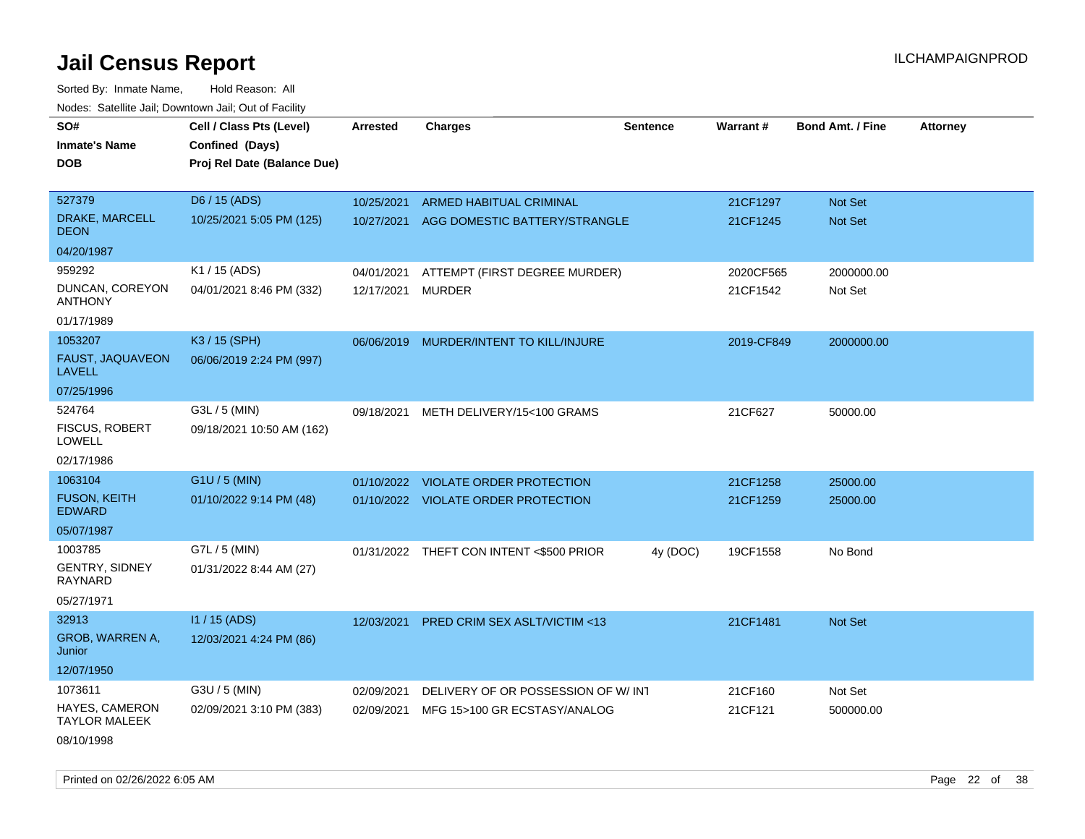| roaco. Catolino cali, Domntonn cali, Out of Facility |                             |                 |                                          |                 |            |                         |                 |
|------------------------------------------------------|-----------------------------|-----------------|------------------------------------------|-----------------|------------|-------------------------|-----------------|
| SO#                                                  | Cell / Class Pts (Level)    | <b>Arrested</b> | <b>Charges</b>                           | <b>Sentence</b> | Warrant#   | <b>Bond Amt. / Fine</b> | <b>Attorney</b> |
| <b>Inmate's Name</b>                                 | Confined (Days)             |                 |                                          |                 |            |                         |                 |
| <b>DOB</b>                                           | Proj Rel Date (Balance Due) |                 |                                          |                 |            |                         |                 |
|                                                      |                             |                 |                                          |                 |            |                         |                 |
| 527379                                               | D6 / 15 (ADS)               | 10/25/2021      | ARMED HABITUAL CRIMINAL                  |                 | 21CF1297   | Not Set                 |                 |
| DRAKE, MARCELL<br><b>DEON</b>                        | 10/25/2021 5:05 PM (125)    |                 | 10/27/2021 AGG DOMESTIC BATTERY/STRANGLE |                 | 21CF1245   | Not Set                 |                 |
| 04/20/1987                                           |                             |                 |                                          |                 |            |                         |                 |
| 959292                                               | K1 / 15 (ADS)               | 04/01/2021      | ATTEMPT (FIRST DEGREE MURDER)            |                 | 2020CF565  | 2000000.00              |                 |
| DUNCAN, COREYON<br><b>ANTHONY</b>                    | 04/01/2021 8:46 PM (332)    | 12/17/2021      | <b>MURDER</b>                            |                 | 21CF1542   | Not Set                 |                 |
| 01/17/1989                                           |                             |                 |                                          |                 |            |                         |                 |
| 1053207                                              | K3 / 15 (SPH)               |                 | 06/06/2019 MURDER/INTENT TO KILL/INJURE  |                 | 2019-CF849 | 2000000.00              |                 |
| FAUST, JAQUAVEON<br><b>LAVELL</b>                    | 06/06/2019 2:24 PM (997)    |                 |                                          |                 |            |                         |                 |
| 07/25/1996                                           |                             |                 |                                          |                 |            |                         |                 |
| 524764                                               | G3L / 5 (MIN)               | 09/18/2021      | METH DELIVERY/15<100 GRAMS               |                 | 21CF627    | 50000.00                |                 |
| <b>FISCUS, ROBERT</b><br><b>LOWELL</b>               | 09/18/2021 10:50 AM (162)   |                 |                                          |                 |            |                         |                 |
| 02/17/1986                                           |                             |                 |                                          |                 |            |                         |                 |
| 1063104                                              | G1U / 5 (MIN)               | 01/10/2022      | <b>VIOLATE ORDER PROTECTION</b>          |                 | 21CF1258   | 25000.00                |                 |
| <b>FUSON, KEITH</b><br><b>EDWARD</b>                 | 01/10/2022 9:14 PM (48)     |                 | 01/10/2022 VIOLATE ORDER PROTECTION      |                 | 21CF1259   | 25000.00                |                 |
| 05/07/1987                                           |                             |                 |                                          |                 |            |                         |                 |
| 1003785                                              | G7L / 5 (MIN)               |                 | 01/31/2022 THEFT CON INTENT <\$500 PRIOR | 4y (DOC)        | 19CF1558   | No Bond                 |                 |
| <b>GENTRY, SIDNEY</b><br><b>RAYNARD</b>              | 01/31/2022 8:44 AM (27)     |                 |                                          |                 |            |                         |                 |
| 05/27/1971                                           |                             |                 |                                          |                 |            |                         |                 |
| 32913                                                | I1 / 15 (ADS)               | 12/03/2021      | PRED CRIM SEX ASLT/VICTIM <13            |                 | 21CF1481   | Not Set                 |                 |
| GROB, WARREN A,<br>Junior                            | 12/03/2021 4:24 PM (86)     |                 |                                          |                 |            |                         |                 |
| 12/07/1950                                           |                             |                 |                                          |                 |            |                         |                 |
| 1073611                                              | G3U / 5 (MIN)               | 02/09/2021      | DELIVERY OF OR POSSESSION OF W/IN1       |                 | 21CF160    | Not Set                 |                 |
| HAYES, CAMERON<br><b>TAYLOR MALEEK</b>               | 02/09/2021 3:10 PM (383)    | 02/09/2021      | MFG 15>100 GR ECSTASY/ANALOG             |                 | 21CF121    | 500000.00               |                 |
| 08/10/1998                                           |                             |                 |                                          |                 |            |                         |                 |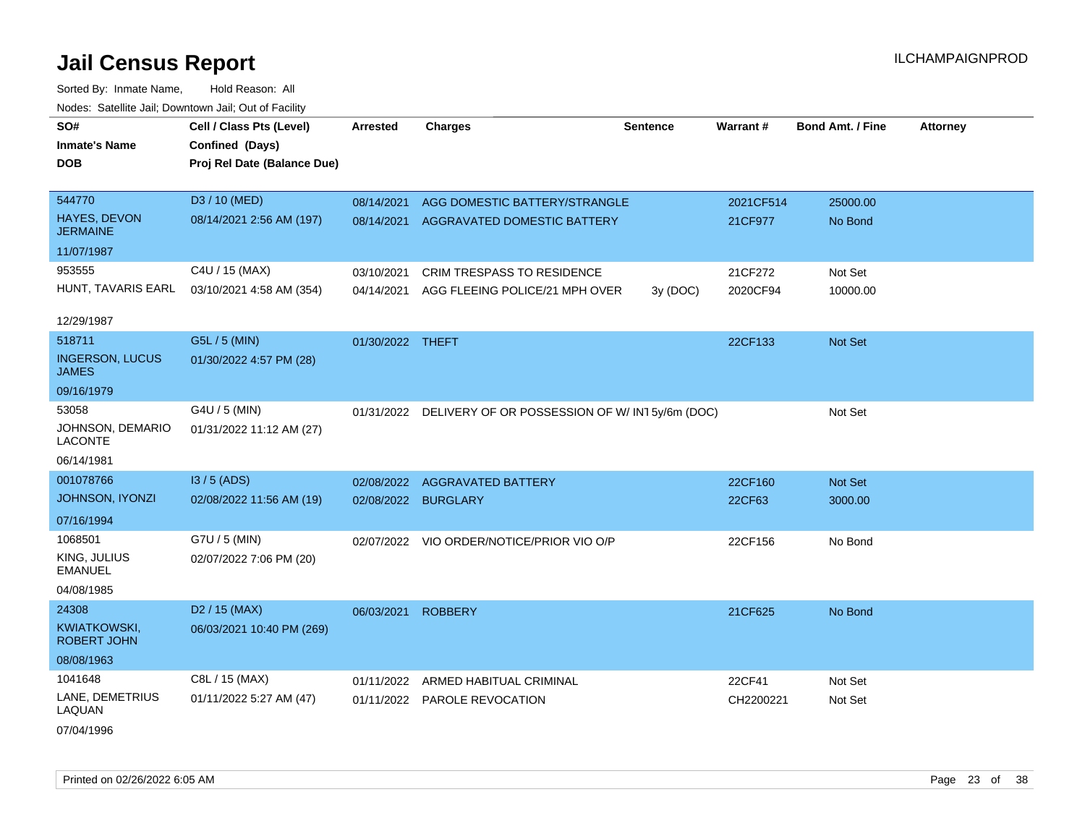| SO#<br><b>Inmate's Name</b><br>DOB        | Cell / Class Pts (Level)<br>Confined (Days)<br>Proj Rel Date (Balance Due) | <b>Arrested</b>  | <b>Charges</b>                                           | <b>Sentence</b> | Warrant#  | <b>Bond Amt. / Fine</b> | <b>Attorney</b> |
|-------------------------------------------|----------------------------------------------------------------------------|------------------|----------------------------------------------------------|-----------------|-----------|-------------------------|-----------------|
|                                           |                                                                            |                  |                                                          |                 |           |                         |                 |
| 544770                                    | D3 / 10 (MED)                                                              | 08/14/2021       | AGG DOMESTIC BATTERY/STRANGLE                            |                 | 2021CF514 | 25000.00                |                 |
| HAYES, DEVON<br><b>JERMAINE</b>           | 08/14/2021 2:56 AM (197)                                                   | 08/14/2021       | AGGRAVATED DOMESTIC BATTERY                              |                 | 21CF977   | No Bond                 |                 |
| 11/07/1987                                |                                                                            |                  |                                                          |                 |           |                         |                 |
| 953555                                    | C4U / 15 (MAX)                                                             | 03/10/2021       | CRIM TRESPASS TO RESIDENCE                               |                 | 21CF272   | Not Set                 |                 |
| HUNT, TAVARIS EARL                        | 03/10/2021 4:58 AM (354)                                                   | 04/14/2021       | AGG FLEEING POLICE/21 MPH OVER                           | 3y (DOC)        | 2020CF94  | 10000.00                |                 |
| 12/29/1987                                |                                                                            |                  |                                                          |                 |           |                         |                 |
| 518711                                    | G5L / 5 (MIN)                                                              | 01/30/2022 THEFT |                                                          |                 | 22CF133   | Not Set                 |                 |
| <b>INGERSON, LUCUS</b><br>JAMES           | 01/30/2022 4:57 PM (28)                                                    |                  |                                                          |                 |           |                         |                 |
| 09/16/1979                                |                                                                            |                  |                                                          |                 |           |                         |                 |
| 53058                                     | G4U / 5 (MIN)                                                              |                  | 01/31/2022 DELIVERY OF OR POSSESSION OF W/IN15y/6m (DOC) |                 |           | Not Set                 |                 |
| JOHNSON, DEMARIO<br><b>LACONTE</b>        | 01/31/2022 11:12 AM (27)                                                   |                  |                                                          |                 |           |                         |                 |
| 06/14/1981                                |                                                                            |                  |                                                          |                 |           |                         |                 |
| 001078766                                 | $13/5$ (ADS)                                                               | 02/08/2022       | <b>AGGRAVATED BATTERY</b>                                |                 | 22CF160   | Not Set                 |                 |
| <b>JOHNSON, IYONZI</b>                    | 02/08/2022 11:56 AM (19)                                                   | 02/08/2022       | <b>BURGLARY</b>                                          |                 | 22CF63    | 3000.00                 |                 |
| 07/16/1994                                |                                                                            |                  |                                                          |                 |           |                         |                 |
| 1068501                                   | G7U / 5 (MIN)                                                              |                  | 02/07/2022 VIO ORDER/NOTICE/PRIOR VIO O/P                |                 | 22CF156   | No Bond                 |                 |
| KING, JULIUS<br><b>EMANUEL</b>            | 02/07/2022 7:06 PM (20)                                                    |                  |                                                          |                 |           |                         |                 |
| 04/08/1985                                |                                                                            |                  |                                                          |                 |           |                         |                 |
| 24308                                     | D <sub>2</sub> / 15 (MAX)                                                  | 06/03/2021       | <b>ROBBERY</b>                                           |                 | 21CF625   | No Bond                 |                 |
| <b>KWIATKOWSKI,</b><br><b>ROBERT JOHN</b> | 06/03/2021 10:40 PM (269)                                                  |                  |                                                          |                 |           |                         |                 |
| 08/08/1963                                |                                                                            |                  |                                                          |                 |           |                         |                 |
| 1041648                                   | C8L / 15 (MAX)                                                             | 01/11/2022       | ARMED HABITUAL CRIMINAL                                  |                 | 22CF41    | Not Set                 |                 |
| LANE, DEMETRIUS<br>LAQUAN                 | 01/11/2022 5:27 AM (47)                                                    |                  | 01/11/2022 PAROLE REVOCATION                             |                 | CH2200221 | Not Set                 |                 |
| 07/04/1996                                |                                                                            |                  |                                                          |                 |           |                         |                 |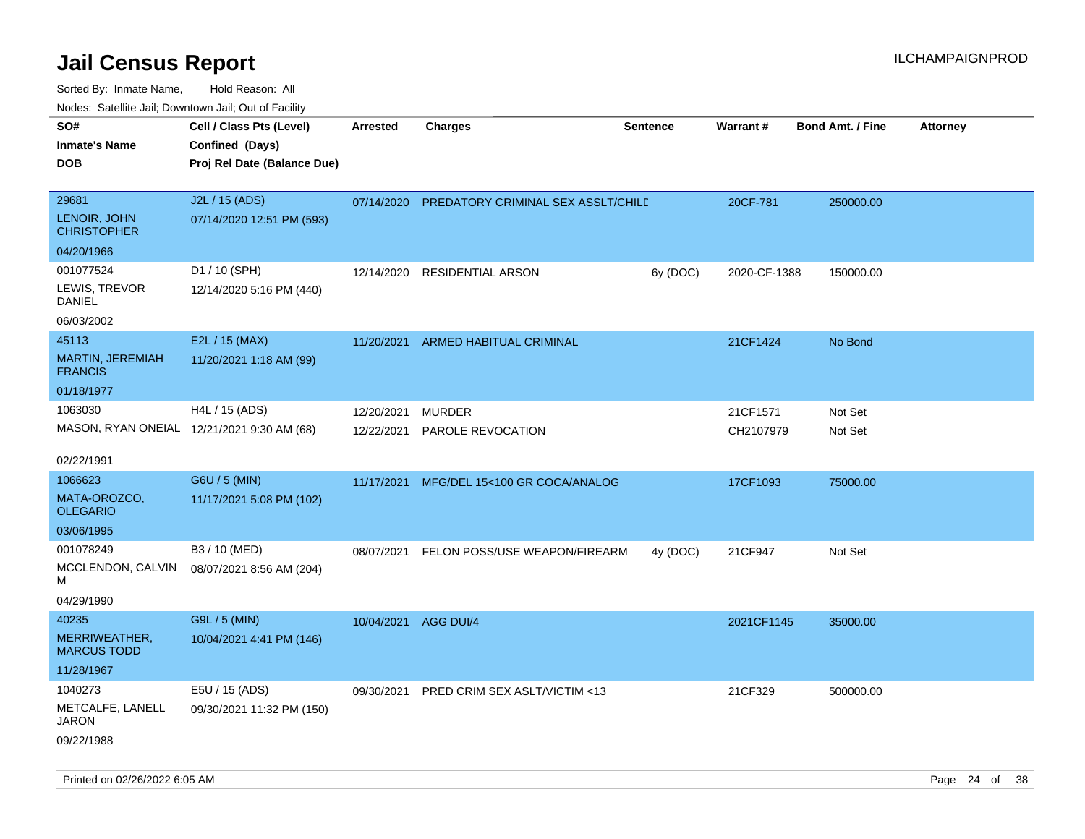| rouco. Calcinic Jan, Downtown Jan, Out of Facility                         |                          |                                    |                      |                                                                                                      |                         |                            |
|----------------------------------------------------------------------------|--------------------------|------------------------------------|----------------------|------------------------------------------------------------------------------------------------------|-------------------------|----------------------------|
| Cell / Class Pts (Level)<br>Confined (Days)<br>Proj Rel Date (Balance Due) | <b>Arrested</b>          | <b>Charges</b>                     | <b>Sentence</b>      | Warrant#                                                                                             | <b>Bond Amt. / Fine</b> | <b>Attorney</b>            |
| J2L / 15 (ADS)<br>07/14/2020 12:51 PM (593)                                | 07/14/2020               |                                    |                      | 20CF-781                                                                                             | 250000.00               |                            |
| D1 / 10 (SPH)<br>12/14/2020 5:16 PM (440)                                  | 12/14/2020               | RESIDENTIAL ARSON                  | 6y (DOC)             |                                                                                                      | 150000.00               |                            |
| E2L / 15 (MAX)<br>11/20/2021 1:18 AM (99)                                  | 11/20/2021               | <b>ARMED HABITUAL CRIMINAL</b>     |                      | 21CF1424                                                                                             | No Bond                 |                            |
| H4L / 15 (ADS)<br>MASON, RYAN ONEIAL 12/21/2021 9:30 AM (68)               | 12/20/2021<br>12/22/2021 | <b>MURDER</b><br>PAROLE REVOCATION |                      | 21CF1571<br>CH2107979                                                                                | Not Set<br>Not Set      |                            |
| G6U / 5 (MIN)<br>11/17/2021 5:08 PM (102)                                  | 11/17/2021               |                                    |                      | 17CF1093                                                                                             | 75000.00                |                            |
| B3 / 10 (MED)<br>MCCLENDON, CALVIN<br>08/07/2021 8:56 AM (204)             | 08/07/2021               |                                    | 4y (DOC)             | 21CF947                                                                                              | Not Set                 |                            |
| G9L / 5 (MIN)<br>10/04/2021 4:41 PM (146)                                  |                          |                                    |                      |                                                                                                      | 35000.00                |                            |
| E5U / 15 (ADS)<br>09/30/2021 11:32 PM (150)                                | 09/30/2021               | PRED CRIM SEX ASLT/VICTIM <13      |                      | 21CF329                                                                                              | 500000.00               |                            |
|                                                                            |                          |                                    | 10/04/2021 AGG DUI/4 | PREDATORY CRIMINAL SEX ASSLT/CHILD<br>MFG/DEL 15<100 GR COCA/ANALOG<br>FELON POSS/USE WEAPON/FIREARM |                         | 2020-CF-1388<br>2021CF1145 |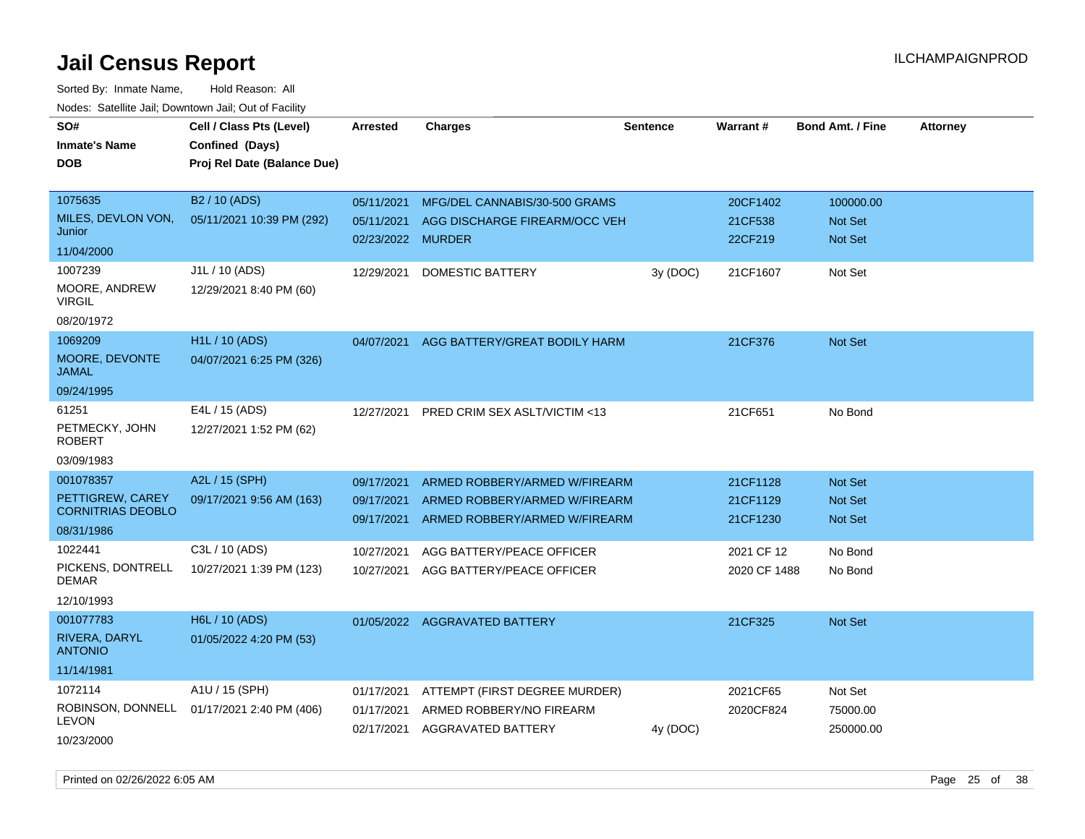Sorted By: Inmate Name, Hold Reason: All

| Nodes: Satellite Jail; Downtown Jail; Out of Facility |                             |                   |                                         |                 |              |                         |                 |
|-------------------------------------------------------|-----------------------------|-------------------|-----------------------------------------|-----------------|--------------|-------------------------|-----------------|
| SO#                                                   | Cell / Class Pts (Level)    | <b>Arrested</b>   | <b>Charges</b>                          | <b>Sentence</b> | Warrant#     | <b>Bond Amt. / Fine</b> | <b>Attorney</b> |
| <b>Inmate's Name</b>                                  | Confined (Days)             |                   |                                         |                 |              |                         |                 |
| <b>DOB</b>                                            | Proj Rel Date (Balance Due) |                   |                                         |                 |              |                         |                 |
|                                                       |                             |                   |                                         |                 |              |                         |                 |
| 1075635                                               | B <sub>2</sub> / 10 (ADS)   | 05/11/2021        | MFG/DEL CANNABIS/30-500 GRAMS           |                 | 20CF1402     | 100000.00               |                 |
| MILES, DEVLON VON,                                    | 05/11/2021 10:39 PM (292)   | 05/11/2021        | AGG DISCHARGE FIREARM/OCC VEH           |                 | 21CF538      | Not Set                 |                 |
| Junior                                                |                             | 02/23/2022 MURDER |                                         |                 | 22CF219      | Not Set                 |                 |
| 11/04/2000                                            |                             |                   |                                         |                 |              |                         |                 |
| 1007239                                               | J1L / 10 (ADS)              | 12/29/2021        | DOMESTIC BATTERY                        | 3y (DOC)        | 21CF1607     | Not Set                 |                 |
| MOORE, ANDREW<br><b>VIRGIL</b>                        | 12/29/2021 8:40 PM (60)     |                   |                                         |                 |              |                         |                 |
| 08/20/1972                                            |                             |                   |                                         |                 |              |                         |                 |
| 1069209                                               | H <sub>1</sub> L / 10 (ADS) | 04/07/2021        | AGG BATTERY/GREAT BODILY HARM           |                 | 21CF376      | Not Set                 |                 |
| MOORE, DEVONTE<br><b>JAMAL</b>                        | 04/07/2021 6:25 PM (326)    |                   |                                         |                 |              |                         |                 |
| 09/24/1995                                            |                             |                   |                                         |                 |              |                         |                 |
| 61251                                                 | E4L / 15 (ADS)              | 12/27/2021        | <b>PRED CRIM SEX ASLT/VICTIM &lt;13</b> |                 | 21CF651      | No Bond                 |                 |
| PETMECKY, JOHN<br><b>ROBERT</b>                       | 12/27/2021 1:52 PM (62)     |                   |                                         |                 |              |                         |                 |
| 03/09/1983                                            |                             |                   |                                         |                 |              |                         |                 |
| 001078357                                             | A2L / 15 (SPH)              | 09/17/2021        | ARMED ROBBERY/ARMED W/FIREARM           |                 | 21CF1128     | Not Set                 |                 |
| PETTIGREW, CAREY                                      | 09/17/2021 9:56 AM (163)    | 09/17/2021        | ARMED ROBBERY/ARMED W/FIREARM           |                 | 21CF1129     | Not Set                 |                 |
| <b>CORNITRIAS DEOBLO</b>                              |                             | 09/17/2021        | ARMED ROBBERY/ARMED W/FIREARM           |                 | 21CF1230     | Not Set                 |                 |
| 08/31/1986                                            |                             |                   |                                         |                 |              |                         |                 |
| 1022441                                               | C3L / 10 (ADS)              | 10/27/2021        | AGG BATTERY/PEACE OFFICER               |                 | 2021 CF 12   | No Bond                 |                 |
| PICKENS, DONTRELL<br><b>DEMAR</b>                     | 10/27/2021 1:39 PM (123)    | 10/27/2021        | AGG BATTERY/PEACE OFFICER               |                 | 2020 CF 1488 | No Bond                 |                 |
| 12/10/1993                                            |                             |                   |                                         |                 |              |                         |                 |
| 001077783                                             | H6L / 10 (ADS)              |                   | 01/05/2022 AGGRAVATED BATTERY           |                 | 21CF325      | Not Set                 |                 |
| RIVERA, DARYL<br><b>ANTONIO</b>                       | 01/05/2022 4:20 PM (53)     |                   |                                         |                 |              |                         |                 |
| 11/14/1981                                            |                             |                   |                                         |                 |              |                         |                 |
| 1072114                                               | A1U / 15 (SPH)              | 01/17/2021        | ATTEMPT (FIRST DEGREE MURDER)           |                 | 2021CF65     | Not Set                 |                 |
| ROBINSON, DONNELL                                     | 01/17/2021 2:40 PM (406)    | 01/17/2021        | ARMED ROBBERY/NO FIREARM                |                 | 2020CF824    | 75000.00                |                 |
| <b>LEVON</b>                                          |                             | 02/17/2021        | <b>AGGRAVATED BATTERY</b>               | 4y (DOC)        |              | 250000.00               |                 |
| 10/23/2000                                            |                             |                   |                                         |                 |              |                         |                 |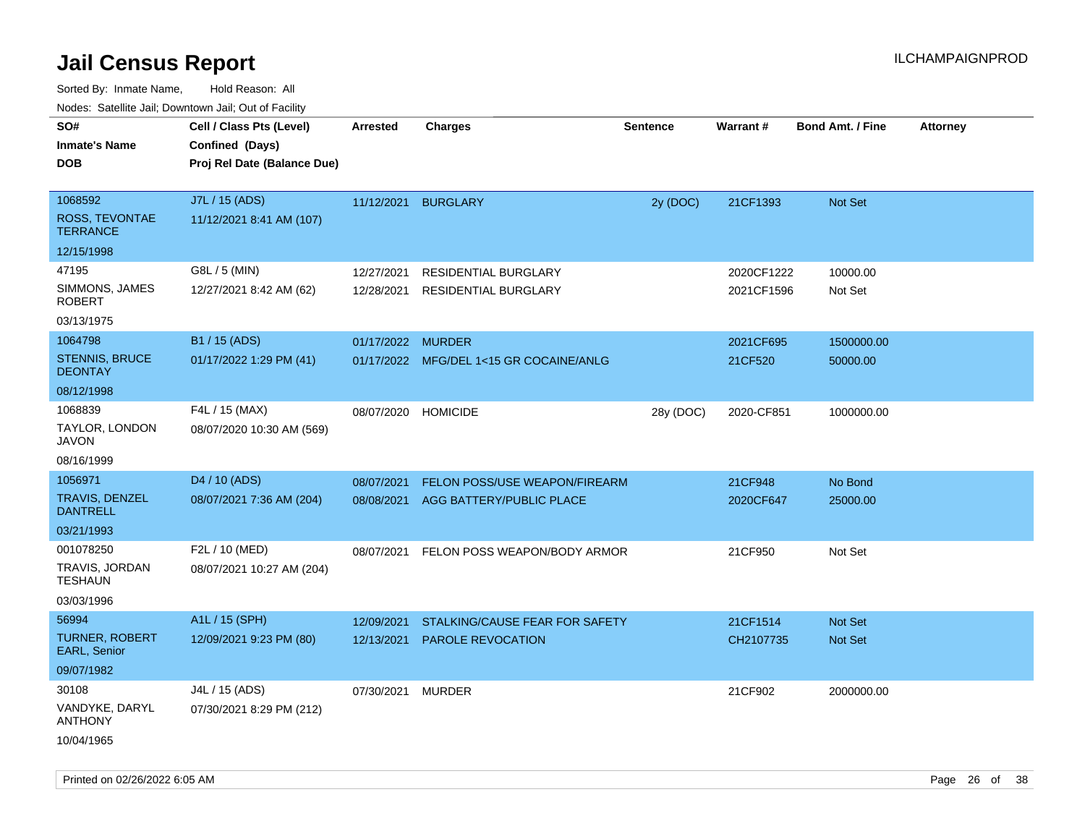| rouco. Calcinic Jan, Downtown Jan, Out of Facility |                                                                            |                          |                                                            |                 |                          |                         |                 |
|----------------------------------------------------|----------------------------------------------------------------------------|--------------------------|------------------------------------------------------------|-----------------|--------------------------|-------------------------|-----------------|
| SO#<br>Inmate's Name<br>DOB                        | Cell / Class Pts (Level)<br>Confined (Days)<br>Proj Rel Date (Balance Due) | <b>Arrested</b>          | <b>Charges</b>                                             | <b>Sentence</b> | Warrant#                 | <b>Bond Amt. / Fine</b> | <b>Attorney</b> |
| 1068592<br>ROSS, TEVONTAE<br><b>TERRANCE</b>       | J7L / 15 (ADS)<br>11/12/2021 8:41 AM (107)                                 |                          | 11/12/2021 BURGLARY                                        | 2y (DOC)        | 21CF1393                 | <b>Not Set</b>          |                 |
| 12/15/1998                                         |                                                                            |                          |                                                            |                 |                          |                         |                 |
| 47195<br>SIMMONS, JAMES<br><b>ROBERT</b>           | G8L / 5 (MIN)<br>12/27/2021 8:42 AM (62)                                   | 12/27/2021<br>12/28/2021 | <b>RESIDENTIAL BURGLARY</b><br><b>RESIDENTIAL BURGLARY</b> |                 | 2020CF1222<br>2021CF1596 | 10000.00<br>Not Set     |                 |
| 03/13/1975                                         |                                                                            |                          |                                                            |                 |                          |                         |                 |
| 1064798<br><b>STENNIS, BRUCE</b><br><b>DEONTAY</b> | B1 / 15 (ADS)<br>01/17/2022 1:29 PM (41)                                   | 01/17/2022 MURDER        | 01/17/2022 MFG/DEL 1<15 GR COCAINE/ANLG                    |                 | 2021CF695<br>21CF520     | 1500000.00<br>50000.00  |                 |
| 08/12/1998                                         |                                                                            |                          |                                                            |                 |                          |                         |                 |
| 1068839<br>TAYLOR, LONDON<br>JAVON                 | F4L / 15 (MAX)<br>08/07/2020 10:30 AM (569)                                | 08/07/2020               | <b>HOMICIDE</b>                                            | 28y (DOC)       | 2020-CF851               | 1000000.00              |                 |
| 08/16/1999                                         |                                                                            |                          |                                                            |                 |                          |                         |                 |
| 1056971                                            | D4 / 10 (ADS)                                                              | 08/07/2021               | FELON POSS/USE WEAPON/FIREARM                              |                 | 21CF948                  | No Bond                 |                 |
| TRAVIS, DENZEL<br><b>DANTRELL</b>                  | 08/07/2021 7:36 AM (204)                                                   | 08/08/2021               | AGG BATTERY/PUBLIC PLACE                                   |                 | 2020CF647                | 25000.00                |                 |
| 03/21/1993                                         |                                                                            |                          |                                                            |                 |                          |                         |                 |
| 001078250                                          | F2L / 10 (MED)                                                             | 08/07/2021               | FELON POSS WEAPON/BODY ARMOR                               |                 | 21CF950                  | Not Set                 |                 |
| TRAVIS, JORDAN<br>TESHAUN                          | 08/07/2021 10:27 AM (204)                                                  |                          |                                                            |                 |                          |                         |                 |
| 03/03/1996                                         |                                                                            |                          |                                                            |                 |                          |                         |                 |
| 56994                                              | A1L / 15 (SPH)                                                             | 12/09/2021               | STALKING/CAUSE FEAR FOR SAFETY                             |                 | 21CF1514                 | <b>Not Set</b>          |                 |
| TURNER, ROBERT<br><b>EARL, Senior</b>              | 12/09/2021 9:23 PM (80)                                                    | 12/13/2021               | PAROLE REVOCATION                                          |                 | CH2107735                | Not Set                 |                 |
| 09/07/1982                                         |                                                                            |                          |                                                            |                 |                          |                         |                 |
| 30108                                              | J4L / 15 (ADS)                                                             | 07/30/2021               | <b>MURDER</b>                                              |                 | 21CF902                  | 2000000.00              |                 |
| VANDYKE, DARYL<br>ANTHONY                          | 07/30/2021 8:29 PM (212)                                                   |                          |                                                            |                 |                          |                         |                 |
| 10/04/1965                                         |                                                                            |                          |                                                            |                 |                          |                         |                 |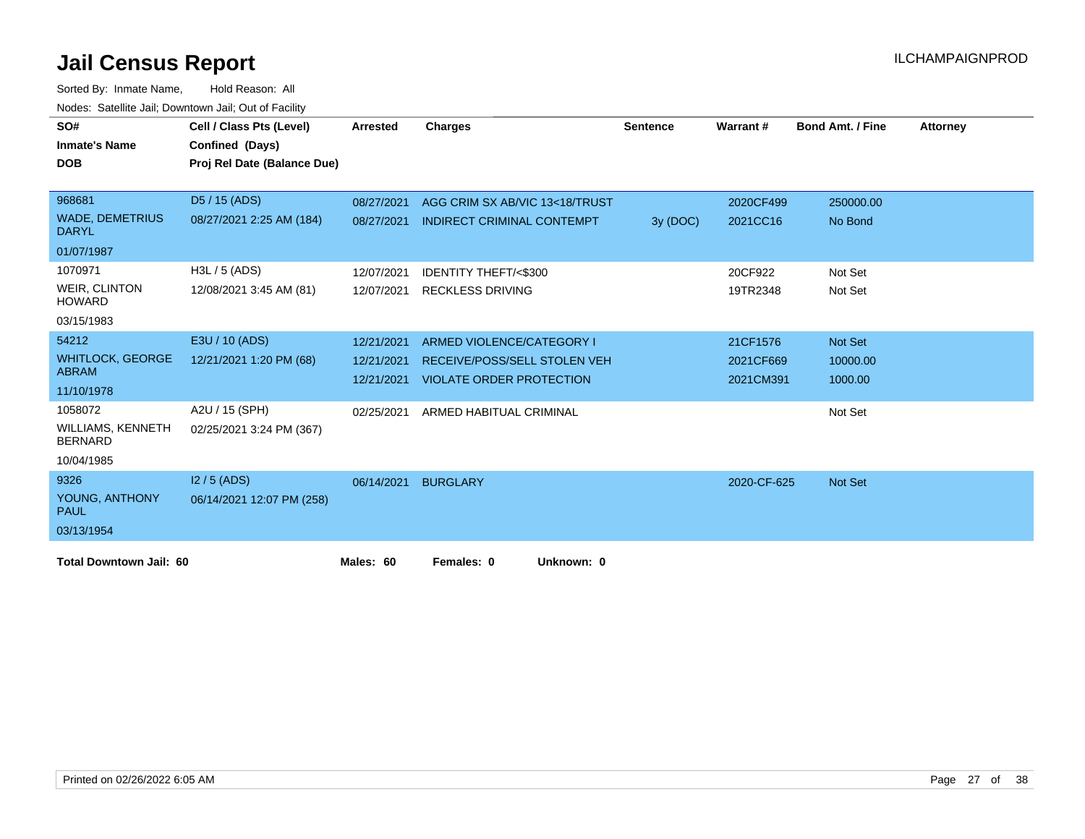| SO#<br><b>Inmate's Name</b>            | Cell / Class Pts (Level)<br>Confined (Days) | Arrested   | <b>Charges</b>                      | <b>Sentence</b> | <b>Warrant#</b> | <b>Bond Amt. / Fine</b> | Attorney |
|----------------------------------------|---------------------------------------------|------------|-------------------------------------|-----------------|-----------------|-------------------------|----------|
| <b>DOB</b>                             | Proj Rel Date (Balance Due)                 |            |                                     |                 |                 |                         |          |
|                                        |                                             |            |                                     |                 |                 |                         |          |
| 968681                                 | D5 / 15 (ADS)                               | 08/27/2021 | AGG CRIM SX AB/VIC 13<18/TRUST      |                 | 2020CF499       | 250000.00               |          |
| <b>WADE, DEMETRIUS</b><br><b>DARYL</b> | 08/27/2021 2:25 AM (184)                    | 08/27/2021 | <b>INDIRECT CRIMINAL CONTEMPT</b>   | 3y (DOC)        | 2021CC16        | No Bond                 |          |
| 01/07/1987                             |                                             |            |                                     |                 |                 |                         |          |
| 1070971                                | $H3L / 5$ (ADS)                             | 12/07/2021 | <b>IDENTITY THEFT/&lt;\$300</b>     |                 | 20CF922         | Not Set                 |          |
| <b>WEIR, CLINTON</b><br><b>HOWARD</b>  | 12/08/2021 3:45 AM (81)                     | 12/07/2021 | <b>RECKLESS DRIVING</b>             |                 | 19TR2348        | Not Set                 |          |
| 03/15/1983                             |                                             |            |                                     |                 |                 |                         |          |
| 54212                                  | E3U / 10 (ADS)                              | 12/21/2021 | ARMED VIOLENCE/CATEGORY I           |                 | 21CF1576        | <b>Not Set</b>          |          |
| <b>WHITLOCK, GEORGE</b>                | 12/21/2021 1:20 PM (68)                     | 12/21/2021 | <b>RECEIVE/POSS/SELL STOLEN VEH</b> |                 | 2021CF669       | 10000.00                |          |
| <b>ABRAM</b>                           |                                             | 12/21/2021 | <b>VIOLATE ORDER PROTECTION</b>     |                 | 2021CM391       | 1000.00                 |          |
| 11/10/1978                             |                                             |            |                                     |                 |                 |                         |          |
| 1058072                                | A2U / 15 (SPH)                              | 02/25/2021 | ARMED HABITUAL CRIMINAL             |                 |                 | Not Set                 |          |
| WILLIAMS, KENNETH<br><b>BERNARD</b>    | 02/25/2021 3:24 PM (367)                    |            |                                     |                 |                 |                         |          |
| 10/04/1985                             |                                             |            |                                     |                 |                 |                         |          |
| 9326                                   | $12/5$ (ADS)                                | 06/14/2021 | <b>BURGLARY</b>                     |                 | 2020-CF-625     | <b>Not Set</b>          |          |
| YOUNG, ANTHONY<br><b>PAUL</b>          | 06/14/2021 12:07 PM (258)                   |            |                                     |                 |                 |                         |          |
| 03/13/1954                             |                                             |            |                                     |                 |                 |                         |          |
| <b>Total Downtown Jail: 60</b>         |                                             | Males: 60  | Females: 0<br>Unknown: 0            |                 |                 |                         |          |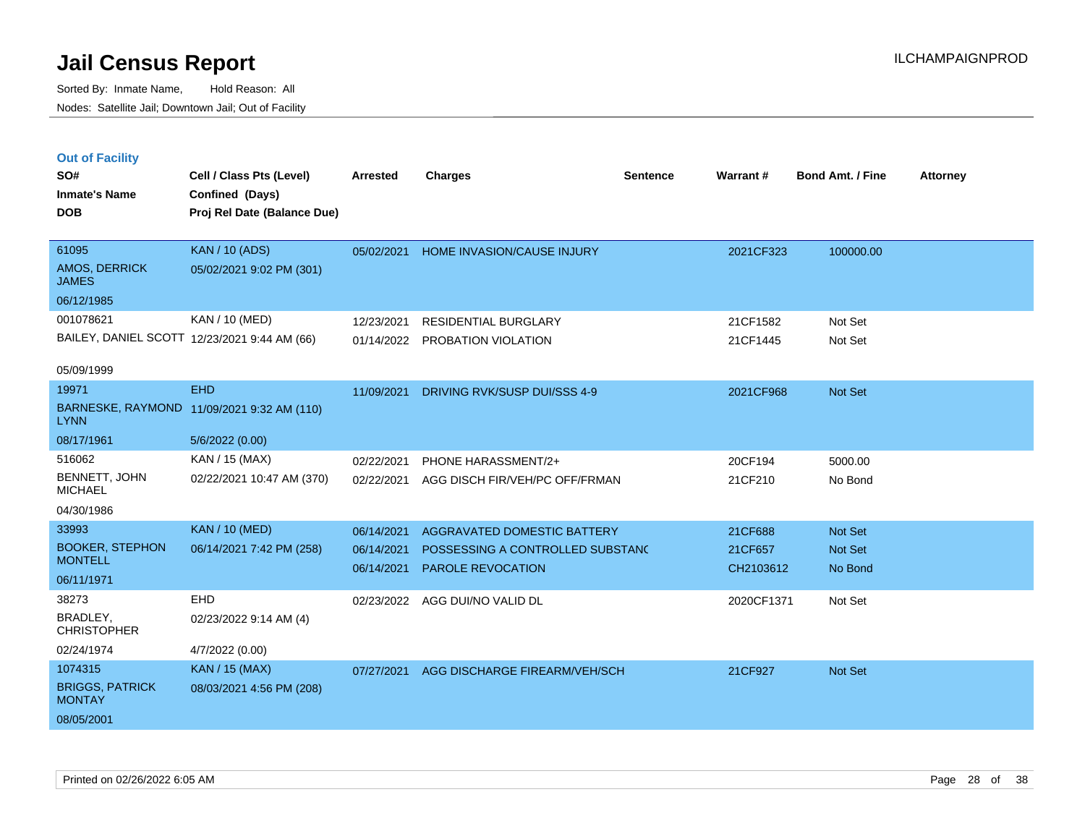|  | <b>Out of Facility</b> |  |
|--|------------------------|--|
|  |                        |  |

| SO#<br><b>Inmate's Name</b>             | Cell / Class Pts (Level)<br>Confined (Days)  | <b>Arrested</b> | <b>Charges</b>                     | <b>Sentence</b> | Warrant #  | <b>Bond Amt. / Fine</b> | <b>Attorney</b> |
|-----------------------------------------|----------------------------------------------|-----------------|------------------------------------|-----------------|------------|-------------------------|-----------------|
| <b>DOB</b>                              | Proj Rel Date (Balance Due)                  |                 |                                    |                 |            |                         |                 |
| 61095                                   | <b>KAN / 10 (ADS)</b>                        | 05/02/2021      | HOME INVASION/CAUSE INJURY         |                 | 2021CF323  | 100000.00               |                 |
| AMOS, DERRICK<br><b>JAMES</b>           | 05/02/2021 9:02 PM (301)                     |                 |                                    |                 |            |                         |                 |
| 06/12/1985                              |                                              |                 |                                    |                 |            |                         |                 |
| 001078621                               | KAN / 10 (MED)                               | 12/23/2021      | <b>RESIDENTIAL BURGLARY</b>        |                 | 21CF1582   | Not Set                 |                 |
|                                         | BAILEY, DANIEL SCOTT 12/23/2021 9:44 AM (66) | 01/14/2022      | PROBATION VIOLATION                |                 | 21CF1445   | Not Set                 |                 |
| 05/09/1999                              |                                              |                 |                                    |                 |            |                         |                 |
| 19971                                   | <b>EHD</b>                                   | 11/09/2021      | DRIVING RVK/SUSP DUI/SSS 4-9       |                 | 2021CF968  | Not Set                 |                 |
| <b>LYNN</b>                             | BARNESKE, RAYMOND 11/09/2021 9:32 AM (110)   |                 |                                    |                 |            |                         |                 |
| 08/17/1961                              | 5/6/2022 (0.00)                              |                 |                                    |                 |            |                         |                 |
| 516062                                  | KAN / 15 (MAX)                               | 02/22/2021      | PHONE HARASSMENT/2+                |                 | 20CF194    | 5000.00                 |                 |
| BENNETT, JOHN<br><b>MICHAEL</b>         | 02/22/2021 10:47 AM (370)                    | 02/22/2021      | AGG DISCH FIR/VEH/PC OFF/FRMAN     |                 | 21CF210    | No Bond                 |                 |
| 04/30/1986                              |                                              |                 |                                    |                 |            |                         |                 |
| 33993                                   | <b>KAN / 10 (MED)</b>                        | 06/14/2021      | <b>AGGRAVATED DOMESTIC BATTERY</b> |                 | 21CF688    | Not Set                 |                 |
| <b>BOOKER, STEPHON</b>                  | 06/14/2021 7:42 PM (258)                     | 06/14/2021      | POSSESSING A CONTROLLED SUBSTANC   |                 | 21CF657    | Not Set                 |                 |
| <b>MONTELL</b><br>06/11/1971            |                                              | 06/14/2021      | PAROLE REVOCATION                  |                 | CH2103612  | No Bond                 |                 |
| 38273                                   | EHD                                          |                 |                                    |                 |            |                         |                 |
| BRADLEY,                                | 02/23/2022 9:14 AM (4)                       | 02/23/2022      | AGG DUI/NO VALID DL                |                 | 2020CF1371 | Not Set                 |                 |
| <b>CHRISTOPHER</b>                      |                                              |                 |                                    |                 |            |                         |                 |
| 02/24/1974                              | 4/7/2022 (0.00)                              |                 |                                    |                 |            |                         |                 |
| 1074315                                 | <b>KAN / 15 (MAX)</b>                        | 07/27/2021      | AGG DISCHARGE FIREARM/VEH/SCH      |                 | 21CF927    | Not Set                 |                 |
| <b>BRIGGS, PATRICK</b><br><b>MONTAY</b> | 08/03/2021 4:56 PM (208)                     |                 |                                    |                 |            |                         |                 |
| 08/05/2001                              |                                              |                 |                                    |                 |            |                         |                 |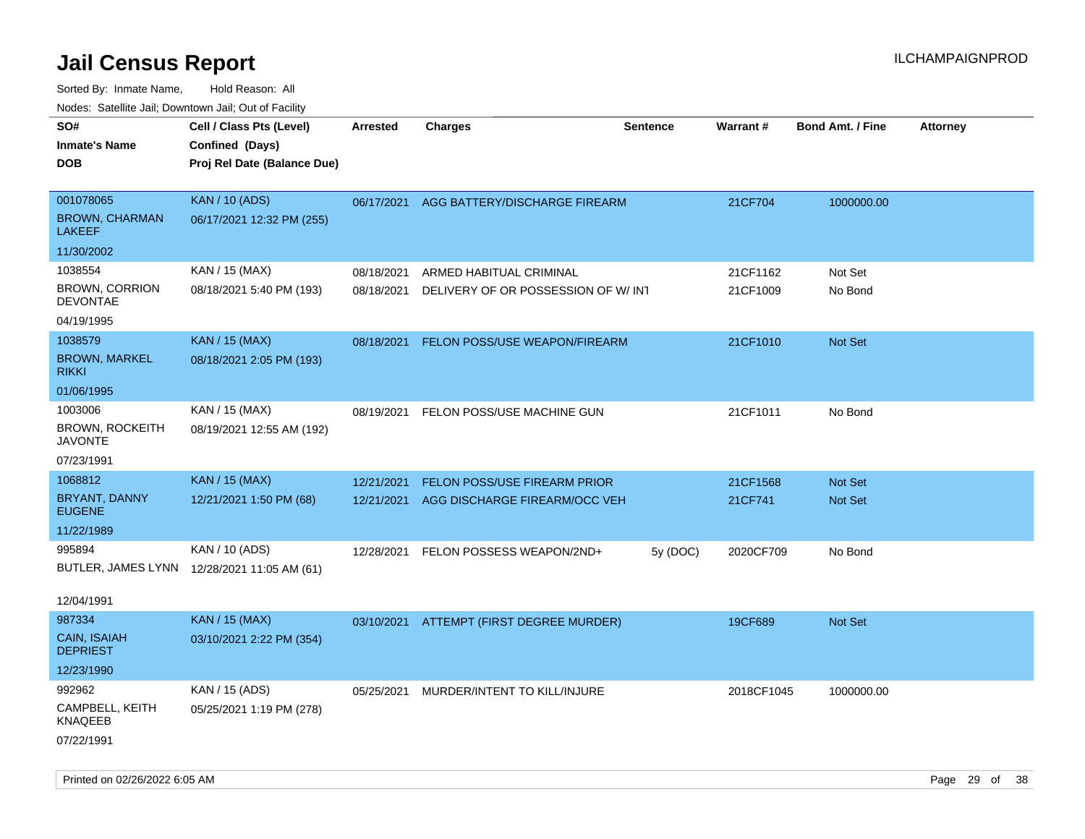| ivouss. Satellite Jali, Downtown Jali, Out of Facility |                                             |                 |                                          |                 |            |                         |                 |
|--------------------------------------------------------|---------------------------------------------|-----------------|------------------------------------------|-----------------|------------|-------------------------|-----------------|
| SO#                                                    | Cell / Class Pts (Level)                    | <b>Arrested</b> | <b>Charges</b>                           | <b>Sentence</b> | Warrant#   | <b>Bond Amt. / Fine</b> | <b>Attorney</b> |
| <b>Inmate's Name</b>                                   | Confined (Days)                             |                 |                                          |                 |            |                         |                 |
| <b>DOB</b>                                             | Proj Rel Date (Balance Due)                 |                 |                                          |                 |            |                         |                 |
|                                                        |                                             |                 |                                          |                 |            |                         |                 |
| 001078065                                              | <b>KAN / 10 (ADS)</b>                       |                 | 06/17/2021 AGG BATTERY/DISCHARGE FIREARM |                 | 21CF704    | 1000000.00              |                 |
| <b>BROWN, CHARMAN</b><br>LAKEEF                        | 06/17/2021 12:32 PM (255)                   |                 |                                          |                 |            |                         |                 |
| 11/30/2002                                             |                                             |                 |                                          |                 |            |                         |                 |
| 1038554                                                | KAN / 15 (MAX)                              | 08/18/2021      | ARMED HABITUAL CRIMINAL                  |                 | 21CF1162   | Not Set                 |                 |
| <b>BROWN, CORRION</b><br><b>DEVONTAE</b>               | 08/18/2021 5:40 PM (193)                    | 08/18/2021      | DELIVERY OF OR POSSESSION OF W/INT       |                 | 21CF1009   | No Bond                 |                 |
| 04/19/1995                                             |                                             |                 |                                          |                 |            |                         |                 |
| 1038579                                                | <b>KAN / 15 (MAX)</b>                       | 08/18/2021      | FELON POSS/USE WEAPON/FIREARM            |                 | 21CF1010   | <b>Not Set</b>          |                 |
| <b>BROWN, MARKEL</b><br>rikki                          | 08/18/2021 2:05 PM (193)                    |                 |                                          |                 |            |                         |                 |
| 01/06/1995                                             |                                             |                 |                                          |                 |            |                         |                 |
| 1003006                                                | KAN / 15 (MAX)                              | 08/19/2021      | FELON POSS/USE MACHINE GUN               |                 | 21CF1011   | No Bond                 |                 |
| BROWN, ROCKEITH<br>JAVONTE                             | 08/19/2021 12:55 AM (192)                   |                 |                                          |                 |            |                         |                 |
| 07/23/1991                                             |                                             |                 |                                          |                 |            |                         |                 |
| 1068812                                                | <b>KAN / 15 (MAX)</b>                       | 12/21/2021      | FELON POSS/USE FIREARM PRIOR             |                 | 21CF1568   | Not Set                 |                 |
| BRYANT, DANNY<br><b>EUGENE</b>                         | 12/21/2021 1:50 PM (68)                     | 12/21/2021      | AGG DISCHARGE FIREARM/OCC VEH            |                 | 21CF741    | <b>Not Set</b>          |                 |
| 11/22/1989                                             |                                             |                 |                                          |                 |            |                         |                 |
| 995894                                                 | KAN / 10 (ADS)                              | 12/28/2021      | FELON POSSESS WEAPON/2ND+                | 5y (DOC)        | 2020CF709  | No Bond                 |                 |
|                                                        | BUTLER, JAMES LYNN 12/28/2021 11:05 AM (61) |                 |                                          |                 |            |                         |                 |
|                                                        |                                             |                 |                                          |                 |            |                         |                 |
| 12/04/1991                                             |                                             |                 |                                          |                 |            |                         |                 |
| 987334                                                 | <b>KAN / 15 (MAX)</b>                       |                 | 03/10/2021 ATTEMPT (FIRST DEGREE MURDER) |                 | 19CF689    | Not Set                 |                 |
| CAIN, ISAIAH<br><b>DEPRIEST</b>                        | 03/10/2021 2:22 PM (354)                    |                 |                                          |                 |            |                         |                 |
| 12/23/1990                                             |                                             |                 |                                          |                 |            |                         |                 |
| 992962                                                 | KAN / 15 (ADS)                              | 05/25/2021      | MURDER/INTENT TO KILL/INJURE             |                 | 2018CF1045 | 1000000.00              |                 |
| CAMPBELL, KEITH<br>KNAQEEB                             | 05/25/2021 1:19 PM (278)                    |                 |                                          |                 |            |                         |                 |
| 07/22/1991                                             |                                             |                 |                                          |                 |            |                         |                 |
|                                                        |                                             |                 |                                          |                 |            |                         |                 |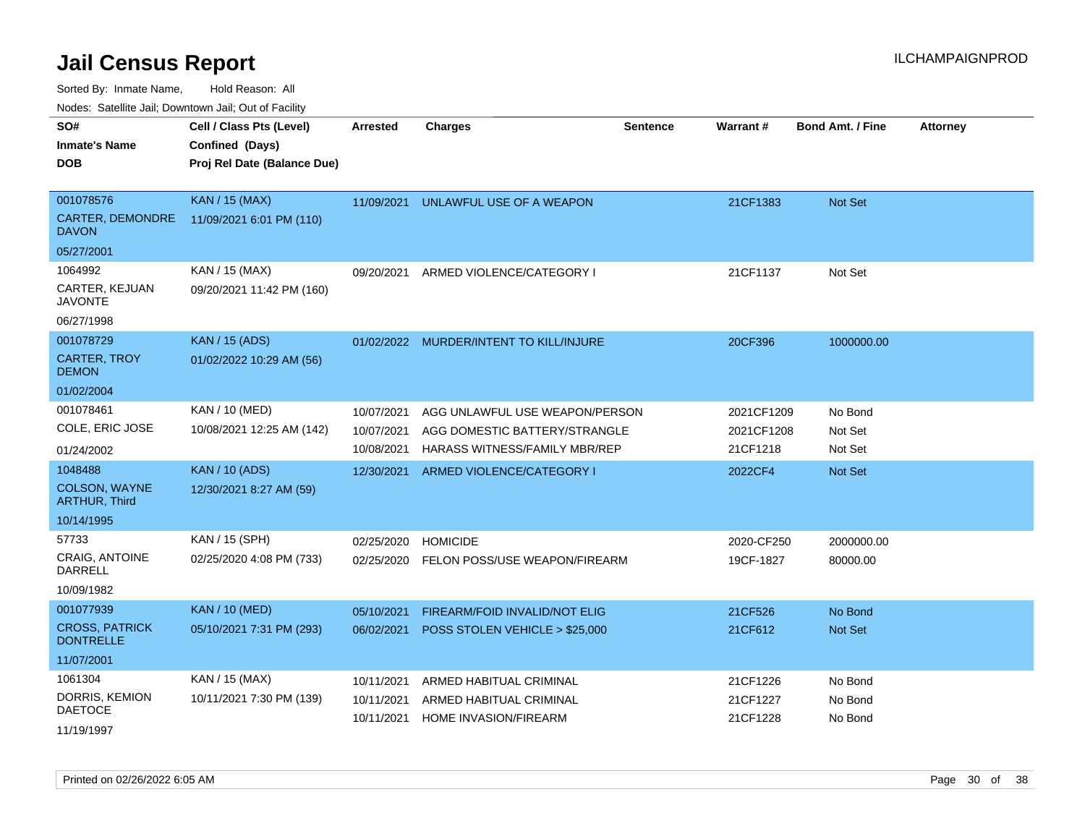Sorted By: Inmate Name, Hold Reason: All

Nodes: Satellite Jail; Downtown Jail; Out of Facility

| SO#                                       | Cell / Class Pts (Level)    | <b>Arrested</b> | <b>Charges</b>                          | Sentence | Warrant#   | <b>Bond Amt. / Fine</b> | <b>Attorney</b> |
|-------------------------------------------|-----------------------------|-----------------|-----------------------------------------|----------|------------|-------------------------|-----------------|
| <b>Inmate's Name</b>                      | Confined (Days)             |                 |                                         |          |            |                         |                 |
| <b>DOB</b>                                | Proj Rel Date (Balance Due) |                 |                                         |          |            |                         |                 |
|                                           |                             |                 |                                         |          |            |                         |                 |
| 001078576                                 | <b>KAN / 15 (MAX)</b>       | 11/09/2021      | UNLAWFUL USE OF A WEAPON                |          | 21CF1383   | <b>Not Set</b>          |                 |
| CARTER, DEMONDRE<br><b>DAVON</b>          | 11/09/2021 6:01 PM (110)    |                 |                                         |          |            |                         |                 |
| 05/27/2001                                |                             |                 |                                         |          |            |                         |                 |
| 1064992                                   | KAN / 15 (MAX)              | 09/20/2021      | ARMED VIOLENCE/CATEGORY I               |          | 21CF1137   | Not Set                 |                 |
| CARTER, KEJUAN<br><b>JAVONTE</b>          | 09/20/2021 11:42 PM (160)   |                 |                                         |          |            |                         |                 |
| 06/27/1998                                |                             |                 |                                         |          |            |                         |                 |
| 001078729                                 | <b>KAN / 15 (ADS)</b>       |                 | 01/02/2022 MURDER/INTENT TO KILL/INJURE |          | 20CF396    | 1000000.00              |                 |
| <b>CARTER, TROY</b><br><b>DEMON</b>       | 01/02/2022 10:29 AM (56)    |                 |                                         |          |            |                         |                 |
| 01/02/2004                                |                             |                 |                                         |          |            |                         |                 |
| 001078461                                 | KAN / 10 (MED)              | 10/07/2021      | AGG UNLAWFUL USE WEAPON/PERSON          |          | 2021CF1209 | No Bond                 |                 |
| COLE, ERIC JOSE                           | 10/08/2021 12:25 AM (142)   | 10/07/2021      | AGG DOMESTIC BATTERY/STRANGLE           |          | 2021CF1208 | Not Set                 |                 |
| 01/24/2002                                |                             | 10/08/2021      | HARASS WITNESS/FAMILY MBR/REP           |          | 21CF1218   | Not Set                 |                 |
| 1048488                                   | <b>KAN / 10 (ADS)</b>       | 12/30/2021      | ARMED VIOLENCE/CATEGORY I               |          | 2022CF4    | <b>Not Set</b>          |                 |
| <b>COLSON, WAYNE</b><br>ARTHUR, Third     | 12/30/2021 8:27 AM (59)     |                 |                                         |          |            |                         |                 |
| 10/14/1995                                |                             |                 |                                         |          |            |                         |                 |
| 57733                                     | KAN / 15 (SPH)              | 02/25/2020      | <b>HOMICIDE</b>                         |          | 2020-CF250 | 2000000.00              |                 |
| CRAIG, ANTOINE<br><b>DARRELL</b>          | 02/25/2020 4:08 PM (733)    | 02/25/2020      | FELON POSS/USE WEAPON/FIREARM           |          | 19CF-1827  | 80000.00                |                 |
| 10/09/1982                                |                             |                 |                                         |          |            |                         |                 |
| 001077939                                 | <b>KAN / 10 (MED)</b>       | 05/10/2021      | FIREARM/FOID INVALID/NOT ELIG           |          | 21CF526    | No Bond                 |                 |
| <b>CROSS, PATRICK</b><br><b>DONTRELLE</b> | 05/10/2021 7:31 PM (293)    | 06/02/2021      | POSS STOLEN VEHICLE > \$25,000          |          | 21CF612    | Not Set                 |                 |
| 11/07/2001                                |                             |                 |                                         |          |            |                         |                 |
| 1061304                                   | KAN / 15 (MAX)              | 10/11/2021      | ARMED HABITUAL CRIMINAL                 |          | 21CF1226   | No Bond                 |                 |
| DORRIS, KEMION                            | 10/11/2021 7:30 PM (139)    | 10/11/2021      | ARMED HABITUAL CRIMINAL                 |          | 21CF1227   | No Bond                 |                 |
| <b>DAETOCE</b>                            |                             | 10/11/2021      | <b>HOME INVASION/FIREARM</b>            |          | 21CF1228   | No Bond                 |                 |
| 11/19/1997                                |                             |                 |                                         |          |            |                         |                 |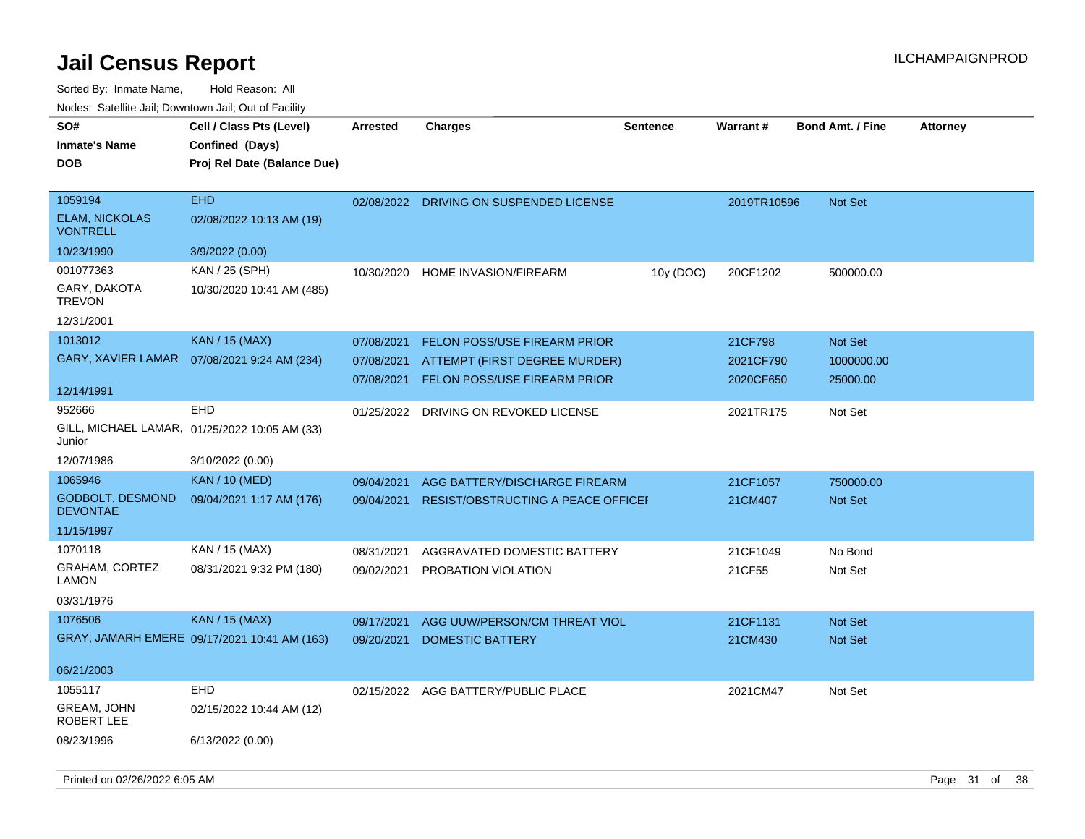| SO#<br><b>Inmate's Name</b><br><b>DOB</b>           | Cell / Class Pts (Level)<br>Confined (Days)<br>Proj Rel Date (Balance Due) | Arrested   | <b>Charges</b>                            | <b>Sentence</b> | <b>Warrant#</b> | <b>Bond Amt. / Fine</b> | <b>Attorney</b> |
|-----------------------------------------------------|----------------------------------------------------------------------------|------------|-------------------------------------------|-----------------|-----------------|-------------------------|-----------------|
| 1059194<br><b>ELAM, NICKOLAS</b><br><b>VONTRELL</b> | EHD<br>02/08/2022 10:13 AM (19)                                            |            | 02/08/2022 DRIVING ON SUSPENDED LICENSE   |                 | 2019TR10596     | <b>Not Set</b>          |                 |
| 10/23/1990                                          | 3/9/2022 (0.00)                                                            |            |                                           |                 |                 |                         |                 |
| 001077363                                           | KAN / 25 (SPH)                                                             | 10/30/2020 | HOME INVASION/FIREARM                     | 10y (DOC)       | 20CF1202        | 500000.00               |                 |
| GARY, DAKOTA<br><b>TREVON</b>                       | 10/30/2020 10:41 AM (485)                                                  |            |                                           |                 |                 |                         |                 |
| 12/31/2001                                          |                                                                            |            |                                           |                 |                 |                         |                 |
| 1013012                                             | <b>KAN / 15 (MAX)</b>                                                      | 07/08/2021 | <b>FELON POSS/USE FIREARM PRIOR</b>       |                 | 21CF798         | Not Set                 |                 |
| <b>GARY, XAVIER LAMAR</b>                           | 07/08/2021 9:24 AM (234)                                                   | 07/08/2021 | ATTEMPT (FIRST DEGREE MURDER)             |                 | 2021CF790       | 1000000.00              |                 |
| 12/14/1991                                          |                                                                            | 07/08/2021 | FELON POSS/USE FIREARM PRIOR              |                 | 2020CF650       | 25000.00                |                 |
| 952666<br>Junior                                    | <b>EHD</b><br>GILL, MICHAEL LAMAR, 01/25/2022 10:05 AM (33)                | 01/25/2022 | DRIVING ON REVOKED LICENSE                |                 | 2021TR175       | Not Set                 |                 |
| 12/07/1986                                          | 3/10/2022 (0.00)                                                           |            |                                           |                 |                 |                         |                 |
| 1065946                                             | <b>KAN / 10 (MED)</b>                                                      | 09/04/2021 | AGG BATTERY/DISCHARGE FIREARM             |                 | 21CF1057        | 750000.00               |                 |
| <b>GODBOLT, DESMOND</b><br><b>DEVONTAE</b>          | 09/04/2021 1:17 AM (176)                                                   | 09/04/2021 | <b>RESIST/OBSTRUCTING A PEACE OFFICEF</b> |                 | 21CM407         | Not Set                 |                 |
| 11/15/1997                                          |                                                                            |            |                                           |                 |                 |                         |                 |
| 1070118                                             | KAN / 15 (MAX)                                                             | 08/31/2021 | AGGRAVATED DOMESTIC BATTERY               |                 | 21CF1049        | No Bond                 |                 |
| <b>GRAHAM, CORTEZ</b><br><b>LAMON</b>               | 08/31/2021 9:32 PM (180)                                                   | 09/02/2021 | PROBATION VIOLATION                       |                 | 21CF55          | Not Set                 |                 |
| 03/31/1976                                          |                                                                            |            |                                           |                 |                 |                         |                 |
| 1076506                                             | <b>KAN / 15 (MAX)</b>                                                      | 09/17/2021 | AGG UUW/PERSON/CM THREAT VIOL             |                 | 21CF1131        | Not Set                 |                 |
|                                                     | GRAY, JAMARH EMERE 09/17/2021 10:41 AM (163)                               | 09/20/2021 | <b>DOMESTIC BATTERY</b>                   |                 | 21CM430         | <b>Not Set</b>          |                 |
| 06/21/2003                                          |                                                                            |            |                                           |                 |                 |                         |                 |
| 1055117                                             | <b>EHD</b>                                                                 | 02/15/2022 | AGG BATTERY/PUBLIC PLACE                  |                 | 2021CM47        | Not Set                 |                 |
| GREAM, JOHN<br>ROBERT LEE                           | 02/15/2022 10:44 AM (12)                                                   |            |                                           |                 |                 |                         |                 |
| 08/23/1996                                          | 6/13/2022 (0.00)                                                           |            |                                           |                 |                 |                         |                 |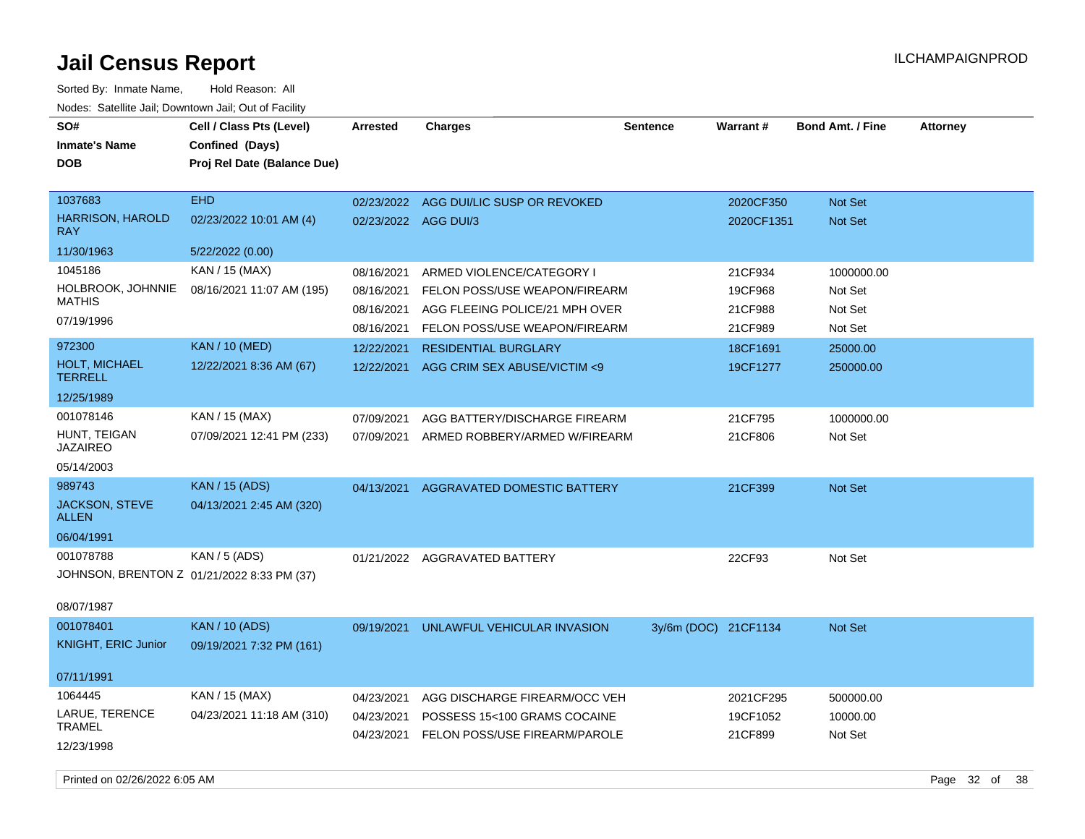Sorted By: Inmate Name, Hold Reason: All Nodes: Satellite Jail; Downtown Jail; Out of Facility

| SO#<br><b>Inmate's Name</b><br><b>DOB</b>                             | Cell / Class Pts (Level)<br>Confined (Days)<br>Proj Rel Date (Balance Due) | Arrested                                             | <b>Charges</b>                                                                                                                | <b>Sentence</b>      | Warrant#                                 | <b>Bond Amt. / Fine</b>                     | <b>Attorney</b> |
|-----------------------------------------------------------------------|----------------------------------------------------------------------------|------------------------------------------------------|-------------------------------------------------------------------------------------------------------------------------------|----------------------|------------------------------------------|---------------------------------------------|-----------------|
| 1037683<br><b>HARRISON, HAROLD</b><br><b>RAY</b>                      | <b>EHD</b><br>02/23/2022 10:01 AM (4)                                      | 02/23/2022<br>02/23/2022 AGG DUI/3                   | AGG DUI/LIC SUSP OR REVOKED                                                                                                   |                      | 2020CF350<br>2020CF1351                  | <b>Not Set</b><br><b>Not Set</b>            |                 |
| 11/30/1963                                                            | 5/22/2022 (0.00)                                                           |                                                      |                                                                                                                               |                      |                                          |                                             |                 |
| 1045186<br>HOLBROOK, JOHNNIE<br><b>MATHIS</b><br>07/19/1996           | KAN / 15 (MAX)<br>08/16/2021 11:07 AM (195)                                | 08/16/2021<br>08/16/2021<br>08/16/2021<br>08/16/2021 | ARMED VIOLENCE/CATEGORY I<br>FELON POSS/USE WEAPON/FIREARM<br>AGG FLEEING POLICE/21 MPH OVER<br>FELON POSS/USE WEAPON/FIREARM |                      | 21CF934<br>19CF968<br>21CF988<br>21CF989 | 1000000.00<br>Not Set<br>Not Set<br>Not Set |                 |
| 972300                                                                | <b>KAN / 10 (MED)</b>                                                      | 12/22/2021                                           | <b>RESIDENTIAL BURGLARY</b>                                                                                                   |                      | 18CF1691                                 | 25000.00                                    |                 |
| <b>HOLT, MICHAEL</b><br><b>TERRELL</b>                                | 12/22/2021 8:36 AM (67)                                                    | 12/22/2021                                           | AGG CRIM SEX ABUSE/VICTIM <9                                                                                                  |                      | 19CF1277                                 | 250000.00                                   |                 |
| 12/25/1989                                                            |                                                                            |                                                      |                                                                                                                               |                      |                                          |                                             |                 |
| 001078146<br>HUNT, TEIGAN<br><b>JAZAIREO</b>                          | KAN / 15 (MAX)<br>07/09/2021 12:41 PM (233)                                | 07/09/2021<br>07/09/2021                             | AGG BATTERY/DISCHARGE FIREARM<br>ARMED ROBBERY/ARMED W/FIREARM                                                                |                      | 21CF795<br>21CF806                       | 1000000.00<br>Not Set                       |                 |
| 05/14/2003                                                            |                                                                            |                                                      |                                                                                                                               |                      |                                          |                                             |                 |
| 989743<br>JACKSON, STEVE<br><b>ALLEN</b><br>06/04/1991                | <b>KAN</b> / 15 (ADS)<br>04/13/2021 2:45 AM (320)                          | 04/13/2021                                           | <b>AGGRAVATED DOMESTIC BATTERY</b>                                                                                            |                      | 21CF399                                  | <b>Not Set</b>                              |                 |
| 001078788<br>JOHNSON, BRENTON Z 01/21/2022 8:33 PM (37)<br>08/07/1987 | <b>KAN / 5 (ADS)</b>                                                       |                                                      | 01/21/2022 AGGRAVATED BATTERY                                                                                                 |                      | 22CF93                                   | Not Set                                     |                 |
| 001078401<br><b>KNIGHT, ERIC Junior</b>                               | <b>KAN / 10 (ADS)</b><br>09/19/2021 7:32 PM (161)                          | 09/19/2021                                           | UNLAWFUL VEHICULAR INVASION                                                                                                   | 3y/6m (DOC) 21CF1134 |                                          | <b>Not Set</b>                              |                 |
| 07/11/1991                                                            |                                                                            |                                                      |                                                                                                                               |                      |                                          |                                             |                 |
| 1064445                                                               | KAN / 15 (MAX)                                                             | 04/23/2021                                           | AGG DISCHARGE FIREARM/OCC VEH                                                                                                 |                      | 2021CF295                                | 500000.00                                   |                 |
| LARUE, TERENCE<br><b>TRAMEL</b><br>12/23/1998                         | 04/23/2021 11:18 AM (310)                                                  | 04/23/2021<br>04/23/2021                             | POSSESS 15<100 GRAMS COCAINE<br>FELON POSS/USE FIREARM/PAROLE                                                                 |                      | 19CF1052<br>21CF899                      | 10000.00<br>Not Set                         |                 |

Printed on 02/26/2022 6:05 AM Page 32 of 38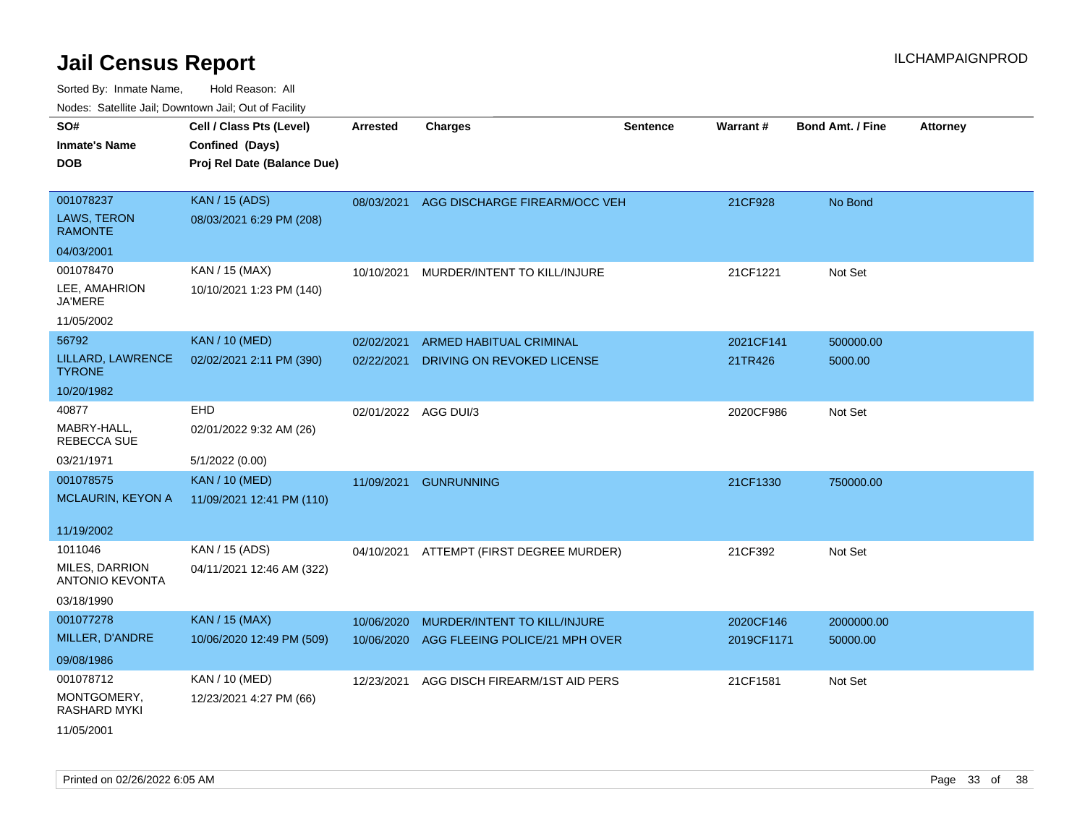| SO#                                             | Cell / Class Pts (Level)    | <b>Arrested</b> | <b>Charges</b>                 | <b>Sentence</b> | Warrant#   | <b>Bond Amt. / Fine</b> | <b>Attorney</b> |
|-------------------------------------------------|-----------------------------|-----------------|--------------------------------|-----------------|------------|-------------------------|-----------------|
| <b>Inmate's Name</b>                            | Confined (Days)             |                 |                                |                 |            |                         |                 |
| <b>DOB</b>                                      | Proj Rel Date (Balance Due) |                 |                                |                 |            |                         |                 |
|                                                 |                             |                 |                                |                 |            |                         |                 |
| 001078237                                       | <b>KAN / 15 (ADS)</b>       | 08/03/2021      | AGG DISCHARGE FIREARM/OCC VEH  |                 | 21CF928    | No Bond                 |                 |
| LAWS, TERON<br><b>RAMONTE</b>                   | 08/03/2021 6:29 PM (208)    |                 |                                |                 |            |                         |                 |
| 04/03/2001                                      |                             |                 |                                |                 |            |                         |                 |
| 001078470                                       | KAN / 15 (MAX)              | 10/10/2021      | MURDER/INTENT TO KILL/INJURE   |                 | 21CF1221   | Not Set                 |                 |
| LEE, AMAHRION<br><b>JA'MERE</b>                 | 10/10/2021 1:23 PM (140)    |                 |                                |                 |            |                         |                 |
| 11/05/2002                                      |                             |                 |                                |                 |            |                         |                 |
| 56792                                           | <b>KAN / 10 (MED)</b>       | 02/02/2021      | <b>ARMED HABITUAL CRIMINAL</b> |                 | 2021CF141  | 500000.00               |                 |
| LILLARD, LAWRENCE<br><b>TYRONE</b>              | 02/02/2021 2:11 PM (390)    | 02/22/2021      | DRIVING ON REVOKED LICENSE     |                 | 21TR426    | 5000.00                 |                 |
| 10/20/1982                                      |                             |                 |                                |                 |            |                         |                 |
| 40877                                           | <b>EHD</b>                  |                 | 02/01/2022 AGG DUI/3           |                 | 2020CF986  | Not Set                 |                 |
| MABRY-HALL,<br>REBECCA SUE                      | 02/01/2022 9:32 AM (26)     |                 |                                |                 |            |                         |                 |
| 03/21/1971                                      | 5/1/2022 (0.00)             |                 |                                |                 |            |                         |                 |
| 001078575                                       | <b>KAN / 10 (MED)</b>       | 11/09/2021      | <b>GUNRUNNING</b>              |                 | 21CF1330   | 750000.00               |                 |
| MCLAURIN, KEYON A                               | 11/09/2021 12:41 PM (110)   |                 |                                |                 |            |                         |                 |
| 11/19/2002                                      |                             |                 |                                |                 |            |                         |                 |
| 1011046                                         | KAN / 15 (ADS)              | 04/10/2021      | ATTEMPT (FIRST DEGREE MURDER)  |                 | 21CF392    | Not Set                 |                 |
| <b>MILES, DARRION</b><br><b>ANTONIO KEVONTA</b> | 04/11/2021 12:46 AM (322)   |                 |                                |                 |            |                         |                 |
| 03/18/1990                                      |                             |                 |                                |                 |            |                         |                 |
| 001077278                                       | <b>KAN / 15 (MAX)</b>       | 10/06/2020      | MURDER/INTENT TO KILL/INJURE   |                 | 2020CF146  | 2000000.00              |                 |
| MILLER, D'ANDRE                                 | 10/06/2020 12:49 PM (509)   | 10/06/2020      | AGG FLEEING POLICE/21 MPH OVER |                 | 2019CF1171 | 50000.00                |                 |
| 09/08/1986                                      |                             |                 |                                |                 |            |                         |                 |
| 001078712                                       | KAN / 10 (MED)              | 12/23/2021      | AGG DISCH FIREARM/1ST AID PERS |                 | 21CF1581   | Not Set                 |                 |
| MONTGOMERY,<br><b>RASHARD MYKI</b>              | 12/23/2021 4:27 PM (66)     |                 |                                |                 |            |                         |                 |
| 11/05/2001                                      |                             |                 |                                |                 |            |                         |                 |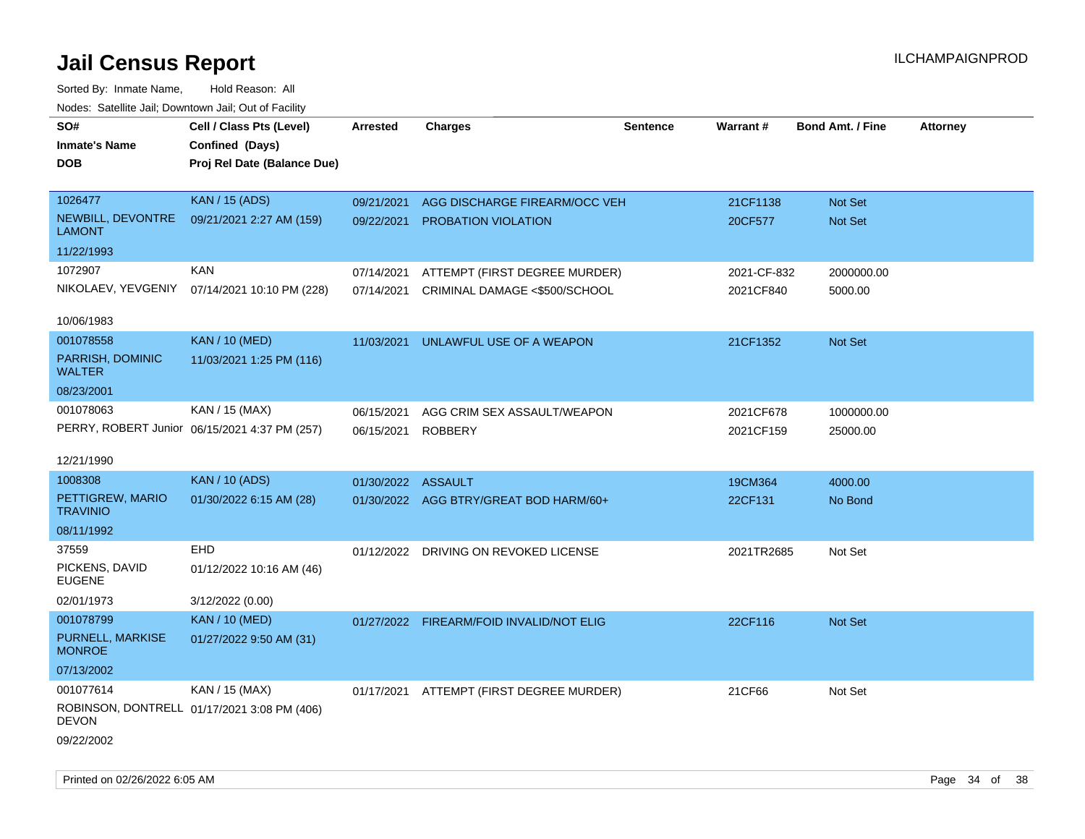| roaco. Calcinio dan, Downtown dan, Cal or Fability |                                               |                    |                                          |                 |             |                         |                 |
|----------------------------------------------------|-----------------------------------------------|--------------------|------------------------------------------|-----------------|-------------|-------------------------|-----------------|
| SO#                                                | Cell / Class Pts (Level)                      | <b>Arrested</b>    | <b>Charges</b>                           | <b>Sentence</b> | Warrant#    | <b>Bond Amt. / Fine</b> | <b>Attorney</b> |
| <b>Inmate's Name</b>                               | Confined (Days)                               |                    |                                          |                 |             |                         |                 |
| <b>DOB</b>                                         | Proj Rel Date (Balance Due)                   |                    |                                          |                 |             |                         |                 |
|                                                    |                                               |                    |                                          |                 |             |                         |                 |
| 1026477                                            | <b>KAN / 15 (ADS)</b>                         | 09/21/2021         | AGG DISCHARGE FIREARM/OCC VEH            |                 | 21CF1138    | <b>Not Set</b>          |                 |
| NEWBILL, DEVONTRE<br><b>LAMONT</b>                 | 09/21/2021 2:27 AM (159)                      | 09/22/2021         | <b>PROBATION VIOLATION</b>               |                 | 20CF577     | Not Set                 |                 |
| 11/22/1993                                         |                                               |                    |                                          |                 |             |                         |                 |
| 1072907                                            | <b>KAN</b>                                    | 07/14/2021         | ATTEMPT (FIRST DEGREE MURDER)            |                 | 2021-CF-832 | 2000000.00              |                 |
| NIKOLAEV, YEVGENIY                                 | 07/14/2021 10:10 PM (228)                     |                    | 07/14/2021 CRIMINAL DAMAGE <\$500/SCHOOL |                 | 2021CF840   | 5000.00                 |                 |
|                                                    |                                               |                    |                                          |                 |             |                         |                 |
| 10/06/1983                                         |                                               |                    |                                          |                 |             |                         |                 |
| 001078558                                          | <b>KAN / 10 (MED)</b>                         | 11/03/2021         | UNLAWFUL USE OF A WEAPON                 |                 | 21CF1352    | Not Set                 |                 |
| PARRISH, DOMINIC<br><b>WALTER</b>                  | 11/03/2021 1:25 PM (116)                      |                    |                                          |                 |             |                         |                 |
| 08/23/2001                                         |                                               |                    |                                          |                 |             |                         |                 |
| 001078063                                          | KAN / 15 (MAX)                                | 06/15/2021         | AGG CRIM SEX ASSAULT/WEAPON              |                 | 2021CF678   | 1000000.00              |                 |
|                                                    | PERRY, ROBERT Junior 06/15/2021 4:37 PM (257) | 06/15/2021 ROBBERY |                                          |                 | 2021CF159   | 25000.00                |                 |
|                                                    |                                               |                    |                                          |                 |             |                         |                 |
| 12/21/1990                                         |                                               |                    |                                          |                 |             |                         |                 |
| 1008308                                            | <b>KAN / 10 (ADS)</b>                         | 01/30/2022 ASSAULT |                                          |                 | 19CM364     | 4000.00                 |                 |
| PETTIGREW, MARIO<br><b>TRAVINIO</b>                | 01/30/2022 6:15 AM (28)                       |                    | 01/30/2022 AGG BTRY/GREAT BOD HARM/60+   |                 | 22CF131     | No Bond                 |                 |
| 08/11/1992                                         |                                               |                    |                                          |                 |             |                         |                 |
| 37559                                              | <b>EHD</b>                                    |                    | 01/12/2022 DRIVING ON REVOKED LICENSE    |                 | 2021TR2685  | Not Set                 |                 |
| PICKENS, DAVID<br><b>EUGENE</b>                    | 01/12/2022 10:16 AM (46)                      |                    |                                          |                 |             |                         |                 |
| 02/01/1973                                         | 3/12/2022 (0.00)                              |                    |                                          |                 |             |                         |                 |
| 001078799                                          | <b>KAN / 10 (MED)</b>                         |                    | 01/27/2022 FIREARM/FOID INVALID/NOT ELIG |                 | 22CF116     | Not Set                 |                 |
| PURNELL, MARKISE<br><b>MONROE</b>                  | 01/27/2022 9:50 AM (31)                       |                    |                                          |                 |             |                         |                 |
| 07/13/2002                                         |                                               |                    |                                          |                 |             |                         |                 |
| 001077614                                          | KAN / 15 (MAX)                                |                    | 01/17/2021 ATTEMPT (FIRST DEGREE MURDER) |                 | 21CF66      | Not Set                 |                 |
| DEVON                                              | ROBINSON, DONTRELL 01/17/2021 3:08 PM (406)   |                    |                                          |                 |             |                         |                 |
| 09/22/2002                                         |                                               |                    |                                          |                 |             |                         |                 |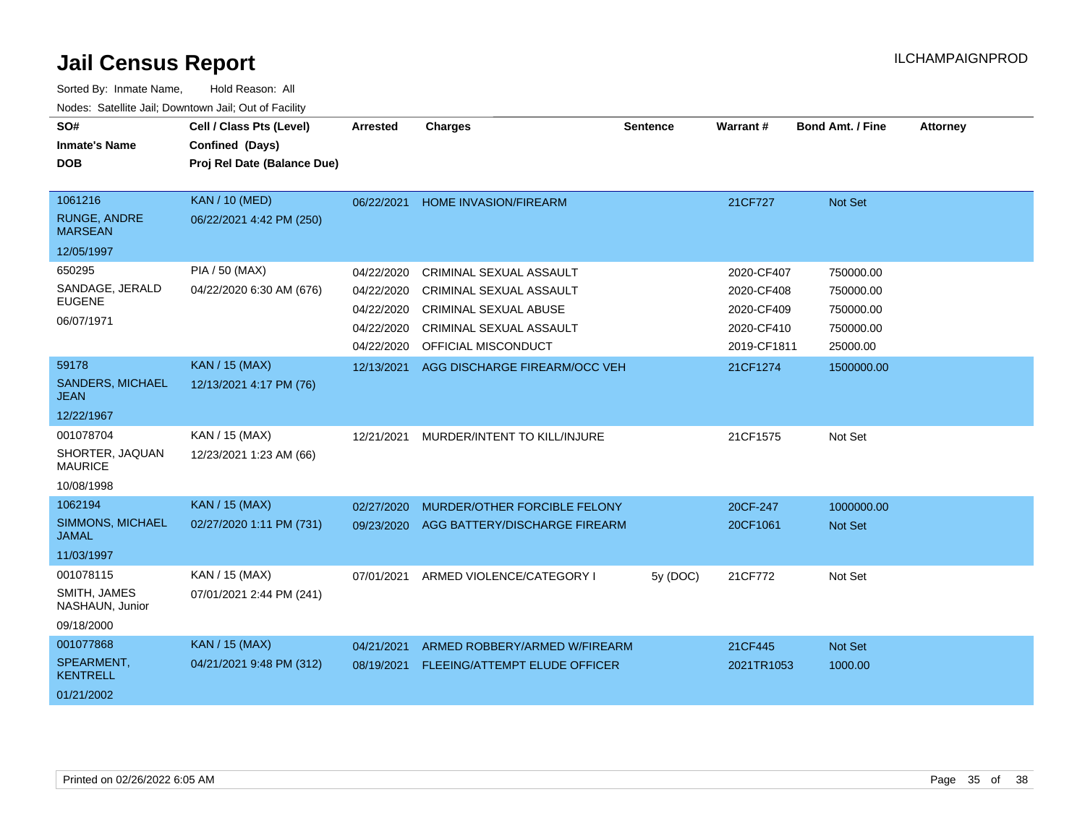| SO#<br><b>Inmate's Name</b><br><b>DOB</b>                      | Cell / Class Pts (Level)<br>Confined (Days)<br>Proj Rel Date (Balance Due) | Arrested                                                           | <b>Charges</b>                                                                                                                              | <b>Sentence</b> | Warrant#                                                            | <b>Bond Amt. / Fine</b>                                      | <b>Attorney</b> |
|----------------------------------------------------------------|----------------------------------------------------------------------------|--------------------------------------------------------------------|---------------------------------------------------------------------------------------------------------------------------------------------|-----------------|---------------------------------------------------------------------|--------------------------------------------------------------|-----------------|
| 1061216<br><b>RUNGE, ANDRE</b><br><b>MARSEAN</b><br>12/05/1997 | <b>KAN / 10 (MED)</b><br>06/22/2021 4:42 PM (250)                          | 06/22/2021                                                         | <b>HOME INVASION/FIREARM</b>                                                                                                                |                 | 21CF727                                                             | Not Set                                                      |                 |
| 650295<br>SANDAGE, JERALD<br><b>EUGENE</b><br>06/07/1971       | <b>PIA / 50 (MAX)</b><br>04/22/2020 6:30 AM (676)                          | 04/22/2020<br>04/22/2020<br>04/22/2020<br>04/22/2020<br>04/22/2020 | CRIMINAL SEXUAL ASSAULT<br><b>CRIMINAL SEXUAL ASSAULT</b><br><b>CRIMINAL SEXUAL ABUSE</b><br>CRIMINAL SEXUAL ASSAULT<br>OFFICIAL MISCONDUCT |                 | 2020-CF407<br>2020-CF408<br>2020-CF409<br>2020-CF410<br>2019-CF1811 | 750000.00<br>750000.00<br>750000.00<br>750000.00<br>25000.00 |                 |
| 59178<br><b>SANDERS, MICHAEL</b><br><b>JEAN</b><br>12/22/1967  | <b>KAN / 15 (MAX)</b><br>12/13/2021 4:17 PM (76)                           | 12/13/2021                                                         | AGG DISCHARGE FIREARM/OCC VEH                                                                                                               |                 | 21CF1274                                                            | 1500000.00                                                   |                 |
| 001078704<br>SHORTER, JAQUAN<br><b>MAURICE</b><br>10/08/1998   | KAN / 15 (MAX)<br>12/23/2021 1:23 AM (66)                                  | 12/21/2021                                                         | MURDER/INTENT TO KILL/INJURE                                                                                                                |                 | 21CF1575                                                            | Not Set                                                      |                 |
| 1062194<br>SIMMONS, MICHAEL<br><b>JAMAL</b><br>11/03/1997      | <b>KAN / 15 (MAX)</b><br>02/27/2020 1:11 PM (731)                          | 02/27/2020<br>09/23/2020                                           | MURDER/OTHER FORCIBLE FELONY<br>AGG BATTERY/DISCHARGE FIREARM                                                                               |                 | 20CF-247<br>20CF1061                                                | 1000000.00<br><b>Not Set</b>                                 |                 |
| 001078115<br>SMITH, JAMES<br>NASHAUN, Junior<br>09/18/2000     | KAN / 15 (MAX)<br>07/01/2021 2:44 PM (241)                                 | 07/01/2021                                                         | ARMED VIOLENCE/CATEGORY I                                                                                                                   | 5y (DOC)        | 21CF772                                                             | Not Set                                                      |                 |
| 001077868<br>SPEARMENT,<br><b>KENTRELL</b><br>01/21/2002       | <b>KAN / 15 (MAX)</b><br>04/21/2021 9:48 PM (312)                          | 04/21/2021<br>08/19/2021                                           | ARMED ROBBERY/ARMED W/FIREARM<br><b>FLEEING/ATTEMPT ELUDE OFFICER</b>                                                                       |                 | 21CF445<br>2021TR1053                                               | Not Set<br>1000.00                                           |                 |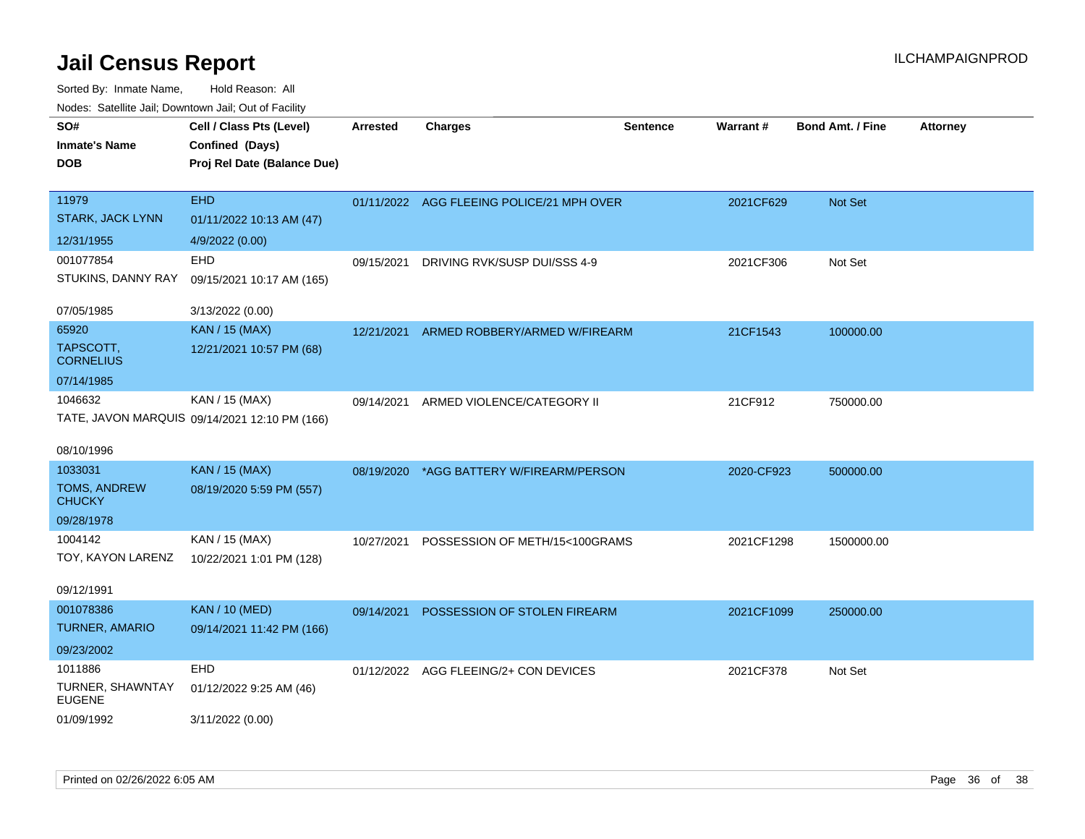| roaco. Oatomto dan, Downtown dan, Oat or Fability |                                               |                 |                                           |                 |                 |                         |                 |
|---------------------------------------------------|-----------------------------------------------|-----------------|-------------------------------------------|-----------------|-----------------|-------------------------|-----------------|
| SO#                                               | Cell / Class Pts (Level)                      | <b>Arrested</b> | Charges                                   | <b>Sentence</b> | <b>Warrant#</b> | <b>Bond Amt. / Fine</b> | <b>Attorney</b> |
| <b>Inmate's Name</b>                              | Confined (Days)                               |                 |                                           |                 |                 |                         |                 |
| <b>DOB</b>                                        | Proj Rel Date (Balance Due)                   |                 |                                           |                 |                 |                         |                 |
|                                                   |                                               |                 |                                           |                 |                 |                         |                 |
| 11979                                             | <b>EHD</b>                                    |                 | 01/11/2022 AGG FLEEING POLICE/21 MPH OVER |                 | 2021CF629       | Not Set                 |                 |
| <b>STARK, JACK LYNN</b>                           | 01/11/2022 10:13 AM (47)                      |                 |                                           |                 |                 |                         |                 |
| 12/31/1955                                        | 4/9/2022 (0.00)                               |                 |                                           |                 |                 |                         |                 |
| 001077854                                         | EHD                                           | 09/15/2021      | DRIVING RVK/SUSP DUI/SSS 4-9              |                 | 2021CF306       | Not Set                 |                 |
| STUKINS, DANNY RAY                                | 09/15/2021 10:17 AM (165)                     |                 |                                           |                 |                 |                         |                 |
| 07/05/1985                                        | 3/13/2022 (0.00)                              |                 |                                           |                 |                 |                         |                 |
| 65920                                             | <b>KAN / 15 (MAX)</b>                         | 12/21/2021      | ARMED ROBBERY/ARMED W/FIREARM             |                 | 21CF1543        | 100000.00               |                 |
| TAPSCOTT,<br><b>CORNELIUS</b>                     | 12/21/2021 10:57 PM (68)                      |                 |                                           |                 |                 |                         |                 |
| 07/14/1985                                        |                                               |                 |                                           |                 |                 |                         |                 |
| 1046632                                           | KAN / 15 (MAX)                                | 09/14/2021      | ARMED VIOLENCE/CATEGORY II                |                 | 21CF912         | 750000.00               |                 |
|                                                   | TATE, JAVON MARQUIS 09/14/2021 12:10 PM (166) |                 |                                           |                 |                 |                         |                 |
| 08/10/1996                                        |                                               |                 |                                           |                 |                 |                         |                 |
| 1033031                                           | KAN / 15 (MAX)                                | 08/19/2020      | *AGG BATTERY W/FIREARM/PERSON             |                 | 2020-CF923      | 500000.00               |                 |
| TOMS, ANDREW<br><b>CHUCKY</b>                     | 08/19/2020 5:59 PM (557)                      |                 |                                           |                 |                 |                         |                 |
| 09/28/1978                                        |                                               |                 |                                           |                 |                 |                         |                 |
| 1004142                                           | KAN / 15 (MAX)                                | 10/27/2021      | POSSESSION OF METH/15<100GRAMS            |                 | 2021CF1298      | 1500000.00              |                 |
| TOY, KAYON LARENZ                                 | 10/22/2021 1:01 PM (128)                      |                 |                                           |                 |                 |                         |                 |
| 09/12/1991                                        |                                               |                 |                                           |                 |                 |                         |                 |
| 001078386                                         | <b>KAN / 10 (MED)</b>                         | 09/14/2021      | POSSESSION OF STOLEN FIREARM              |                 | 2021CF1099      | 250000.00               |                 |
| TURNER, AMARIO                                    | 09/14/2021 11:42 PM (166)                     |                 |                                           |                 |                 |                         |                 |
| 09/23/2002                                        |                                               |                 |                                           |                 |                 |                         |                 |
| 1011886                                           | <b>EHD</b>                                    |                 | 01/12/2022 AGG FLEEING/2+ CON DEVICES     |                 | 2021CF378       | Not Set                 |                 |
| TURNER, SHAWNTAY<br><b>EUGENE</b>                 | 01/12/2022 9:25 AM (46)                       |                 |                                           |                 |                 |                         |                 |
| 01/09/1992                                        | 3/11/2022 (0.00)                              |                 |                                           |                 |                 |                         |                 |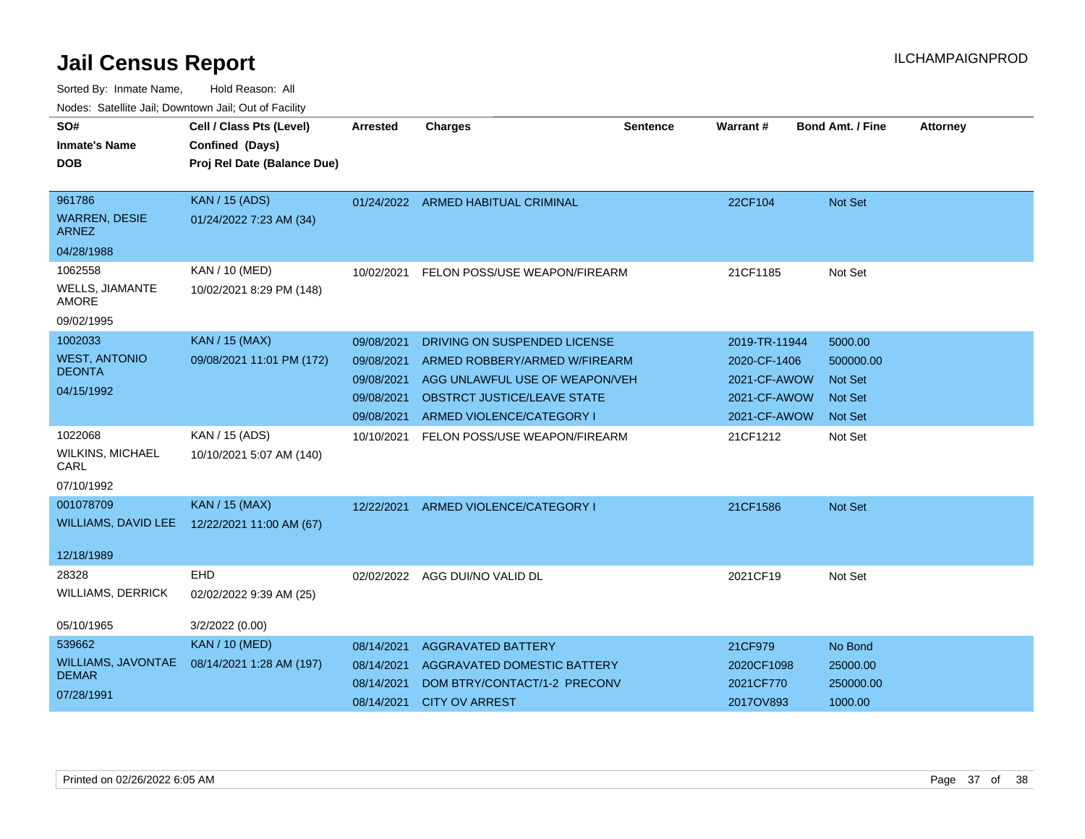| SO#                                  | Cell / Class Pts (Level)    | Arrested   | <b>Charges</b>                           | <b>Sentence</b> | <b>Warrant#</b> | <b>Bond Amt. / Fine</b> | <b>Attorney</b> |
|--------------------------------------|-----------------------------|------------|------------------------------------------|-----------------|-----------------|-------------------------|-----------------|
| <b>Inmate's Name</b>                 | Confined (Days)             |            |                                          |                 |                 |                         |                 |
| <b>DOB</b>                           | Proj Rel Date (Balance Due) |            |                                          |                 |                 |                         |                 |
|                                      |                             |            |                                          |                 |                 |                         |                 |
| 961786                               | <b>KAN / 15 (ADS)</b>       |            | 01/24/2022 ARMED HABITUAL CRIMINAL       |                 | 22CF104         | Not Set                 |                 |
| <b>WARREN, DESIE</b><br><b>ARNEZ</b> | 01/24/2022 7:23 AM (34)     |            |                                          |                 |                 |                         |                 |
| 04/28/1988                           |                             |            |                                          |                 |                 |                         |                 |
| 1062558                              | KAN / 10 (MED)              |            | 10/02/2021 FELON POSS/USE WEAPON/FIREARM |                 | 21CF1185        | Not Set                 |                 |
| <b>WELLS, JIAMANTE</b><br>AMORE      | 10/02/2021 8:29 PM (148)    |            |                                          |                 |                 |                         |                 |
| 09/02/1995                           |                             |            |                                          |                 |                 |                         |                 |
| 1002033                              | <b>KAN / 15 (MAX)</b>       | 09/08/2021 | DRIVING ON SUSPENDED LICENSE             |                 | 2019-TR-11944   | 5000.00                 |                 |
| <b>WEST, ANTONIO</b>                 | 09/08/2021 11:01 PM (172)   | 09/08/2021 | ARMED ROBBERY/ARMED W/FIREARM            |                 | 2020-CF-1406    | 500000.00               |                 |
| <b>DEONTA</b>                        |                             | 09/08/2021 | AGG UNLAWFUL USE OF WEAPON/VEH           |                 | 2021-CF-AWOW    | <b>Not Set</b>          |                 |
| 04/15/1992                           |                             | 09/08/2021 | <b>OBSTRCT JUSTICE/LEAVE STATE</b>       |                 | 2021-CF-AWOW    | <b>Not Set</b>          |                 |
|                                      |                             | 09/08/2021 | ARMED VIOLENCE/CATEGORY I                |                 | 2021-CF-AWOW    | <b>Not Set</b>          |                 |
| 1022068                              | KAN / 15 (ADS)              |            | 10/10/2021 FELON POSS/USE WEAPON/FIREARM |                 | 21CF1212        | Not Set                 |                 |
| <b>WILKINS, MICHAEL</b><br>CARL      | 10/10/2021 5:07 AM (140)    |            |                                          |                 |                 |                         |                 |
| 07/10/1992                           |                             |            |                                          |                 |                 |                         |                 |
| 001078709                            | <b>KAN / 15 (MAX)</b>       | 12/22/2021 | ARMED VIOLENCE/CATEGORY I                |                 | 21CF1586        | Not Set                 |                 |
| WILLIAMS, DAVID LEE                  | 12/22/2021 11:00 AM (67)    |            |                                          |                 |                 |                         |                 |
|                                      |                             |            |                                          |                 |                 |                         |                 |
| 12/18/1989                           |                             |            |                                          |                 |                 |                         |                 |
| 28328                                | <b>EHD</b>                  |            | 02/02/2022 AGG DUI/NO VALID DL           |                 | 2021CF19        | Not Set                 |                 |
| <b>WILLIAMS, DERRICK</b>             | 02/02/2022 9:39 AM (25)     |            |                                          |                 |                 |                         |                 |
| 05/10/1965                           | 3/2/2022 (0.00)             |            |                                          |                 |                 |                         |                 |
| 539662                               | <b>KAN / 10 (MED)</b>       | 08/14/2021 | <b>AGGRAVATED BATTERY</b>                |                 | 21CF979         | No Bond                 |                 |
| <b>WILLIAMS, JAVONTAE</b>            | 08/14/2021 1:28 AM (197)    | 08/14/2021 | AGGRAVATED DOMESTIC BATTERY              |                 | 2020CF1098      | 25000.00                |                 |
| <b>DEMAR</b>                         |                             | 08/14/2021 | DOM BTRY/CONTACT/1-2 PRECONV             |                 | 2021CF770       | 250000.00               |                 |
| 07/28/1991                           |                             | 08/14/2021 | <b>CITY OV ARREST</b>                    |                 | 2017OV893       | 1000.00                 |                 |